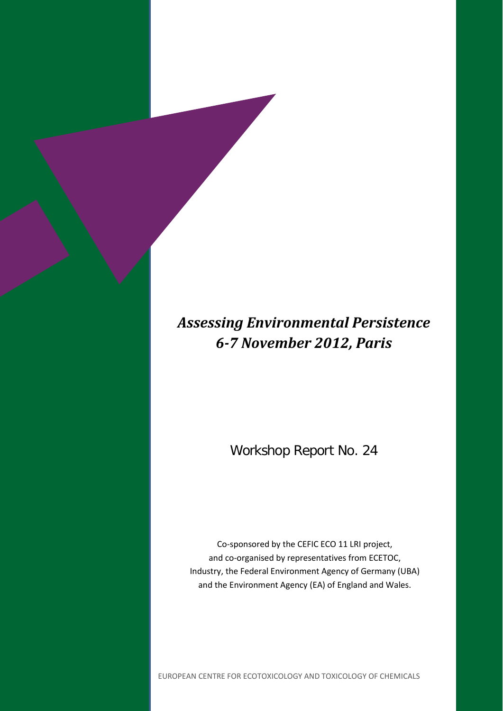# *Assessing Environmental Persistence 6-7 November 2012, Paris*

Workshop Report No. 24

Co-sponsored by the CEFIC ECO 11 LRI project, and co-organised by representatives from ECETOC, Industry, the Federal Environment Agency of Germany (UBA) and the Environment Agency (EA) of England and Wales.

EUROPEAN CENTRE FOR ECOTOXICOLOGY AND TOXICOLOGY OF CHEMICALS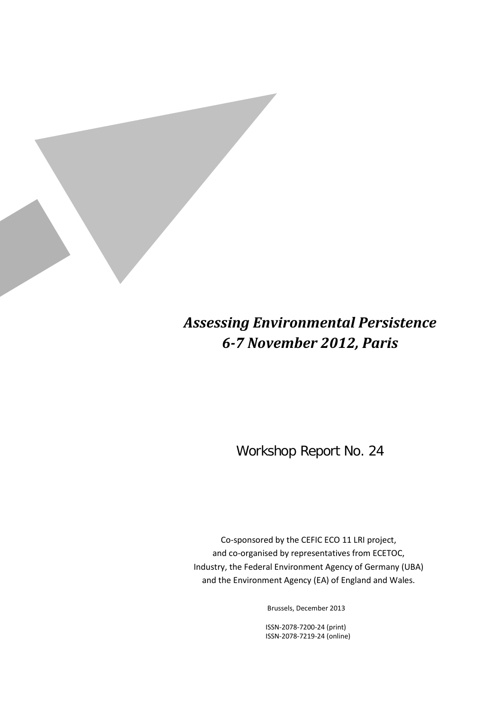

# *Assessing Environmental Persistence 6-7 November 2012, Paris*

Workshop Report No. 24

 and the Environment Agency (EA) of England and Wales.Co-sponsored by the CEFIC ECO 11 LRI project, and co-organised by representatives from ECETOC, Industry, the Federal Environment Agency of Germany (UBA)

Brussels, December 2013

ISSN-2078-7200-24 (print) ISSN-2078-7219-24 (online)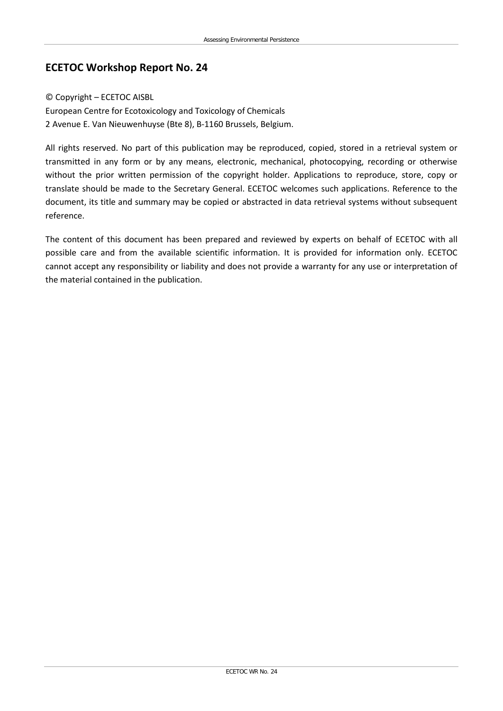### **ECETOC Workshop Report No. 24**

#### © Copyright – ECETOC AISBL

European Centre for Ecotoxicology and Toxicology of Chemicals 2 Avenue E. Van Nieuwenhuyse (Bte 8), B-1160 Brussels, Belgium.

All rights reserved. No part of this publication may be reproduced, copied, stored in a retrieval system or transmitted in any form or by any means, electronic, mechanical, photocopying, recording or otherwise without the prior written permission of the copyright holder. Applications to reproduce, store, copy or translate should be made to the Secretary General. ECETOC welcomes such applications. Reference to the document, its title and summary may be copied or abstracted in data retrieval systems without subsequent reference.

The content of this document has been prepared and reviewed by experts on behalf of ECETOC with all possible care and from the available scientific information. It is provided for information only. ECETOC cannot accept any responsibility or liability and does not provide a warranty for any use or interpretation of the material contained in the publication.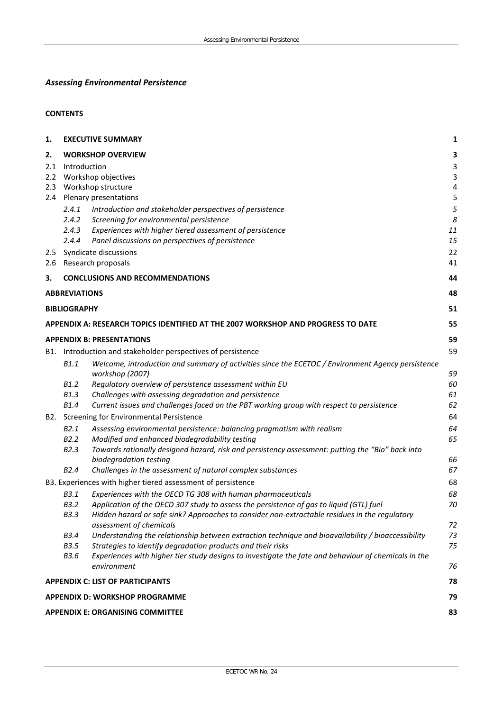### *Assessing Environmental Persistence*

#### **CONTENTS**

| 1.                                      |                                       | <b>EXECUTIVE SUMMARY</b>                                                                                                   | 1       |
|-----------------------------------------|---------------------------------------|----------------------------------------------------------------------------------------------------------------------------|---------|
| 2.                                      |                                       | <b>WORKSHOP OVERVIEW</b>                                                                                                   | 3       |
|                                         | 2.1 Introduction                      |                                                                                                                            | 3       |
|                                         | 2.2 Workshop objectives               |                                                                                                                            | 3       |
|                                         | 2.3 Workshop structure                |                                                                                                                            | 4       |
|                                         |                                       | 2.4 Plenary presentations                                                                                                  | 5       |
|                                         | 2.4.1                                 | Introduction and stakeholder perspectives of persistence                                                                   | 5       |
|                                         | 2.4.2<br>2.4.3                        | Screening for environmental persistence<br>Experiences with higher tiered assessment of persistence                        | 8<br>11 |
|                                         | 2.4.4                                 | Panel discussions on perspectives of persistence                                                                           | 15      |
|                                         |                                       | 2.5 Syndicate discussions                                                                                                  | 22      |
|                                         |                                       | 2.6 Research proposals                                                                                                     | 41      |
| 3.                                      |                                       | <b>CONCLUSIONS AND RECOMMENDATIONS</b>                                                                                     | 44      |
|                                         | <b>ABBREVIATIONS</b>                  |                                                                                                                            | 48      |
|                                         | <b>BIBLIOGRAPHY</b>                   |                                                                                                                            | 51      |
|                                         |                                       | APPENDIX A: RESEARCH TOPICS IDENTIFIED AT THE 2007 WORKSHOP AND PROGRESS TO DATE                                           | 55      |
|                                         |                                       |                                                                                                                            |         |
|                                         | <b>APPENDIX B: PRESENTATIONS</b>      |                                                                                                                            | 59      |
|                                         |                                       | B1. Introduction and stakeholder perspectives of persistence                                                               | 59      |
|                                         | <b>B1.1</b>                           | Welcome, introduction and summary of activities since the ECETOC / Environment Agency persistence<br>workshop (2007)       | 59      |
|                                         | B <sub>1.2</sub>                      | Regulatory overview of persistence assessment within EU                                                                    | 60      |
|                                         | <b>B1.3</b>                           | Challenges with assessing degradation and persistence                                                                      | 61      |
|                                         | <b>B1.4</b>                           | Current issues and challenges faced on the PBT working group with respect to persistence                                   | 62      |
|                                         |                                       | B2. Screening for Environmental Persistence                                                                                | 64      |
|                                         | B2.1                                  | Assessing environmental persistence: balancing pragmatism with realism                                                     | 64      |
|                                         | B2.2                                  | Modified and enhanced biodegradability testing                                                                             | 65      |
|                                         | B2.3                                  | Towards rationally designed hazard, risk and persistency assessment: putting the "Bio" back into<br>biodegradation testing | 66      |
|                                         | B <sub>2.4</sub>                      | Challenges in the assessment of natural complex substances                                                                 | 67      |
|                                         |                                       | B3. Experiences with higher tiered assessment of persistence                                                               | 68      |
|                                         | B3.1                                  | Experiences with the OECD TG 308 with human pharmaceuticals                                                                | 68      |
|                                         | B3.2                                  | Application of the OECD 307 study to assess the persistence of gas to liquid (GTL) fuel                                    | 70      |
|                                         | B3.3                                  | Hidden hazard or safe sink? Approaches to consider non-extractable residues in the regulatory                              |         |
|                                         |                                       | assessment of chemicals                                                                                                    | 72      |
|                                         | B3.4                                  | Understanding the relationship between extraction technique and bioavailability / bioaccessibility                         | 73      |
|                                         | B3.5                                  | Strategies to identify degradation products and their risks                                                                | 75      |
|                                         | B3.6                                  | Experiences with higher tier study designs to investigate the fate and behaviour of chemicals in the<br>environment        | 76      |
|                                         |                                       | <b>APPENDIX C: LIST OF PARTICIPANTS</b>                                                                                    | 78      |
|                                         | <b>APPENDIX D: WORKSHOP PROGRAMME</b> |                                                                                                                            |         |
| <b>APPENDIX E: ORGANISING COMMITTEE</b> |                                       |                                                                                                                            | 83      |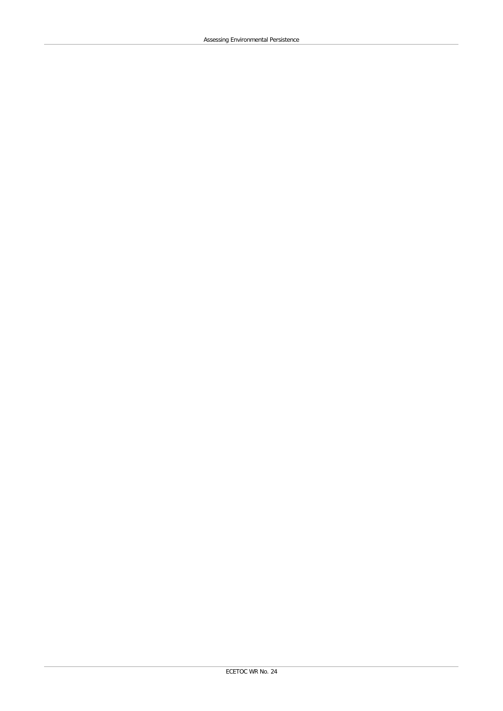Assessing Environmental Persistence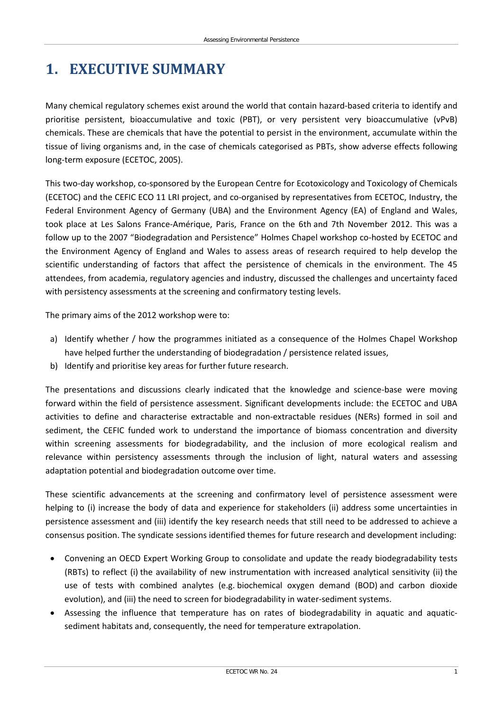# <span id="page-6-0"></span>**1. EXECUTIVE SUMMARY**

Many chemical regulatory schemes exist around the world that contain hazard-based criteria to identify and prioritise persistent, bioaccumulative and toxic (PBT), or very persistent very bioaccumulative (vPvB) chemicals. These are chemicals that have the potential to persist in the environment, accumulate within the tissue of living organisms and, in the case of chemicals categorised as PBTs, show adverse effects following long-term exposure (ECETOC, 2005).

This two-day workshop, co-sponsored by the European Centre for Ecotoxicology and Toxicology of Chemicals (ECETOC) and the CEFIC ECO 11 LRI project, and co-organised by representatives from ECETOC, Industry, the Federal Environment Agency of Germany (UBA) and the Environment Agency (EA) of England and Wales, took place at Les Salons France-Amérique, Paris, France on the 6th and 7th November 2012. This was a follow up to the 2007 "Biodegradation and Persistence" Holmes Chapel workshop co-hosted by ECETOC and the Environment Agency of England and Wales to assess areas of research required to help develop the scientific understanding of factors that affect the persistence of chemicals in the environment. The 45 attendees, from academia, regulatory agencies and industry, discussed the challenges and uncertainty faced with persistency assessments at the screening and confirmatory testing levels.

The primary aims of the 2012 workshop were to:

- a) Identify whether / how the programmes initiated as a consequence of the Holmes Chapel Workshop have helped further the understanding of biodegradation / persistence related issues,
- b) Identify and prioritise key areas for further future research.

The presentations and discussions clearly indicated that the knowledge and science-base were moving forward within the field of persistence assessment. Significant developments include: the ECETOC and UBA activities to define and characterise extractable and non-extractable residues (NERs) formed in soil and sediment, the CEFIC funded work to understand the importance of biomass concentration and diversity within screening assessments for biodegradability, and the inclusion of more ecological realism and relevance within persistency assessments through the inclusion of light, natural waters and assessing adaptation potential and biodegradation outcome over time.

These scientific advancements at the screening and confirmatory level of persistence assessment were helping to (i) increase the body of data and experience for stakeholders (ii) address some uncertainties in persistence assessment and (iii) identify the key research needs that still need to be addressed to achieve a consensus position. The syndicate sessions identified themes for future research and development including:

- Convening an OECD Expert Working Group to consolidate and update the ready biodegradability tests (RBTs) to reflect (i) the availability of new instrumentation with increased analytical sensitivity (ii) the use of tests with combined analytes (e.g. biochemical oxygen demand (BOD) and carbon dioxide evolution), and (iii) the need to screen for biodegradability in water-sediment systems.
- Assessing the influence that temperature has on rates of biodegradability in aquatic and aquaticsediment habitats and, consequently, the need for temperature extrapolation.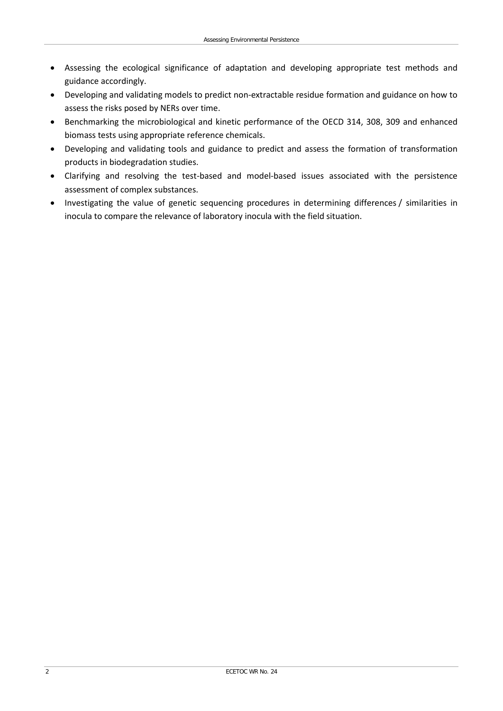- Assessing the ecological significance of adaptation and developing appropriate test methods and guidance accordingly.
- Developing and validating models to predict non-extractable residue formation and guidance on how to assess the risks posed by NERs over time.
- Benchmarking the microbiological and kinetic performance of the OECD 314, 308, 309 and enhanced biomass tests using appropriate reference chemicals.
- Developing and validating tools and guidance to predict and assess the formation of transformation products in biodegradation studies.
- Clarifying and resolving the test-based and model-based issues associated with the persistence assessment of complex substances.
- Investigating the value of genetic sequencing procedures in determining differences / similarities in inocula to compare the relevance of laboratory inocula with the field situation.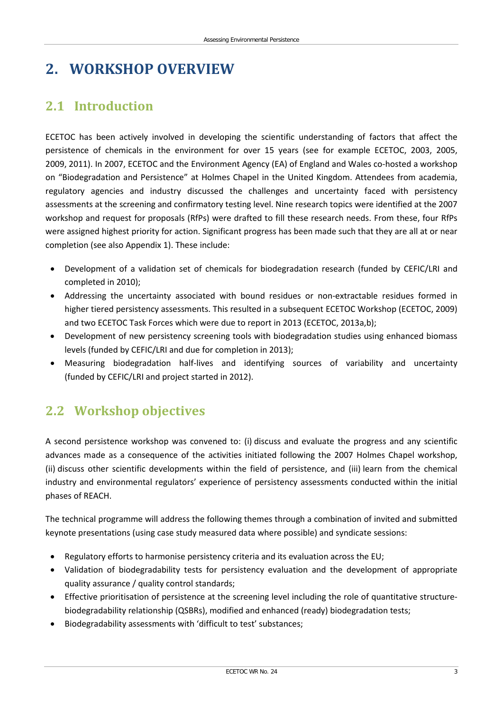# <span id="page-8-0"></span>**2. WORKSHOP OVERVIEW**

# <span id="page-8-1"></span>**2.1 Introduction**

ECETOC has been actively involved in developing the scientific understanding of factors that affect the persistence of chemicals in the environment for over 15 years (see for example ECETOC, 2003, 2005, 2009, 2011). In 2007, ECETOC and the Environment Agency (EA) of England and Wales co-hosted a workshop on "Biodegradation and Persistence" at Holmes Chapel in the United Kingdom. Attendees from academia, regulatory agencies and industry discussed the challenges and uncertainty faced with persistency assessments at the screening and confirmatory testing level. Nine research topics were identified at the 2007 workshop and request for proposals (RfPs) were drafted to fill these research needs. From these, four RfPs were assigned highest priority for action. Significant progress has been made such that they are all at or near completion (see also Appendix 1). These include:

- Development of a validation set of chemicals for biodegradation research (funded by CEFIC/LRI and completed in 2010);
- Addressing the uncertainty associated with bound residues or non-extractable residues formed in higher tiered persistency assessments. This resulted in a subsequent ECETOC Workshop (ECETOC, 2009) and two ECETOC Task Forces which were due to report in 2013 (ECETOC, 2013a,b);
- Development of new persistency screening tools with biodegradation studies using enhanced biomass levels (funded by CEFIC/LRI and due for completion in 2013);
- Measuring biodegradation half-lives and identifying sources of variability and uncertainty (funded by CEFIC/LRI and project started in 2012).

# <span id="page-8-2"></span>**2.2 Workshop objectives**

A second persistence workshop was convened to: (i) discuss and evaluate the progress and any scientific advances made as a consequence of the activities initiated following the 2007 Holmes Chapel workshop, (ii) discuss other scientific developments within the field of persistence, and (iii) learn from the chemical industry and environmental regulators' experience of persistency assessments conducted within the initial phases of REACH.

The technical programme will address the following themes through a combination of invited and submitted keynote presentations (using case study measured data where possible) and syndicate sessions:

- Regulatory efforts to harmonise persistency criteria and its evaluation across the EU;
- Validation of biodegradability tests for persistency evaluation and the development of appropriate quality assurance / quality control standards;
- Effective prioritisation of persistence at the screening level including the role of quantitative structurebiodegradability relationship (QSBRs), modified and enhanced (ready) biodegradation tests;
- Biodegradability assessments with 'difficult to test' substances;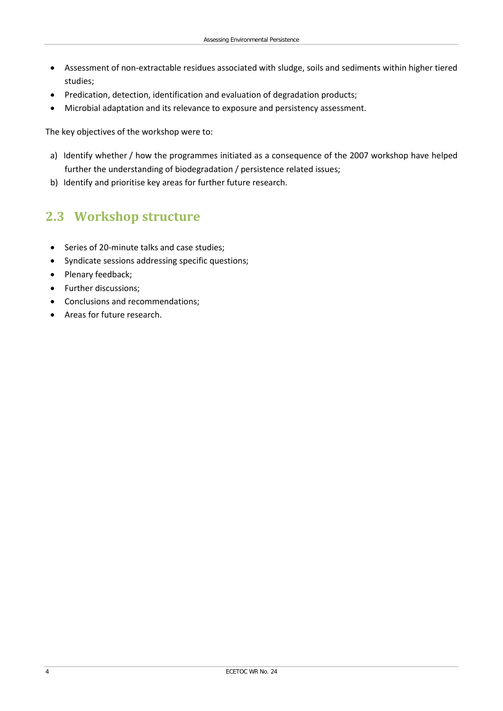- Assessment of non-extractable residues associated with sludge, soils and sediments within higher tiered studies;
- Predication, detection, identification and evaluation of degradation products;
- Microbial adaptation and its relevance to exposure and persistency assessment.

The key objectives of the workshop were to:

- a) Identify whether / how the programmes initiated as a consequence of the 2007 workshop have helped further the understanding of biodegradation / persistence related issues;
- b) Identify and prioritise key areas for further future research.

## <span id="page-9-0"></span>**2.3 Workshop structure**

- Series of 20-minute talks and case studies;
- Syndicate sessions addressing specific questions;
- Plenary feedback;
- Further discussions;
- Conclusions and recommendations;
- Areas for future research.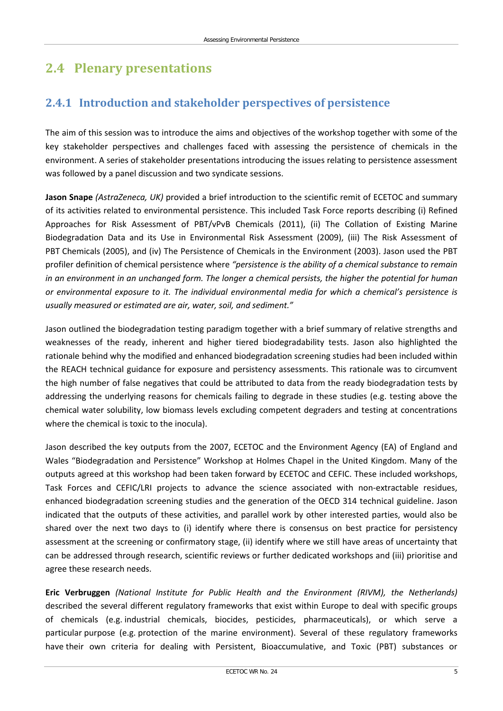# <span id="page-10-0"></span>**2.4 Plenary presentations**

## <span id="page-10-1"></span>**2.4.1 Introduction and stakeholder perspectives of persistence**

The aim of this session was to introduce the aims and objectives of the workshop together with some of the key stakeholder perspectives and challenges faced with assessing the persistence of chemicals in the environment. A series of stakeholder presentations introducing the issues relating to persistence assessment was followed by a panel discussion and two syndicate sessions.

**Jason Snape** *(AstraZeneca, UK)* provided a brief introduction to the scientific remit of ECETOC and summary of its activities related to environmental persistence. This included Task Force reports describing (i) Refined Approaches for Risk Assessment of PBT/vPvB Chemicals (2011), (ii) The Collation of Existing Marine Biodegradation Data and its Use in Environmental Risk Assessment (2009), (iii) The Risk Assessment of PBT Chemicals (2005), and (iv) The Persistence of Chemicals in the Environment (2003). Jason used the PBT profiler definition of chemical persistence where *"persistence is the ability of a chemical substance to remain in an environment in an unchanged form. The longer a chemical persists, the higher the potential for human or environmental exposure to it. The individual environmental media for which a chemical's persistence is usually measured or estimated are air, water, soil, and sediment."*

Jason outlined the biodegradation testing paradigm together with a brief summary of relative strengths and weaknesses of the ready, inherent and higher tiered biodegradability tests. Jason also highlighted the rationale behind why the modified and enhanced biodegradation screening studies had been included within the REACH technical guidance for exposure and persistency assessments. This rationale was to circumvent the high number of false negatives that could be attributed to data from the ready biodegradation tests by addressing the underlying reasons for chemicals failing to degrade in these studies (e.g. testing above the chemical water solubility, low biomass levels excluding competent degraders and testing at concentrations where the chemical is toxic to the inocula).

Jason described the key outputs from the 2007, ECETOC and the Environment Agency (EA) of England and Wales "Biodegradation and Persistence" Workshop at Holmes Chapel in the United Kingdom. Many of the outputs agreed at this workshop had been taken forward by ECETOC and CEFIC. These included workshops, Task Forces and CEFIC/LRI projects to advance the science associated with non-extractable residues, enhanced biodegradation screening studies and the generation of the OECD 314 technical guideline. Jason indicated that the outputs of these activities, and parallel work by other interested parties, would also be shared over the next two days to (i) identify where there is consensus on best practice for persistency assessment at the screening or confirmatory stage, (ii) identify where we still have areas of uncertainty that can be addressed through research, scientific reviews or further dedicated workshops and (iii) prioritise and agree these research needs.

**Eric Verbruggen** *(National Institute for Public Health and the Environment (RIVM), the Netherlands)*  described the several different regulatory frameworks that exist within Europe to deal with specific groups of chemicals (e.g. industrial chemicals, biocides, pesticides, pharmaceuticals), or which serve a particular purpose (e.g. protection of the marine environment). Several of these regulatory frameworks have their own criteria for dealing with Persistent, Bioaccumulative, and Toxic (PBT) substances or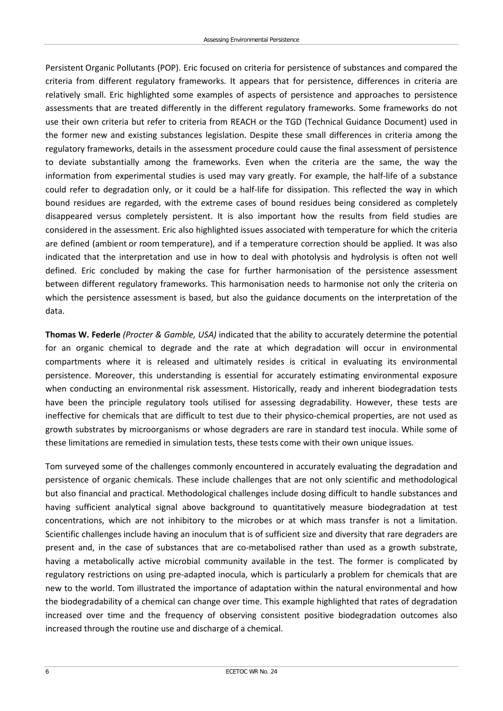Persistent Organic Pollutants (POP). Eric focused on criteria for persistence of substances and compared the criteria from different regulatory frameworks. It appears that for persistence, differences in criteria are relatively small. Eric highlighted some examples of aspects of persistence and approaches to persistence assessments that are treated differently in the different regulatory frameworks. Some frameworks do not use their own criteria but refer to criteria from REACH or the TGD (Technical Guidance Document) used in the former new and existing substances legislation. Despite these small differences in criteria among the regulatory frameworks, details in the assessment procedure could cause the final assessment of persistence to deviate substantially among the frameworks. Even when the criteria are the same, the way the information from experimental studies is used may vary greatly. For example, the half-life of a substance could refer to degradation only, or it could be a half-life for dissipation. This reflected the way in which bound residues are regarded, with the extreme cases of bound residues being considered as completely disappeared versus completely persistent. It is also important how the results from field studies are considered in the assessment. Eric also highlighted issues associated with temperature for which the criteria are defined (ambient or room temperature), and if a temperature correction should be applied. It was also indicated that the interpretation and use in how to deal with photolysis and hydrolysis is often not well defined. Eric concluded by making the case for further harmonisation of the persistence assessment between different regulatory frameworks. This harmonisation needs to harmonise not only the criteria on which the persistence assessment is based, but also the guidance documents on the interpretation of the data.

**Thomas W. Federle** *(Procter & Gamble, USA)* indicated that the ability to accurately determine the potential for an organic chemical to degrade and the rate at which degradation will occur in environmental compartments where it is released and ultimately resides is critical in evaluating its environmental persistence. Moreover, this understanding is essential for accurately estimating environmental exposure when conducting an environmental risk assessment. Historically, ready and inherent biodegradation tests have been the principle regulatory tools utilised for assessing degradability. However, these tests are ineffective for chemicals that are difficult to test due to their physico-chemical properties, are not used as growth substrates by microorganisms or whose degraders are rare in standard test inocula. While some of these limitations are remedied in simulation tests, these tests come with their own unique issues.

Tom surveyed some of the challenges commonly encountered in accurately evaluating the degradation and persistence of organic chemicals. These include challenges that are not only scientific and methodological but also financial and practical. Methodological challenges include dosing difficult to handle substances and having sufficient analytical signal above background to quantitatively measure biodegradation at test concentrations, which are not inhibitory to the microbes or at which mass transfer is not a limitation. Scientific challenges include having an inoculum that is of sufficient size and diversity that rare degraders are present and, in the case of substances that are co-metabolised rather than used as a growth substrate, having a metabolically active microbial community available in the test. The former is complicated by regulatory restrictions on using pre-adapted inocula, which is particularly a problem for chemicals that are new to the world. Tom illustrated the importance of adaptation within the natural environmental and how the biodegradability of a chemical can change over time. This example highlighted that rates of degradation increased over time and the frequency of observing consistent positive biodegradation outcomes also increased through the routine use and discharge of a chemical.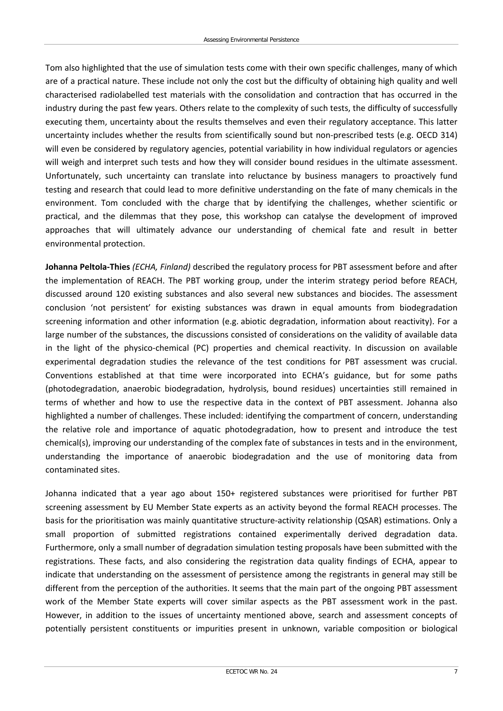Tom also highlighted that the use of simulation tests come with their own specific challenges, many of which are of a practical nature. These include not only the cost but the difficulty of obtaining high quality and well characterised radiolabelled test materials with the consolidation and contraction that has occurred in the industry during the past few years. Others relate to the complexity of such tests, the difficulty of successfully executing them, uncertainty about the results themselves and even their regulatory acceptance. This latter uncertainty includes whether the results from scientifically sound but non-prescribed tests (e.g. OECD 314) will even be considered by regulatory agencies, potential variability in how individual regulators or agencies will weigh and interpret such tests and how they will consider bound residues in the ultimate assessment. Unfortunately, such uncertainty can translate into reluctance by business managers to proactively fund testing and research that could lead to more definitive understanding on the fate of many chemicals in the environment. Tom concluded with the charge that by identifying the challenges, whether scientific or practical, and the dilemmas that they pose, this workshop can catalyse the development of improved approaches that will ultimately advance our understanding of chemical fate and result in better environmental protection.

**Johanna Peltola-Thies** *(ECHA, Finland)* described the regulatory process for PBT assessment before and after the implementation of REACH. The PBT working group, under the interim strategy period before REACH, discussed around 120 existing substances and also several new substances and biocides. The assessment conclusion 'not persistent' for existing substances was drawn in equal amounts from biodegradation screening information and other information (e.g. abiotic degradation, information about reactivity). For a large number of the substances, the discussions consisted of considerations on the validity of available data in the light of the physico-chemical (PC) properties and chemical reactivity. In discussion on available experimental degradation studies the relevance of the test conditions for PBT assessment was crucial. Conventions established at that time were incorporated into ECHA's guidance, but for some paths (photodegradation, anaerobic biodegradation, hydrolysis, bound residues) uncertainties still remained in terms of whether and how to use the respective data in the context of PBT assessment. Johanna also highlighted a number of challenges. These included: identifying the compartment of concern, understanding the relative role and importance of aquatic photodegradation, how to present and introduce the test chemical(s), improving our understanding of the complex fate of substances in tests and in the environment, understanding the importance of anaerobic biodegradation and the use of monitoring data from contaminated sites.

Johanna indicated that a year ago about 150+ registered substances were prioritised for further PBT screening assessment by EU Member State experts as an activity beyond the formal REACH processes. The basis for the prioritisation was mainly quantitative structure-activity relationship (QSAR) estimations. Only a small proportion of submitted registrations contained experimentally derived degradation data. Furthermore, only a small number of degradation simulation testing proposals have been submitted with the registrations. These facts, and also considering the registration data quality findings of ECHA, appear to indicate that understanding on the assessment of persistence among the registrants in general may still be different from the perception of the authorities. It seems that the main part of the ongoing PBT assessment work of the Member State experts will cover similar aspects as the PBT assessment work in the past. However, in addition to the issues of uncertainty mentioned above, search and assessment concepts of potentially persistent constituents or impurities present in unknown, variable composition or biological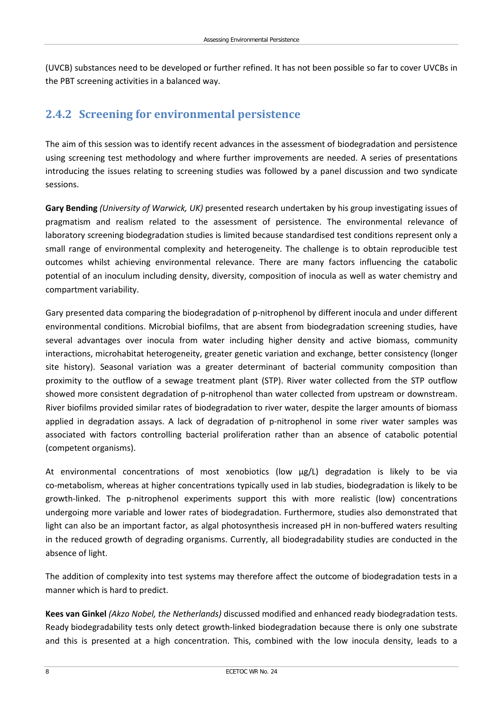(UVCB) substances need to be developed or further refined. It has not been possible so far to cover UVCBs in the PBT screening activities in a balanced way.

## <span id="page-13-0"></span>**2.4.2 Screening for environmental persistence**

The aim of this session was to identify recent advances in the assessment of biodegradation and persistence using screening test methodology and where further improvements are needed. A series of presentations introducing the issues relating to screening studies was followed by a panel discussion and two syndicate sessions.

**Gary Bending** *(University of Warwick, UK)* presented research undertaken by his group investigating issues of pragmatism and realism related to the assessment of persistence. The environmental relevance of laboratory screening biodegradation studies is limited because standardised test conditions represent only a small range of environmental complexity and heterogeneity. The challenge is to obtain reproducible test outcomes whilst achieving environmental relevance. There are many factors influencing the catabolic potential of an inoculum including density, diversity, composition of inocula as well as water chemistry and compartment variability.

Gary presented data comparing the biodegradation of p-nitrophenol by different inocula and under different environmental conditions. Microbial biofilms, that are absent from biodegradation screening studies, have several advantages over inocula from water including higher density and active biomass, community interactions, microhabitat heterogeneity, greater genetic variation and exchange, better consistency (longer site history). Seasonal variation was a greater determinant of bacterial community composition than proximity to the outflow of a sewage treatment plant (STP). River water collected from the STP outflow showed more consistent degradation of p-nitrophenol than water collected from upstream or downstream. River biofilms provided similar rates of biodegradation to river water, despite the larger amounts of biomass applied in degradation assays. A lack of degradation of p-nitrophenol in some river water samples was associated with factors controlling bacterial proliferation rather than an absence of catabolic potential (competent organisms).

At environmental concentrations of most xenobiotics (low µg/L) degradation is likely to be via co-metabolism, whereas at higher concentrations typically used in lab studies, biodegradation is likely to be growth-linked. The p-nitrophenol experiments support this with more realistic (low) concentrations undergoing more variable and lower rates of biodegradation. Furthermore, studies also demonstrated that light can also be an important factor, as algal photosynthesis increased pH in non-buffered waters resulting in the reduced growth of degrading organisms. Currently, all biodegradability studies are conducted in the absence of light.

The addition of complexity into test systems may therefore affect the outcome of biodegradation tests in a manner which is hard to predict.

**Kees van Ginkel** *(Akzo Nobel, the Netherlands)* discussed modified and enhanced ready biodegradation tests. Ready biodegradability tests only detect growth-linked biodegradation because there is only one substrate and this is presented at a high concentration. This, combined with the low inocula density, leads to a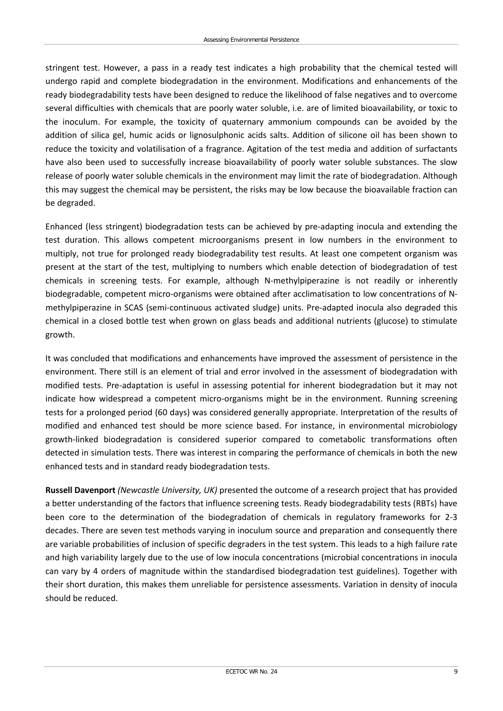stringent test. However, a pass in a ready test indicates a high probability that the chemical tested will undergo rapid and complete biodegradation in the environment. Modifications and enhancements of the ready biodegradability tests have been designed to reduce the likelihood of false negatives and to overcome several difficulties with chemicals that are poorly water soluble, i.e. are of limited bioavailability, or toxic to the inoculum. For example, the toxicity of quaternary ammonium compounds can be avoided by the addition of silica gel, humic acids or lignosulphonic acids salts. Addition of silicone oil has been shown to reduce the toxicity and volatilisation of a fragrance. Agitation of the test media and addition of surfactants have also been used to successfully increase bioavailability of poorly water soluble substances. The slow release of poorly water soluble chemicals in the environment may limit the rate of biodegradation. Although this may suggest the chemical may be persistent, the risks may be low because the bioavailable fraction can be degraded.

Enhanced (less stringent) biodegradation tests can be achieved by pre-adapting inocula and extending the test duration. This allows competent microorganisms present in low numbers in the environment to multiply, not true for prolonged ready biodegradability test results. At least one competent organism was present at the start of the test, multiplying to numbers which enable detection of biodegradation of test chemicals in screening tests. For example, although N-methylpiperazine is not readily or inherently biodegradable, competent micro-organisms were obtained after acclimatisation to low concentrations of Nmethylpiperazine in SCAS (semi-continuous activated sludge) units. Pre-adapted inocula also degraded this chemical in a closed bottle test when grown on glass beads and additional nutrients (glucose) to stimulate growth.

It was concluded that modifications and enhancements have improved the assessment of persistence in the environment. There still is an element of trial and error involved in the assessment of biodegradation with modified tests. Pre-adaptation is useful in assessing potential for inherent biodegradation but it may not indicate how widespread a competent micro-organisms might be in the environment. Running screening tests for a prolonged period (60 days) was considered generally appropriate. Interpretation of the results of modified and enhanced test should be more science based. For instance, in environmental microbiology growth-linked biodegradation is considered superior compared to cometabolic transformations often detected in simulation tests. There was interest in comparing the performance of chemicals in both the new enhanced tests and in standard ready biodegradation tests.

**Russell Davenport** *(Newcastle University, UK)* presented the outcome of a research project that has provided a better understanding of the factors that influence screening tests. Ready biodegradability tests (RBTs) have been core to the determination of the biodegradation of chemicals in regulatory frameworks for 2-3 decades. There are seven test methods varying in inoculum source and preparation and consequently there are variable probabilities of inclusion of specific degraders in the test system. This leads to a high failure rate and high variability largely due to the use of low inocula concentrations (microbial concentrations in inocula can vary by 4 orders of magnitude within the standardised biodegradation test guidelines). Together with their short duration, this makes them unreliable for persistence assessments. Variation in density of inocula should be reduced.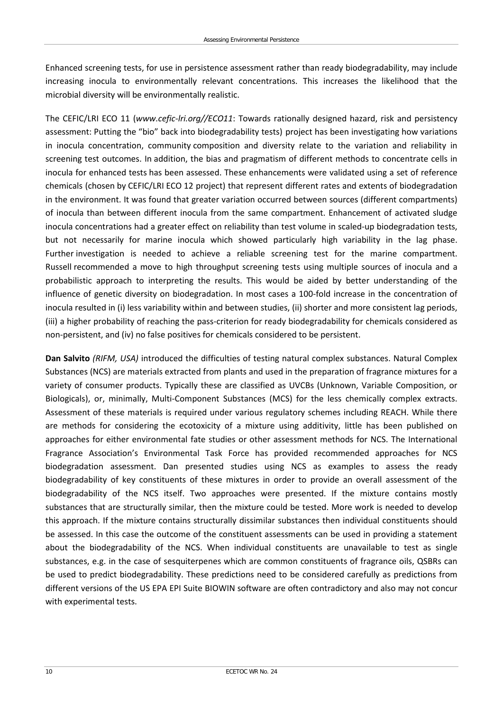Enhanced screening tests, for use in persistence assessment rather than ready biodegradability, may include increasing inocula to environmentally relevant concentrations. This increases the likelihood that the microbial diversity will be environmentally realistic.

The CEFIC/LRI ECO 11 (*www.cefic-lri.org//ECO11*: Towards rationally designed hazard, risk and persistency assessment: Putting the "bio" back into biodegradability tests) project has been investigating how variations in inocula concentration, community composition and diversity relate to the variation and reliability in screening test outcomes. In addition, the bias and pragmatism of different methods to concentrate cells in inocula for enhanced tests has been assessed. These enhancements were validated using a set of reference chemicals (chosen by CEFIC/LRI ECO 12 project) that represent different rates and extents of biodegradation in the environment. It was found that greater variation occurred between sources (different compartments) of inocula than between different inocula from the same compartment. Enhancement of activated sludge inocula concentrations had a greater effect on reliability than test volume in scaled-up biodegradation tests, but not necessarily for marine inocula which showed particularly high variability in the lag phase. Further investigation is needed to achieve a reliable screening test for the marine compartment. Russell recommended a move to high throughput screening tests using multiple sources of inocula and a probabilistic approach to interpreting the results. This would be aided by better understanding of the influence of genetic diversity on biodegradation. In most cases a 100-fold increase in the concentration of inocula resulted in (i) less variability within and between studies, (ii) shorter and more consistent lag periods, (iii) a higher probability of reaching the pass-criterion for ready biodegradability for chemicals considered as non-persistent, and (iv) no false positives for chemicals considered to be persistent.

**Dan Salvito** *(RIFM, USA)* introduced the difficulties of testing natural complex substances. Natural Complex Substances (NCS) are materials extracted from plants and used in the preparation of fragrance mixtures for a variety of consumer products. Typically these are classified as UVCBs (Unknown, Variable Composition, or Biologicals), or, minimally, Multi-Component Substances (MCS) for the less chemically complex extracts. Assessment of these materials is required under various regulatory schemes including REACH. While there are methods for considering the ecotoxicity of a mixture using additivity, little has been published on approaches for either environmental fate studies or other assessment methods for NCS. The International Fragrance Association's Environmental Task Force has provided recommended approaches for NCS biodegradation assessment. Dan presented studies using NCS as examples to assess the ready biodegradability of key constituents of these mixtures in order to provide an overall assessment of the biodegradability of the NCS itself. Two approaches were presented. If the mixture contains mostly substances that are structurally similar, then the mixture could be tested. More work is needed to develop this approach. If the mixture contains structurally dissimilar substances then individual constituents should be assessed. In this case the outcome of the constituent assessments can be used in providing a statement about the biodegradability of the NCS. When individual constituents are unavailable to test as single substances, e.g. in the case of sesquiterpenes which are common constituents of fragrance oils, QSBRs can be used to predict biodegradability. These predictions need to be considered carefully as predictions from different versions of the US EPA EPI Suite BIOWIN software are often contradictory and also may not concur with experimental tests.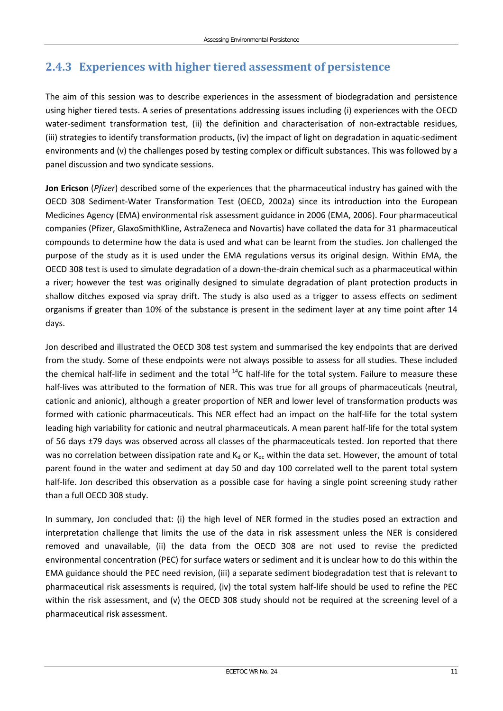## <span id="page-16-0"></span>**2.4.3 Experiences with higher tiered assessment of persistence**

The aim of this session was to describe experiences in the assessment of biodegradation and persistence using higher tiered tests. A series of presentations addressing issues including (i) experiences with the OECD water-sediment transformation test, (ii) the definition and characterisation of non-extractable residues, (iii) strategies to identify transformation products, (iv) the impact of light on degradation in aquatic-sediment environments and (v) the challenges posed by testing complex or difficult substances. This was followed by a panel discussion and two syndicate sessions.

**Jon Ericson** (*Pfizer*) described some of the experiences that the pharmaceutical industry has gained with the OECD 308 Sediment-Water Transformation Test (OECD, 2002a) since its introduction into the European Medicines Agency (EMA) environmental risk assessment guidance in 2006 (EMA, 2006). Four pharmaceutical companies (Pfizer, GlaxoSmithKline, AstraZeneca and Novartis) have collated the data for 31 pharmaceutical compounds to determine how the data is used and what can be learnt from the studies. Jon challenged the purpose of the study as it is used under the EMA regulations versus its original design. Within EMA, the OECD 308 test is used to simulate degradation of a down-the-drain chemical such as a pharmaceutical within a river; however the test was originally designed to simulate degradation of plant protection products in shallow ditches exposed via spray drift. The study is also used as a trigger to assess effects on sediment organisms if greater than 10% of the substance is present in the sediment layer at any time point after 14 days.

Jon described and illustrated the OECD 308 test system and summarised the key endpoints that are derived from the study. Some of these endpoints were not always possible to assess for all studies. These included the chemical half-life in sediment and the total  $^{14}$ C half-life for the total system. Failure to measure these half-lives was attributed to the formation of NER. This was true for all groups of pharmaceuticals (neutral, cationic and anionic), although a greater proportion of NER and lower level of transformation products was formed with cationic pharmaceuticals. This NER effect had an impact on the half-life for the total system leading high variability for cationic and neutral pharmaceuticals. A mean parent half-life for the total system of 56 days ±79 days was observed across all classes of the pharmaceuticals tested. Jon reported that there was no correlation between dissipation rate and  $K_d$  or  $K_{oc}$  within the data set. However, the amount of total parent found in the water and sediment at day 50 and day 100 correlated well to the parent total system half-life. Jon described this observation as a possible case for having a single point screening study rather than a full OECD 308 study.

In summary, Jon concluded that: (i) the high level of NER formed in the studies posed an extraction and interpretation challenge that limits the use of the data in risk assessment unless the NER is considered removed and unavailable, (ii) the data from the OECD 308 are not used to revise the predicted environmental concentration (PEC) for surface waters or sediment and it is unclear how to do this within the EMA guidance should the PEC need revision, (iii) a separate sediment biodegradation test that is relevant to pharmaceutical risk assessments is required, (iv) the total system half-life should be used to refine the PEC within the risk assessment, and (v) the OECD 308 study should not be required at the screening level of a pharmaceutical risk assessment.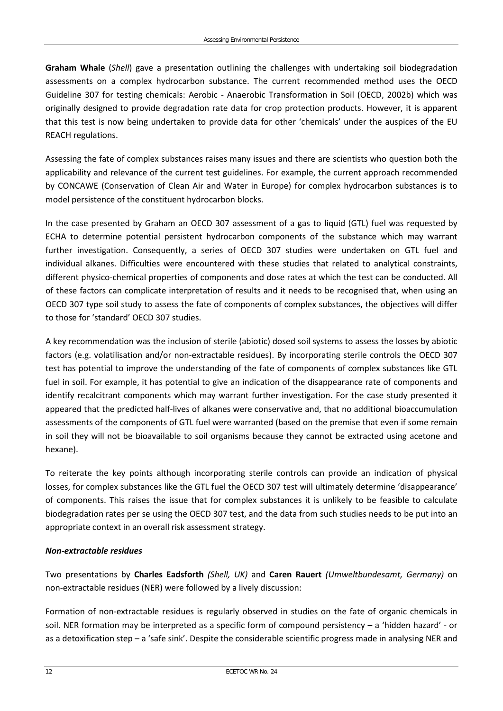**Graham Whale** (*Shell*) gave a presentation outlining the challenges with undertaking soil biodegradation assessments on a complex hydrocarbon substance. The current recommended method uses the OECD Guideline 307 for testing chemicals: Aerobic - Anaerobic Transformation in Soil (OECD, 2002b) which was originally designed to provide degradation rate data for crop protection products. However, it is apparent that this test is now being undertaken to provide data for other 'chemicals' under the auspices of the EU REACH regulations.

Assessing the fate of complex substances raises many issues and there are scientists who question both the applicability and relevance of the current test guidelines. For example, the current approach recommended by CONCAWE (Conservation of Clean Air and Water in Europe) for complex hydrocarbon substances is to model persistence of the constituent hydrocarbon blocks.

In the case presented by Graham an OECD 307 assessment of a gas to liquid (GTL) fuel was requested by ECHA to determine potential persistent hydrocarbon components of the substance which may warrant further investigation. Consequently, a series of OECD 307 studies were undertaken on GTL fuel and individual alkanes. Difficulties were encountered with these studies that related to analytical constraints, different physico-chemical properties of components and dose rates at which the test can be conducted. All of these factors can complicate interpretation of results and it needs to be recognised that, when using an OECD 307 type soil study to assess the fate of components of complex substances, the objectives will differ to those for 'standard' OECD 307 studies.

A key recommendation was the inclusion of sterile (abiotic) dosed soil systems to assess the losses by abiotic factors (e.g. volatilisation and/or non-extractable residues). By incorporating sterile controls the OECD 307 test has potential to improve the understanding of the fate of components of complex substances like GTL fuel in soil. For example, it has potential to give an indication of the disappearance rate of components and identify recalcitrant components which may warrant further investigation. For the case study presented it appeared that the predicted half-lives of alkanes were conservative and, that no additional bioaccumulation assessments of the components of GTL fuel were warranted (based on the premise that even if some remain in soil they will not be bioavailable to soil organisms because they cannot be extracted using acetone and hexane).

To reiterate the key points although incorporating sterile controls can provide an indication of physical losses, for complex substances like the GTL fuel the OECD 307 test will ultimately determine 'disappearance' of components. This raises the issue that for complex substances it is unlikely to be feasible to calculate biodegradation rates per se using the OECD 307 test, and the data from such studies needs to be put into an appropriate context in an overall risk assessment strategy.

### *Non-extractable residues*

Two presentations by **Charles Eadsforth** *(Shell, UK)* and **Caren Rauert** *(Umweltbundesamt, Germany)* on non-extractable residues (NER) were followed by a lively discussion:

Formation of non-extractable residues is regularly observed in studies on the fate of organic chemicals in soil. NER formation may be interpreted as a specific form of compound persistency – a 'hidden hazard' - or as a detoxification step – a 'safe sink'. Despite the considerable scientific progress made in analysing NER and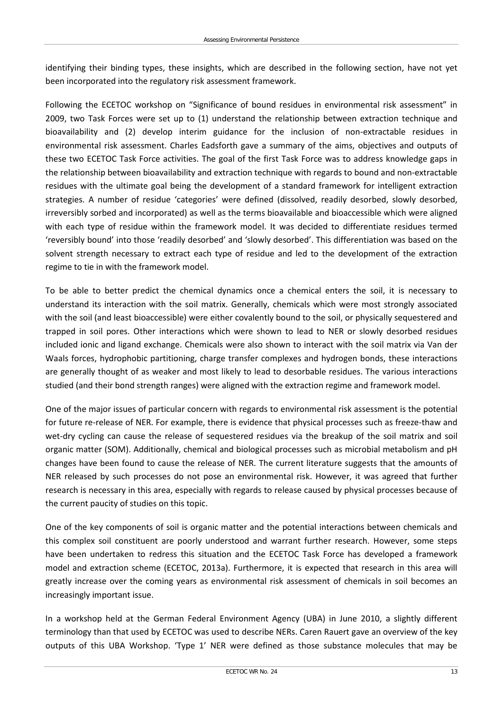identifying their binding types, these insights, which are described in the following section, have not yet been incorporated into the regulatory risk assessment framework.

Following the ECETOC workshop on "Significance of bound residues in environmental risk assessment" in 2009, two Task Forces were set up to (1) understand the relationship between extraction technique and bioavailability and (2) develop interim guidance for the inclusion of non-extractable residues in environmental risk assessment. Charles Eadsforth gave a summary of the aims, objectives and outputs of these two ECETOC Task Force activities. The goal of the first Task Force was to address knowledge gaps in the relationship between bioavailability and extraction technique with regards to bound and non-extractable residues with the ultimate goal being the development of a standard framework for intelligent extraction strategies. A number of residue 'categories' were defined (dissolved, readily desorbed, slowly desorbed, irreversibly sorbed and incorporated) as well as the terms bioavailable and bioaccessible which were aligned with each type of residue within the framework model. It was decided to differentiate residues termed 'reversibly bound' into those 'readily desorbed' and 'slowly desorbed'. This differentiation was based on the solvent strength necessary to extract each type of residue and led to the development of the extraction regime to tie in with the framework model.

To be able to better predict the chemical dynamics once a chemical enters the soil, it is necessary to understand its interaction with the soil matrix. Generally, chemicals which were most strongly associated with the soil (and least bioaccessible) were either covalently bound to the soil, or physically sequestered and trapped in soil pores. Other interactions which were shown to lead to NER or slowly desorbed residues included ionic and ligand exchange. Chemicals were also shown to interact with the soil matrix via Van der Waals forces, hydrophobic partitioning, charge transfer complexes and hydrogen bonds, these interactions are generally thought of as weaker and most likely to lead to desorbable residues. The various interactions studied (and their bond strength ranges) were aligned with the extraction regime and framework model.

One of the major issues of particular concern with regards to environmental risk assessment is the potential for future re-release of NER. For example, there is evidence that physical processes such as freeze-thaw and wet-dry cycling can cause the release of sequestered residues via the breakup of the soil matrix and soil organic matter (SOM). Additionally, chemical and biological processes such as microbial metabolism and pH changes have been found to cause the release of NER. The current literature suggests that the amounts of NER released by such processes do not pose an environmental risk. However, it was agreed that further research is necessary in this area, especially with regards to release caused by physical processes because of the current paucity of studies on this topic.

One of the key components of soil is organic matter and the potential interactions between chemicals and this complex soil constituent are poorly understood and warrant further research. However, some steps have been undertaken to redress this situation and the ECETOC Task Force has developed a framework model and extraction scheme (ECETOC, 2013a). Furthermore, it is expected that research in this area will greatly increase over the coming years as environmental risk assessment of chemicals in soil becomes an increasingly important issue.

In a workshop held at the German Federal Environment Agency (UBA) in June 2010, a slightly different terminology than that used by ECETOC was used to describe NERs. Caren Rauert gave an overview of the key outputs of this UBA Workshop. 'Type 1' NER were defined as those substance molecules that may be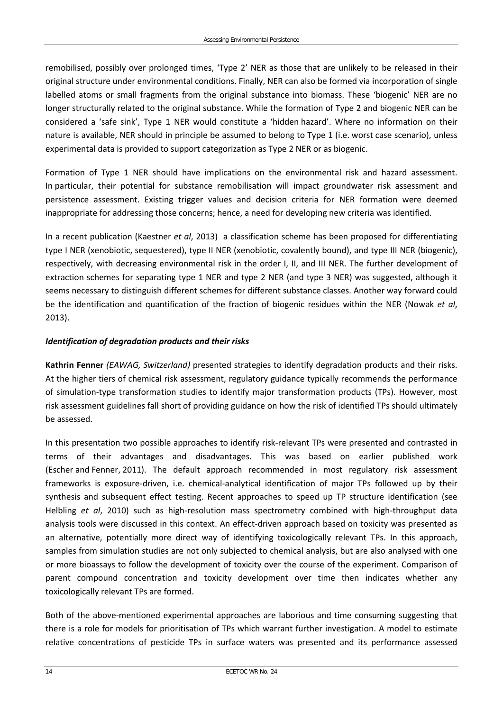remobilised, possibly over prolonged times, 'Type 2' NER as those that are unlikely to be released in their original structure under environmental conditions. Finally, NER can also be formed via incorporation of single labelled atoms or small fragments from the original substance into biomass. These 'biogenic' NER are no longer structurally related to the original substance. While the formation of Type 2 and biogenic NER can be considered a 'safe sink', Type 1 NER would constitute a 'hidden hazard'. Where no information on their nature is available, NER should in principle be assumed to belong to Type 1 (i.e. worst case scenario), unless experimental data is provided to support categorization as Type 2 NER or as biogenic.

Formation of Type 1 NER should have implications on the environmental risk and hazard assessment. In particular, their potential for substance remobilisation will impact groundwater risk assessment and persistence assessment. Existing trigger values and decision criteria for NER formation were deemed inappropriate for addressing those concerns; hence, a need for developing new criteria was identified.

In a recent publication (Kaestner *et al*, 2013) a classification scheme has been proposed for differentiating type I NER (xenobiotic, sequestered), type II NER (xenobiotic, covalently bound), and type III NER (biogenic), respectively, with decreasing environmental risk in the order I, II, and III NER. The further development of extraction schemes for separating type 1 NER and type 2 NER (and type 3 NER) was suggested, although it seems necessary to distinguish different schemes for different substance classes. Another way forward could be the identification and quantification of the fraction of biogenic residues within the NER (Nowak *et al*, 2013).

#### *Identification of degradation products and their risks*

**Kathrin Fenner** *(EAWAG, Switzerland)* presented strategies to identify degradation products and their risks. At the higher tiers of chemical risk assessment, regulatory guidance typically recommends the performance of simulation-type transformation studies to identify major transformation products (TPs). However, most risk assessment guidelines fall short of providing guidance on how the risk of identified TPs should ultimately be assessed.

In this presentation two possible approaches to identify risk-relevant TPs were presented and contrasted in terms of their advantages and disadvantages. This was based on earlier published work (Escher and Fenner, 2011). The default approach recommended in most regulatory risk assessment frameworks is exposure-driven, i.e. chemical-analytical identification of major TPs followed up by their synthesis and subsequent effect testing. Recent approaches to speed up TP structure identification (see Helbling *et al*, 2010) such as high-resolution mass spectrometry combined with high-throughput data analysis tools were discussed in this context. An effect-driven approach based on toxicity was presented as an alternative, potentially more direct way of identifying toxicologically relevant TPs. In this approach, samples from simulation studies are not only subjected to chemical analysis, but are also analysed with one or more bioassays to follow the development of toxicity over the course of the experiment. Comparison of parent compound concentration and toxicity development over time then indicates whether any toxicologically relevant TPs are formed.

Both of the above-mentioned experimental approaches are laborious and time consuming suggesting that there is a role for models for prioritisation of TPs which warrant further investigation. A model to estimate relative concentrations of pesticide TPs in surface waters was presented and its performance assessed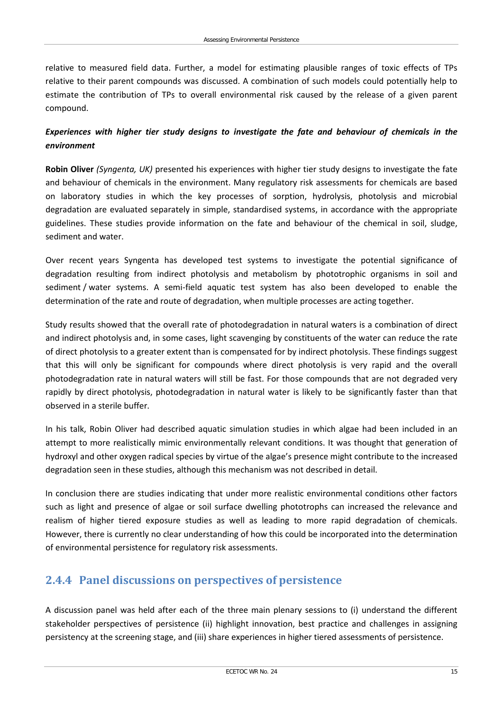relative to measured field data. Further, a model for estimating plausible ranges of toxic effects of TPs relative to their parent compounds was discussed. A combination of such models could potentially help to estimate the contribution of TPs to overall environmental risk caused by the release of a given parent compound.

### *Experiences with higher tier study designs to investigate the fate and behaviour of chemicals in the environment*

**Robin Oliver** *(Syngenta, UK)* presented his experiences with higher tier study designs to investigate the fate and behaviour of chemicals in the environment. Many regulatory risk assessments for chemicals are based on laboratory studies in which the key processes of sorption, hydrolysis, photolysis and microbial degradation are evaluated separately in simple, standardised systems, in accordance with the appropriate guidelines. These studies provide information on the fate and behaviour of the chemical in soil, sludge, sediment and water.

Over recent years Syngenta has developed test systems to investigate the potential significance of degradation resulting from indirect photolysis and metabolism by phototrophic organisms in soil and sediment / water systems. A semi-field aquatic test system has also been developed to enable the determination of the rate and route of degradation, when multiple processes are acting together.

Study results showed that the overall rate of photodegradation in natural waters is a combination of direct and indirect photolysis and, in some cases, light scavenging by constituents of the water can reduce the rate of direct photolysis to a greater extent than is compensated for by indirect photolysis. These findings suggest that this will only be significant for compounds where direct photolysis is very rapid and the overall photodegradation rate in natural waters will still be fast. For those compounds that are not degraded very rapidly by direct photolysis, photodegradation in natural water is likely to be significantly faster than that observed in a sterile buffer.

In his talk, Robin Oliver had described aquatic simulation studies in which algae had been included in an attempt to more realistically mimic environmentally relevant conditions. It was thought that generation of hydroxyl and other oxygen radical species by virtue of the algae's presence might contribute to the increased degradation seen in these studies, although this mechanism was not described in detail.

In conclusion there are studies indicating that under more realistic environmental conditions other factors such as light and presence of algae or soil surface dwelling phototrophs can increased the relevance and realism of higher tiered exposure studies as well as leading to more rapid degradation of chemicals. However, there is currently no clear understanding of how this could be incorporated into the determination of environmental persistence for regulatory risk assessments.

## <span id="page-20-0"></span>**2.4.4 Panel discussions on perspectives of persistence**

A discussion panel was held after each of the three main plenary sessions to (i) understand the different stakeholder perspectives of persistence (ii) highlight innovation, best practice and challenges in assigning persistency at the screening stage, and (iii) share experiences in higher tiered assessments of persistence.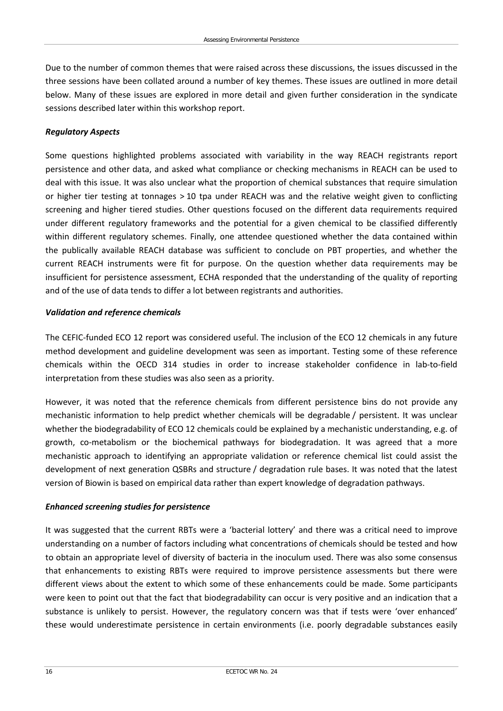Due to the number of common themes that were raised across these discussions, the issues discussed in the three sessions have been collated around a number of key themes. These issues are outlined in more detail below. Many of these issues are explored in more detail and given further consideration in the syndicate sessions described later within this workshop report.

#### *Regulatory Aspects*

Some questions highlighted problems associated with variability in the way REACH registrants report persistence and other data, and asked what compliance or checking mechanisms in REACH can be used to deal with this issue. It was also unclear what the proportion of chemical substances that require simulation or higher tier testing at tonnages > 10 tpa under REACH was and the relative weight given to conflicting screening and higher tiered studies. Other questions focused on the different data requirements required under different regulatory frameworks and the potential for a given chemical to be classified differently within different regulatory schemes. Finally, one attendee questioned whether the data contained within the publically available REACH database was sufficient to conclude on PBT properties, and whether the current REACH instruments were fit for purpose. On the question whether data requirements may be insufficient for persistence assessment, ECHA responded that the understanding of the quality of reporting and of the use of data tends to differ a lot between registrants and authorities.

#### *Validation and reference chemicals*

The CEFIC-funded ECO 12 report was considered useful. The inclusion of the ECO 12 chemicals in any future method development and guideline development was seen as important. Testing some of these reference chemicals within the OECD 314 studies in order to increase stakeholder confidence in lab-to-field interpretation from these studies was also seen as a priority.

However, it was noted that the reference chemicals from different persistence bins do not provide any mechanistic information to help predict whether chemicals will be degradable / persistent. It was unclear whether the biodegradability of ECO 12 chemicals could be explained by a mechanistic understanding, e.g. of growth, co-metabolism or the biochemical pathways for biodegradation. It was agreed that a more mechanistic approach to identifying an appropriate validation or reference chemical list could assist the development of next generation QSBRs and structure / degradation rule bases. It was noted that the latest version of Biowin is based on empirical data rather than expert knowledge of degradation pathways.

#### *Enhanced screening studies for persistence*

It was suggested that the current RBTs were a 'bacterial lottery' and there was a critical need to improve understanding on a number of factors including what concentrations of chemicals should be tested and how to obtain an appropriate level of diversity of bacteria in the inoculum used. There was also some consensus that enhancements to existing RBTs were required to improve persistence assessments but there were different views about the extent to which some of these enhancements could be made. Some participants were keen to point out that the fact that biodegradability can occur is very positive and an indication that a substance is unlikely to persist. However, the regulatory concern was that if tests were 'over enhanced' these would underestimate persistence in certain environments (i.e. poorly degradable substances easily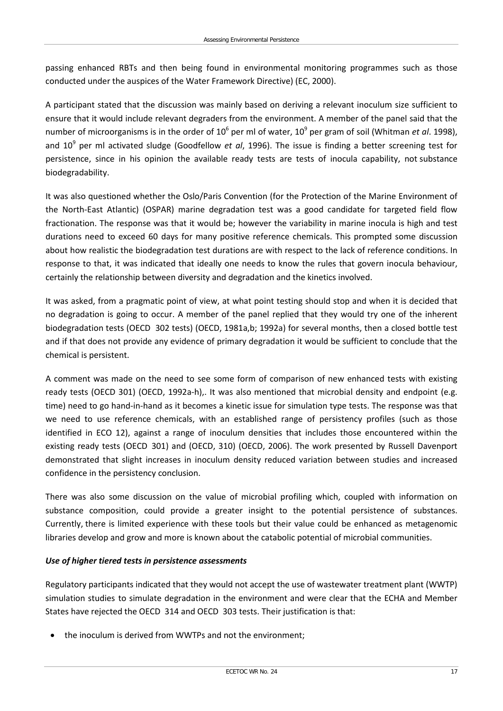passing enhanced RBTs and then being found in environmental monitoring programmes such as those conducted under the auspices of the Water Framework Directive) (EC, 2000).

A participant stated that the discussion was mainly based on deriving a relevant inoculum size sufficient to ensure that it would include relevant degraders from the environment. A member of the panel said that the number of microorganisms is in the order of 10<sup>6</sup> per ml of water, 10<sup>9</sup> per gram of soil (Whitman *et al.* 1998), and 10<sup>9</sup> per ml activated sludge (Goodfellow *et al*, 1996). The issue is finding a better screening test for persistence, since in his opinion the available ready tests are tests of inocula capability, not substance biodegradability.

It was also questioned whether the Oslo/Paris Convention (for the Protection of the Marine Environment of the North-East Atlantic) (OSPAR) marine degradation test was a good candidate for targeted field flow fractionation. The response was that it would be; however the variability in marine inocula is high and test durations need to exceed 60 days for many positive reference chemicals. This prompted some discussion about how realistic the biodegradation test durations are with respect to the lack of reference conditions. In response to that, it was indicated that ideally one needs to know the rules that govern inocula behaviour, certainly the relationship between diversity and degradation and the kinetics involved.

It was asked, from a pragmatic point of view, at what point testing should stop and when it is decided that no degradation is going to occur. A member of the panel replied that they would try one of the inherent biodegradation tests (OECD 302 tests) (OECD, 1981a,b; 1992a) for several months, then a closed bottle test and if that does not provide any evidence of primary degradation it would be sufficient to conclude that the chemical is persistent.

A comment was made on the need to see some form of comparison of new enhanced tests with existing ready tests (OECD 301) (OECD, 1992a-h),. It was also mentioned that microbial density and endpoint (e.g. time) need to go hand-in-hand as it becomes a kinetic issue for simulation type tests. The response was that we need to use reference chemicals, with an established range of persistency profiles (such as those identified in ECO 12), against a range of inoculum densities that includes those encountered within the existing ready tests (OECD 301) and (OECD, 310) (OECD, 2006). The work presented by Russell Davenport demonstrated that slight increases in inoculum density reduced variation between studies and increased confidence in the persistency conclusion.

There was also some discussion on the value of microbial profiling which, coupled with information on substance composition, could provide a greater insight to the potential persistence of substances. Currently, there is limited experience with these tools but their value could be enhanced as metagenomic libraries develop and grow and more is known about the catabolic potential of microbial communities.

#### *Use of higher tiered tests in persistence assessments*

Regulatory participants indicated that they would not accept the use of wastewater treatment plant (WWTP) simulation studies to simulate degradation in the environment and were clear that the ECHA and Member States have rejected the OECD 314 and OECD 303 tests. Their justification is that:

• the inoculum is derived from WWTPs and not the environment;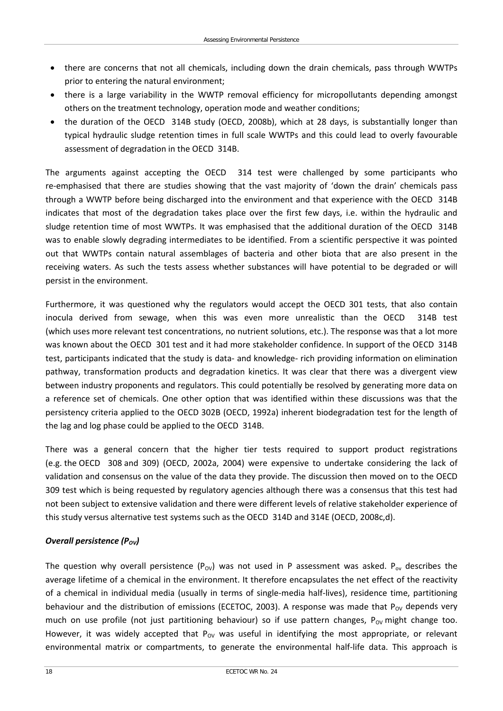- there are concerns that not all chemicals, including down the drain chemicals, pass through WWTPs prior to entering the natural environment;
- there is a large variability in the WWTP removal efficiency for micropollutants depending amongst others on the treatment technology, operation mode and weather conditions;
- the duration of the OECD 314B study (OECD, 2008b), which at 28 days, is substantially longer than typical hydraulic sludge retention times in full scale WWTPs and this could lead to overly favourable assessment of degradation in the OECD 314B.

The arguments against accepting the OECD 314 test were challenged by some participants who re-emphasised that there are studies showing that the vast majority of 'down the drain' chemicals pass through a WWTP before being discharged into the environment and that experience with the OECD 314B indicates that most of the degradation takes place over the first few days, i.e. within the hydraulic and sludge retention time of most WWTPs. It was emphasised that the additional duration of the OECD 314B was to enable slowly degrading intermediates to be identified. From a scientific perspective it was pointed out that WWTPs contain natural assemblages of bacteria and other biota that are also present in the receiving waters. As such the tests assess whether substances will have potential to be degraded or will persist in the environment.

Furthermore, it was questioned why the regulators would accept the OECD 301 tests, that also contain inocula derived from sewage, when this was even more unrealistic than the OECD 314B test (which uses more relevant test concentrations, no nutrient solutions, etc.). The response was that a lot more was known about the OECD 301 test and it had more stakeholder confidence. In support of the OECD 314B test, participants indicated that the study is data- and knowledge- rich providing information on elimination pathway, transformation products and degradation kinetics. It was clear that there was a divergent view between industry proponents and regulators. This could potentially be resolved by generating more data on a reference set of chemicals. One other option that was identified within these discussions was that the persistency criteria applied to the OECD 302B (OECD, 1992a) inherent biodegradation test for the length of the lag and log phase could be applied to the OECD 314B.

There was a general concern that the higher tier tests required to support product registrations (e.g. the OECD 308 and 309) (OECD, 2002a, 2004) were expensive to undertake considering the lack of validation and consensus on the value of the data they provide. The discussion then moved on to the OECD 309 test which is being requested by regulatory agencies although there was a consensus that this test had not been subject to extensive validation and there were different levels of relative stakeholder experience of this study versus alternative test systems such as the OECD 314D and 314E (OECD, 2008c,d).

### **Overall persistence (P<sub>ov</sub>)**

The question why overall persistence (P<sub>ov</sub>) was not used in P assessment was asked. P<sub>ov</sub> describes the average lifetime of a chemical in the environment. It therefore encapsulates the net effect of the reactivity of a chemical in individual media (usually in terms of single-media half-lives), residence time, partitioning behaviour and the distribution of emissions (ECETOC, 2003). A response was made that  $P_{\text{ov}}$  depends very much on use profile (not just partitioning behaviour) so if use pattern changes,  $P_{\text{OV}}$  might change too. However, it was widely accepted that  $P_{\text{OV}}$  was useful in identifying the most appropriate, or relevant environmental matrix or compartments, to generate the environmental half-life data. This approach is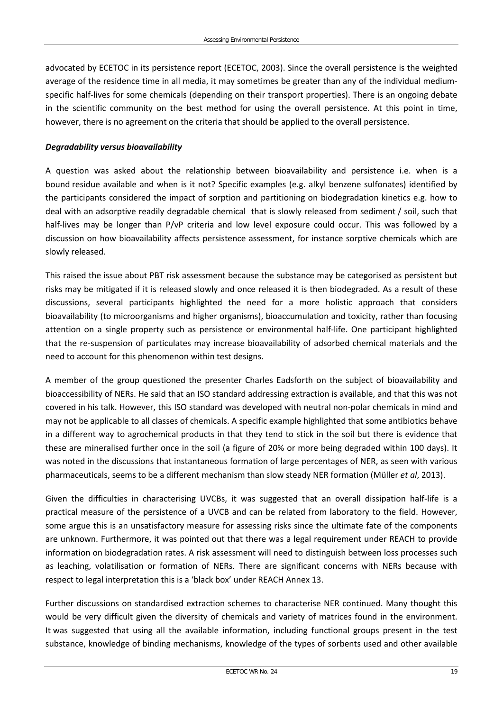advocated by ECETOC in its persistence report (ECETOC, 2003). Since the overall persistence is the weighted average of the residence time in all media, it may sometimes be greater than any of the individual mediumspecific half-lives for some chemicals (depending on their transport properties). There is an ongoing debate in the scientific community on the best method for using the overall persistence. At this point in time, however, there is no agreement on the criteria that should be applied to the overall persistence.

#### *Degradability versus bioavailability*

A question was asked about the relationship between bioavailability and persistence i.e. when is a bound residue available and when is it not? Specific examples (e.g. alkyl benzene sulfonates) identified by the participants considered the impact of sorption and partitioning on biodegradation kinetics e.g. how to deal with an adsorptive readily degradable chemical that is slowly released from sediment / soil, such that half-lives may be longer than P/vP criteria and low level exposure could occur. This was followed by a discussion on how bioavailability affects persistence assessment, for instance sorptive chemicals which are slowly released.

This raised the issue about PBT risk assessment because the substance may be categorised as persistent but risks may be mitigated if it is released slowly and once released it is then biodegraded. As a result of these discussions, several participants highlighted the need for a more holistic approach that considers bioavailability (to microorganisms and higher organisms), bioaccumulation and toxicity, rather than focusing attention on a single property such as persistence or environmental half-life. One participant highlighted that the re-suspension of particulates may increase bioavailability of adsorbed chemical materials and the need to account for this phenomenon within test designs.

A member of the group questioned the presenter Charles Eadsforth on the subject of bioavailability and bioaccessibility of NERs. He said that an ISO standard addressing extraction is available, and that this was not covered in his talk. However, this ISO standard was developed with neutral non-polar chemicals in mind and may not be applicable to all classes of chemicals. A specific example highlighted that some antibiotics behave in a different way to agrochemical products in that they tend to stick in the soil but there is evidence that these are mineralised further once in the soil (a figure of 20% or more being degraded within 100 days). It was noted in the discussions that instantaneous formation of large percentages of NER, as seen with various pharmaceuticals, seems to be a different mechanism than slow steady NER formation (Müller *et al*, 2013).

Given the difficulties in characterising UVCBs, it was suggested that an overall dissipation half-life is a practical measure of the persistence of a UVCB and can be related from laboratory to the field. However, some argue this is an unsatisfactory measure for assessing risks since the ultimate fate of the components are unknown. Furthermore, it was pointed out that there was a legal requirement under REACH to provide information on biodegradation rates. A risk assessment will need to distinguish between loss processes such as leaching, volatilisation or formation of NERs. There are significant concerns with NERs because with respect to legal interpretation this is a 'black box' under REACH Annex 13.

Further discussions on standardised extraction schemes to characterise NER continued. Many thought this would be very difficult given the diversity of chemicals and variety of matrices found in the environment. It was suggested that using all the available information, including functional groups present in the test substance, knowledge of binding mechanisms, knowledge of the types of sorbents used and other available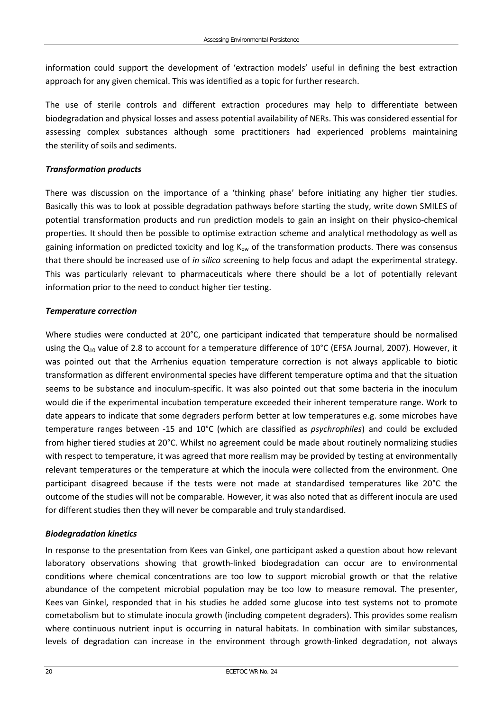information could support the development of 'extraction models' useful in defining the best extraction approach for any given chemical. This was identified as a topic for further research.

The use of sterile controls and different extraction procedures may help to differentiate between biodegradation and physical losses and assess potential availability of NERs. This was considered essential for assessing complex substances although some practitioners had experienced problems maintaining the sterility of soils and sediments.

#### *Transformation products*

There was discussion on the importance of a 'thinking phase' before initiating any higher tier studies. Basically this was to look at possible degradation pathways before starting the study, write down SMILES of potential transformation products and run prediction models to gain an insight on their physico-chemical properties. It should then be possible to optimise extraction scheme and analytical methodology as well as gaining information on predicted toxicity and log  $K_{ow}$  of the transformation products. There was consensus that there should be increased use of *in silico* screening to help focus and adapt the experimental strategy. This was particularly relevant to pharmaceuticals where there should be a lot of potentially relevant information prior to the need to conduct higher tier testing.

#### *Temperature correction*

Where studies were conducted at 20°C, one participant indicated that temperature should be normalised using the  $Q_{10}$  value of 2.8 to account for a temperature difference of 10°C (EFSA Journal, 2007). However, it was pointed out that the Arrhenius equation temperature correction is not always applicable to biotic transformation as different environmental species have different temperature optima and that the situation seems to be substance and inoculum-specific. It was also pointed out that some bacteria in the inoculum would die if the experimental incubation temperature exceeded their inherent temperature range. Work to date appears to indicate that some degraders perform better at low temperatures e.g. some microbes have temperature ranges between -15 and 10°C (which are classified as *psychrophiles*) and could be excluded from higher tiered studies at 20°C. Whilst no agreement could be made about routinely normalizing studies with respect to temperature, it was agreed that more realism may be provided by testing at environmentally relevant temperatures or the temperature at which the inocula were collected from the environment. One participant disagreed because if the tests were not made at standardised temperatures like 20°C the outcome of the studies will not be comparable. However, it was also noted that as different inocula are used for different studies then they will never be comparable and truly standardised.

### *Biodegradation kinetics*

In response to the presentation from Kees van Ginkel, one participant asked a question about how relevant laboratory observations showing that growth-linked biodegradation can occur are to environmental conditions where chemical concentrations are too low to support microbial growth or that the relative abundance of the competent microbial population may be too low to measure removal. The presenter, Kees van Ginkel, responded that in his studies he added some glucose into test systems not to promote cometabolism but to stimulate inocula growth (including competent degraders). This provides some realism where continuous nutrient input is occurring in natural habitats. In combination with similar substances, levels of degradation can increase in the environment through growth-linked degradation, not always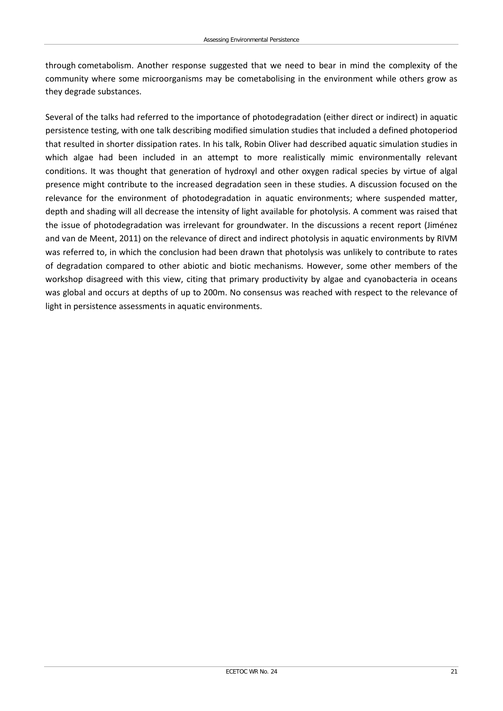through cometabolism. Another response suggested that we need to bear in mind the complexity of the community where some microorganisms may be cometabolising in the environment while others grow as they degrade substances.

Several of the talks had referred to the importance of photodegradation (either direct or indirect) in aquatic persistence testing, with one talk describing modified simulation studies that included a defined photoperiod that resulted in shorter dissipation rates. In his talk, Robin Oliver had described aquatic simulation studies in which algae had been included in an attempt to more realistically mimic environmentally relevant conditions. It was thought that generation of hydroxyl and other oxygen radical species by virtue of algal presence might contribute to the increased degradation seen in these studies. A discussion focused on the relevance for the environment of photodegradation in aquatic environments; where suspended matter, depth and shading will all decrease the intensity of light available for photolysis. A comment was raised that the issue of photodegradation was irrelevant for groundwater. In the discussions a recent report (Jiménez and van de Meent, 2011) on the relevance of direct and indirect photolysis in aquatic environments by RIVM was referred to, in which the conclusion had been drawn that photolysis was unlikely to contribute to rates of degradation compared to other abiotic and biotic mechanisms. However, some other members of the workshop disagreed with this view, citing that primary productivity by algae and cyanobacteria in oceans was global and occurs at depths of up to 200m. No consensus was reached with respect to the relevance of light in persistence assessments in aquatic environments.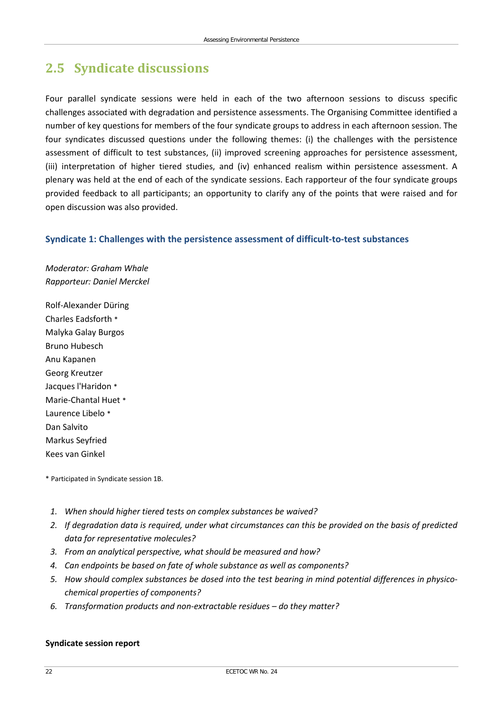# <span id="page-27-0"></span>**2.5 Syndicate discussions**

Four parallel syndicate sessions were held in each of the two afternoon sessions to discuss specific challenges associated with degradation and persistence assessments. The Organising Committee identified a number of key questions for members of the four syndicate groups to address in each afternoon session. The four syndicates discussed questions under the following themes: (i) the challenges with the persistence assessment of difficult to test substances, (ii) improved screening approaches for persistence assessment, (iii) interpretation of higher tiered studies, and (iv) enhanced realism within persistence assessment. A plenary was held at the end of each of the syndicate sessions. Each rapporteur of the four syndicate groups provided feedback to all participants; an opportunity to clarify any of the points that were raised and for open discussion was also provided.

#### **Syndicate 1: Challenges with the persistence assessment of difficult-to-test substances**

*Moderator: Graham Whale Rapporteur: Daniel Merckel*

Rolf-Alexander Düring Charles Eadsforth \* Malyka Galay Burgos Bruno Hubesch Anu Kapanen Georg Kreutzer Jacques l'Haridon \* Marie-Chantal Huet \* Laurence Libelo \* Dan Salvito Markus Seyfried Kees van Ginkel

\* Participated in Syndicate session 1B.

- *1. When should higher tiered tests on complex substances be waived?*
- *2. If degradation data is required, under what circumstances can this be provided on the basis of predicted data for representative molecules?*
- *3. From an analytical perspective, what should be measured and how?*
- *4. Can endpoints be based on fate of whole substance as well as components?*
- *5. How should complex substances be dosed into the test bearing in mind potential differences in physicochemical properties of components?*
- *6. Transformation products and non-extractable residues do they matter?*

#### **Syndicate session report**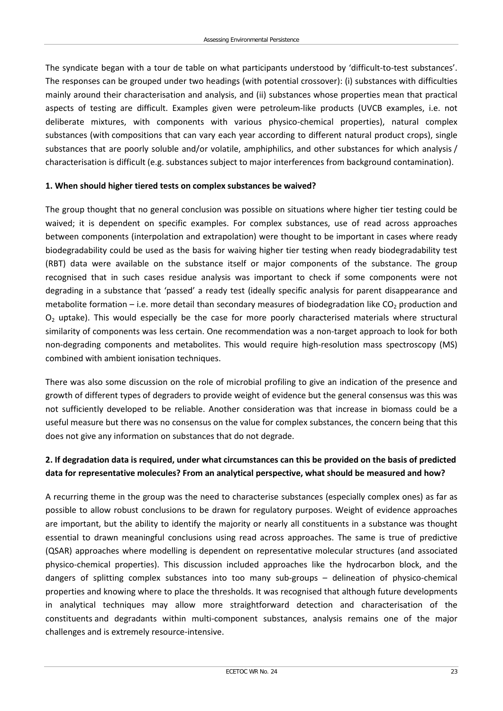The syndicate began with a tour de table on what participants understood by 'difficult-to-test substances'. The responses can be grouped under two headings (with potential crossover): (i) substances with difficulties mainly around their characterisation and analysis, and (ii) substances whose properties mean that practical aspects of testing are difficult. Examples given were petroleum-like products (UVCB examples, i.e. not deliberate mixtures, with components with various physico-chemical properties), natural complex substances (with compositions that can vary each year according to different natural product crops), single substances that are poorly soluble and/or volatile, amphiphilics, and other substances for which analysis / characterisation is difficult (e.g. substances subject to major interferences from background contamination).

#### **1. When should higher tiered tests on complex substances be waived?**

The group thought that no general conclusion was possible on situations where higher tier testing could be waived; it is dependent on specific examples. For complex substances, use of read across approaches between components (interpolation and extrapolation) were thought to be important in cases where ready biodegradability could be used as the basis for waiving higher tier testing when ready biodegradability test (RBT) data were available on the substance itself or major components of the substance. The group recognised that in such cases residue analysis was important to check if some components were not degrading in a substance that 'passed' a ready test (ideally specific analysis for parent disappearance and metabolite formation – i.e. more detail than secondary measures of biodegradation like  $CO<sub>2</sub>$  production and  $O<sub>2</sub>$  uptake). This would especially be the case for more poorly characterised materials where structural similarity of components was less certain. One recommendation was a non-target approach to look for both non-degrading components and metabolites. This would require high-resolution mass spectroscopy (MS) combined with ambient ionisation techniques.

There was also some discussion on the role of microbial profiling to give an indication of the presence and growth of different types of degraders to provide weight of evidence but the general consensus was this was not sufficiently developed to be reliable. Another consideration was that increase in biomass could be a useful measure but there was no consensus on the value for complex substances, the concern being that this does not give any information on substances that do not degrade.

### **2. If degradation data is required, under what circumstances can this be provided on the basis of predicted data for representative molecules? From an analytical perspective, what should be measured and how?**

A recurring theme in the group was the need to characterise substances (especially complex ones) as far as possible to allow robust conclusions to be drawn for regulatory purposes. Weight of evidence approaches are important, but the ability to identify the majority or nearly all constituents in a substance was thought essential to drawn meaningful conclusions using read across approaches. The same is true of predictive (QSAR) approaches where modelling is dependent on representative molecular structures (and associated physico-chemical properties). This discussion included approaches like the hydrocarbon block, and the dangers of splitting complex substances into too many sub-groups – delineation of physico-chemical properties and knowing where to place the thresholds. It was recognised that although future developments in analytical techniques may allow more straightforward detection and characterisation of the constituents and degradants within multi-component substances, analysis remains one of the major challenges and is extremely resource-intensive.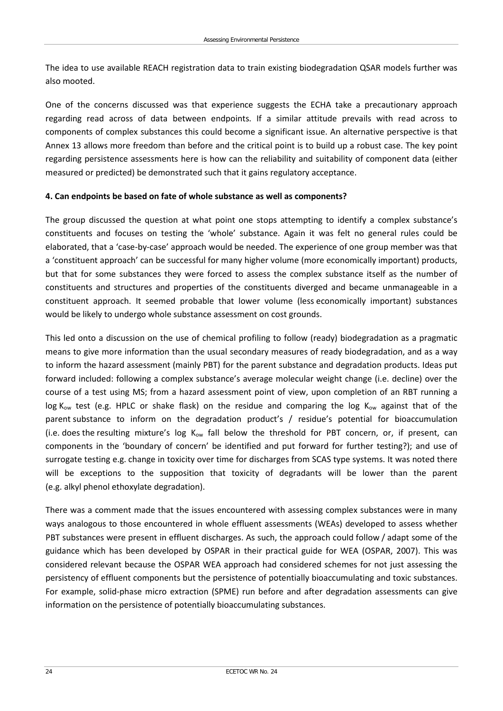The idea to use available REACH registration data to train existing biodegradation QSAR models further was also mooted.

One of the concerns discussed was that experience suggests the ECHA take a precautionary approach regarding read across of data between endpoints. If a similar attitude prevails with read across to components of complex substances this could become a significant issue. An alternative perspective is that Annex 13 allows more freedom than before and the critical point is to build up a robust case. The key point regarding persistence assessments here is how can the reliability and suitability of component data (either measured or predicted) be demonstrated such that it gains regulatory acceptance.

#### **4. Can endpoints be based on fate of whole substance as well as components?**

The group discussed the question at what point one stops attempting to identify a complex substance's constituents and focuses on testing the 'whole' substance. Again it was felt no general rules could be elaborated, that a 'case-by-case' approach would be needed. The experience of one group member was that a 'constituent approach' can be successful for many higher volume (more economically important) products, but that for some substances they were forced to assess the complex substance itself as the number of constituents and structures and properties of the constituents diverged and became unmanageable in a constituent approach. It seemed probable that lower volume (less economically important) substances would be likely to undergo whole substance assessment on cost grounds.

This led onto a discussion on the use of chemical profiling to follow (ready) biodegradation as a pragmatic means to give more information than the usual secondary measures of ready biodegradation, and as a way to inform the hazard assessment (mainly PBT) for the parent substance and degradation products. Ideas put forward included: following a complex substance's average molecular weight change (i.e. decline) over the course of a test using MS; from a hazard assessment point of view, upon completion of an RBT running a log K<sub>ow</sub> test (e.g. HPLC or shake flask) on the residue and comparing the log K<sub>ow</sub> against that of the parent substance to inform on the degradation product's / residue's potential for bioaccumulation (i.e. does the resulting mixture's log  $K_{ow}$  fall below the threshold for PBT concern, or, if present, can components in the 'boundary of concern' be identified and put forward for further testing?); and use of surrogate testing e.g. change in toxicity over time for discharges from SCAS type systems. It was noted there will be exceptions to the supposition that toxicity of degradants will be lower than the parent (e.g. alkyl phenol ethoxylate degradation).

There was a comment made that the issues encountered with assessing complex substances were in many ways analogous to those encountered in whole effluent assessments (WEAs) developed to assess whether PBT substances were present in effluent discharges. As such, the approach could follow / adapt some of the guidance which has been developed by OSPAR in their practical guide for WEA (OSPAR, 2007). This was considered relevant because the OSPAR WEA approach had considered schemes for not just assessing the persistency of effluent components but the persistence of potentially bioaccumulating and toxic substances. For example, solid-phase micro extraction (SPME) run before and after degradation assessments can give information on the persistence of potentially bioaccumulating substances.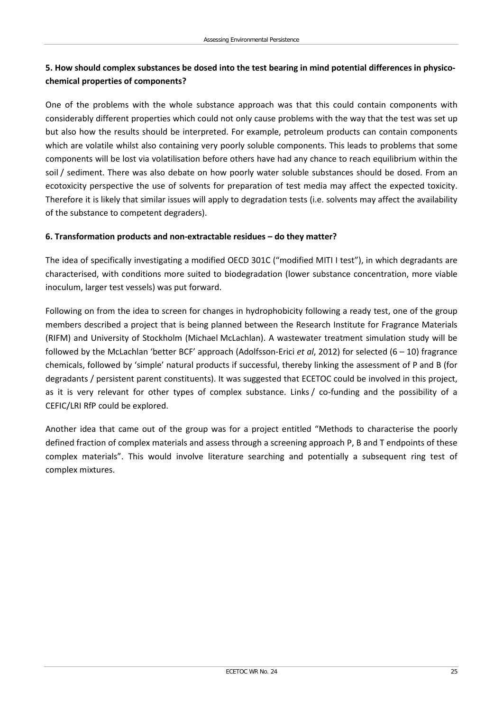### **5. How should complex substances be dosed into the test bearing in mind potential differences in physicochemical properties of components?**

One of the problems with the whole substance approach was that this could contain components with considerably different properties which could not only cause problems with the way that the test was set up but also how the results should be interpreted. For example, petroleum products can contain components which are volatile whilst also containing very poorly soluble components. This leads to problems that some components will be lost via volatilisation before others have had any chance to reach equilibrium within the soil / sediment. There was also debate on how poorly water soluble substances should be dosed. From an ecotoxicity perspective the use of solvents for preparation of test media may affect the expected toxicity. Therefore it is likely that similar issues will apply to degradation tests (i.e. solvents may affect the availability of the substance to competent degraders).

#### **6. Transformation products and non-extractable residues – do they matter?**

The idea of specifically investigating a modified OECD 301C ("modified MITI I test"), in which degradants are characterised, with conditions more suited to biodegradation (lower substance concentration, more viable inoculum, larger test vessels) was put forward.

Following on from the idea to screen for changes in hydrophobicity following a ready test, one of the group members described a project that is being planned between the Research Institute for Fragrance Materials (RIFM) and University of Stockholm (Michael McLachlan). A wastewater treatment simulation study will be followed by the McLachlan 'better BCF' approach (Adolfsson-Erici *et al*, 2012) for selected (6 – 10) fragrance chemicals, followed by 'simple' natural products if successful, thereby linking the assessment of P and B (for degradants / persistent parent constituents). It was suggested that ECETOC could be involved in this project, as it is very relevant for other types of complex substance. Links / co-funding and the possibility of a CEFIC/LRI RfP could be explored.

Another idea that came out of the group was for a project entitled "Methods to characterise the poorly defined fraction of complex materials and assess through a screening approach P, B and T endpoints of these complex materials". This would involve literature searching and potentially a subsequent ring test of complex mixtures.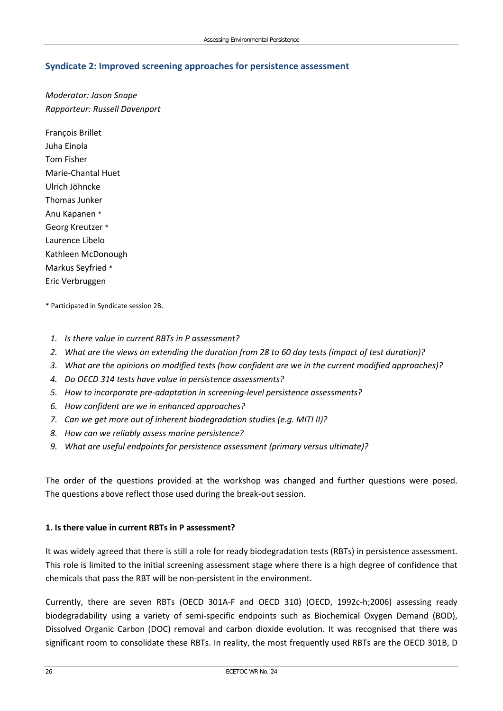#### **Syndicate 2: Improved screening approaches for persistence assessment**

*Moderator: Jason Snape Rapporteur: Russell Davenport*

François Brillet Juha Einola Tom Fisher Marie-Chantal Huet Ulrich Jöhncke Thomas Junker Anu Kapanen \* Georg Kreutzer \* Laurence Libelo Kathleen McDonough Markus Seyfried \* Eric Verbruggen

\* Participated in Syndicate session 2B.

- *1. Is there value in current RBTs in P assessment?*
- *2. What are the views on extending the duration from 28 to 60 day tests (impact of test duration)?*
- *3. What are the opinions on modified tests (how confident are we in the current modified approaches)?*
- *4. Do OECD 314 tests have value in persistence assessments?*
- *5. How to incorporate pre-adaptation in screening-level persistence assessments?*
- *6. How confident are we in enhanced approaches?*
- *7. Can we get more out of inherent biodegradation studies (e.g. MITI II)?*
- *8. How can we reliably assess marine persistence?*
- *9. What are useful endpoints for persistence assessment (primary versus ultimate)?*

The order of the questions provided at the workshop was changed and further questions were posed. The questions above reflect those used during the break-out session.

#### **1. Is there value in current RBTs in P assessment?**

It was widely agreed that there is still a role for ready biodegradation tests (RBTs) in persistence assessment. This role is limited to the initial screening assessment stage where there is a high degree of confidence that chemicals that pass the RBT will be non-persistent in the environment.

Currently, there are seven RBTs (OECD 301A-F and OECD 310) (OECD, 1992c-h;2006) assessing ready biodegradability using a variety of semi-specific endpoints such as Biochemical Oxygen Demand (BOD), Dissolved Organic Carbon (DOC) removal and carbon dioxide evolution. It was recognised that there was significant room to consolidate these RBTs. In reality, the most frequently used RBTs are the OECD 301B, D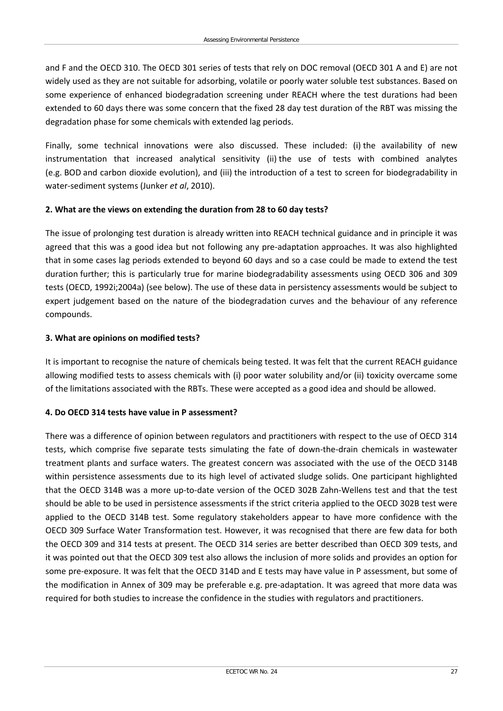and F and the OECD 310. The OECD 301 series of tests that rely on DOC removal (OECD 301 A and E) are not widely used as they are not suitable for adsorbing, volatile or poorly water soluble test substances. Based on some experience of enhanced biodegradation screening under REACH where the test durations had been extended to 60 days there was some concern that the fixed 28 day test duration of the RBT was missing the degradation phase for some chemicals with extended lag periods.

Finally, some technical innovations were also discussed. These included: (i) the availability of new instrumentation that increased analytical sensitivity (ii) the use of tests with combined analytes (e.g. BOD and carbon dioxide evolution), and (iii) the introduction of a test to screen for biodegradability in water-sediment systems (Junker *et al*, 2010).

#### **2. What are the views on extending the duration from 28 to 60 day tests?**

The issue of prolonging test duration is already written into REACH technical guidance and in principle it was agreed that this was a good idea but not following any pre-adaptation approaches. It was also highlighted that in some cases lag periods extended to beyond 60 days and so a case could be made to extend the test duration further; this is particularly true for marine biodegradability assessments using OECD 306 and 309 tests (OECD, 1992i;2004a) (see below). The use of these data in persistency assessments would be subject to expert judgement based on the nature of the biodegradation curves and the behaviour of any reference compounds.

#### **3. What are opinions on modified tests?**

It is important to recognise the nature of chemicals being tested. It was felt that the current REACH guidance allowing modified tests to assess chemicals with (i) poor water solubility and/or (ii) toxicity overcame some of the limitations associated with the RBTs. These were accepted as a good idea and should be allowed.

#### **4. Do OECD 314 tests have value in P assessment?**

There was a difference of opinion between regulators and practitioners with respect to the use of OECD 314 tests, which comprise five separate tests simulating the fate of down-the-drain chemicals in wastewater treatment plants and surface waters. The greatest concern was associated with the use of the OECD 314B within persistence assessments due to its high level of activated sludge solids. One participant highlighted that the OECD 314B was a more up-to-date version of the OCED 302B Zahn-Wellens test and that the test should be able to be used in persistence assessments if the strict criteria applied to the OECD 302B test were applied to the OECD 314B test. Some regulatory stakeholders appear to have more confidence with the OECD 309 Surface Water Transformation test. However, it was recognised that there are few data for both the OECD 309 and 314 tests at present. The OECD 314 series are better described than OECD 309 tests, and it was pointed out that the OECD 309 test also allows the inclusion of more solids and provides an option for some pre-exposure. It was felt that the OECD 314D and E tests may have value in P assessment, but some of the modification in Annex of 309 may be preferable e.g. pre-adaptation. It was agreed that more data was required for both studies to increase the confidence in the studies with regulators and practitioners.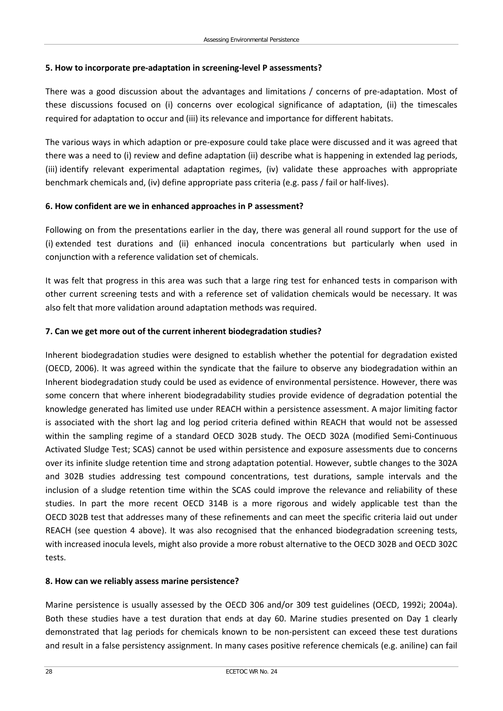#### **5. How to incorporate pre-adaptation in screening-level P assessments?**

There was a good discussion about the advantages and limitations / concerns of pre-adaptation. Most of these discussions focused on (i) concerns over ecological significance of adaptation, (ii) the timescales required for adaptation to occur and (iii) its relevance and importance for different habitats.

The various ways in which adaption or pre-exposure could take place were discussed and it was agreed that there was a need to (i) review and define adaptation (ii) describe what is happening in extended lag periods, (iii) identify relevant experimental adaptation regimes, (iv) validate these approaches with appropriate benchmark chemicals and, (iv) define appropriate pass criteria (e.g. pass / fail or half-lives).

#### **6. How confident are we in enhanced approaches in P assessment?**

Following on from the presentations earlier in the day, there was general all round support for the use of (i) extended test durations and (ii) enhanced inocula concentrations but particularly when used in conjunction with a reference validation set of chemicals.

It was felt that progress in this area was such that a large ring test for enhanced tests in comparison with other current screening tests and with a reference set of validation chemicals would be necessary. It was also felt that more validation around adaptation methods was required.

#### **7. Can we get more out of the current inherent biodegradation studies?**

Inherent biodegradation studies were designed to establish whether the potential for degradation existed (OECD, 2006). It was agreed within the syndicate that the failure to observe any biodegradation within an Inherent biodegradation study could be used as evidence of environmental persistence. However, there was some concern that where inherent biodegradability studies provide evidence of degradation potential the knowledge generated has limited use under REACH within a persistence assessment. A major limiting factor is associated with the short lag and log period criteria defined within REACH that would not be assessed within the sampling regime of a standard OECD 302B study. The OECD 302A (modified Semi-Continuous Activated Sludge Test; SCAS) cannot be used within persistence and exposure assessments due to concerns over its infinite sludge retention time and strong adaptation potential. However, subtle changes to the 302A and 302B studies addressing test compound concentrations, test durations, sample intervals and the inclusion of a sludge retention time within the SCAS could improve the relevance and reliability of these studies. In part the more recent OECD 314B is a more rigorous and widely applicable test than the OECD 302B test that addresses many of these refinements and can meet the specific criteria laid out under REACH (see question 4 above). It was also recognised that the enhanced biodegradation screening tests, with increased inocula levels, might also provide a more robust alternative to the OECD 302B and OECD 302C tests.

#### **8. How can we reliably assess marine persistence?**

Marine persistence is usually assessed by the OECD 306 and/or 309 test guidelines (OECD, 1992i; 2004a). Both these studies have a test duration that ends at day 60. Marine studies presented on Day 1 clearly demonstrated that lag periods for chemicals known to be non-persistent can exceed these test durations and result in a false persistency assignment. In many cases positive reference chemicals (e.g. aniline) can fail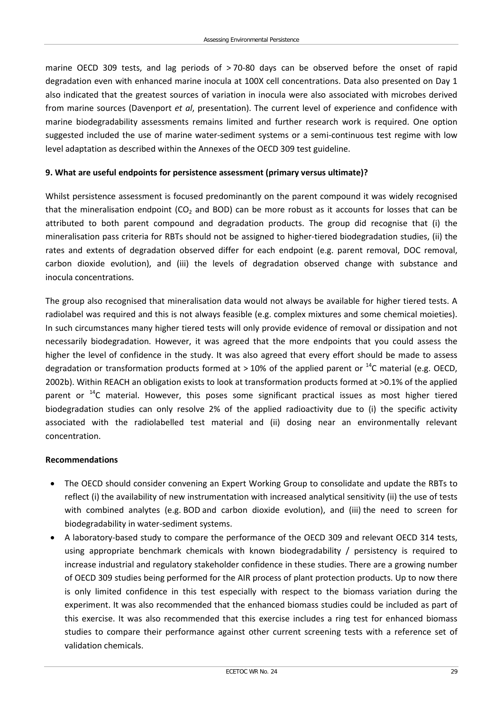marine OECD 309 tests, and lag periods of > 70-80 days can be observed before the onset of rapid degradation even with enhanced marine inocula at 100X cell concentrations. Data also presented on Day 1 also indicated that the greatest sources of variation in inocula were also associated with microbes derived from marine sources (Davenport *et al*, presentation). The current level of experience and confidence with marine biodegradability assessments remains limited and further research work is required. One option suggested included the use of marine water-sediment systems or a semi-continuous test regime with low level adaptation as described within the Annexes of the OECD 309 test guideline.

#### **9. What are useful endpoints for persistence assessment (primary versus ultimate)?**

Whilst persistence assessment is focused predominantly on the parent compound it was widely recognised that the mineralisation endpoint ( $CO<sub>2</sub>$  and BOD) can be more robust as it accounts for losses that can be attributed to both parent compound and degradation products. The group did recognise that (i) the mineralisation pass criteria for RBTs should not be assigned to higher-tiered biodegradation studies, (ii) the rates and extents of degradation observed differ for each endpoint (e.g. parent removal, DOC removal, carbon dioxide evolution), and (iii) the levels of degradation observed change with substance and inocula concentrations.

The group also recognised that mineralisation data would not always be available for higher tiered tests. A radiolabel was required and this is not always feasible (e.g. complex mixtures and some chemical moieties). In such circumstances many higher tiered tests will only provide evidence of removal or dissipation and not necessarily biodegradation. However, it was agreed that the more endpoints that you could assess the higher the level of confidence in the study. It was also agreed that every effort should be made to assess degradation or transformation products formed at  $>$  10% of the applied parent or <sup>14</sup>C material (e.g. OECD, 2002b). Within REACH an obligation exists to look at transformation products formed at >0.1% of the applied parent or 14C material. However, this poses some significant practical issues as most higher tiered biodegradation studies can only resolve 2% of the applied radioactivity due to (i) the specific activity associated with the radiolabelled test material and (ii) dosing near an environmentally relevant concentration.

#### **Recommendations**

- The OECD should consider convening an Expert Working Group to consolidate and update the RBTs to reflect (i) the availability of new instrumentation with increased analytical sensitivity (ii) the use of tests with combined analytes (e.g. BOD and carbon dioxide evolution), and (iii) the need to screen for biodegradability in water-sediment systems.
- A laboratory-based study to compare the performance of the OECD 309 and relevant OECD 314 tests, using appropriate benchmark chemicals with known biodegradability / persistency is required to increase industrial and regulatory stakeholder confidence in these studies. There are a growing number of OECD 309 studies being performed for the AIR process of plant protection products. Up to now there is only limited confidence in this test especially with respect to the biomass variation during the experiment. It was also recommended that the enhanced biomass studies could be included as part of this exercise. It was also recommended that this exercise includes a ring test for enhanced biomass studies to compare their performance against other current screening tests with a reference set of validation chemicals.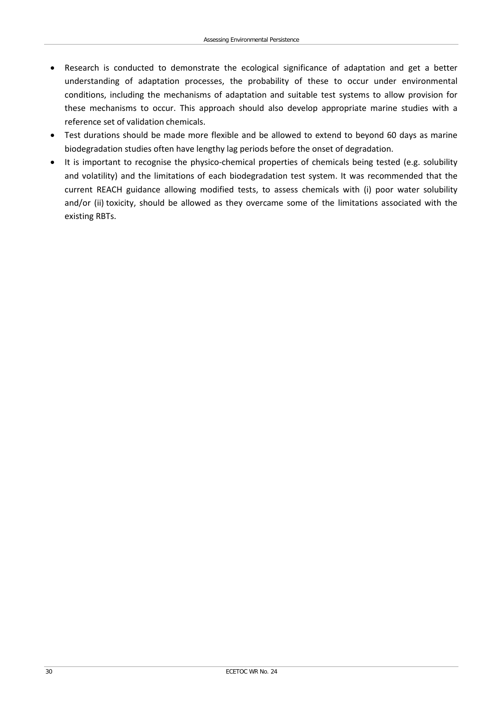- Research is conducted to demonstrate the ecological significance of adaptation and get a better understanding of adaptation processes, the probability of these to occur under environmental conditions, including the mechanisms of adaptation and suitable test systems to allow provision for these mechanisms to occur. This approach should also develop appropriate marine studies with a reference set of validation chemicals.
- Test durations should be made more flexible and be allowed to extend to beyond 60 days as marine biodegradation studies often have lengthy lag periods before the onset of degradation.
- It is important to recognise the physico-chemical properties of chemicals being tested (e.g. solubility and volatility) and the limitations of each biodegradation test system. It was recommended that the current REACH guidance allowing modified tests, to assess chemicals with (i) poor water solubility and/or (ii) toxicity, should be allowed as they overcame some of the limitations associated with the existing RBTs.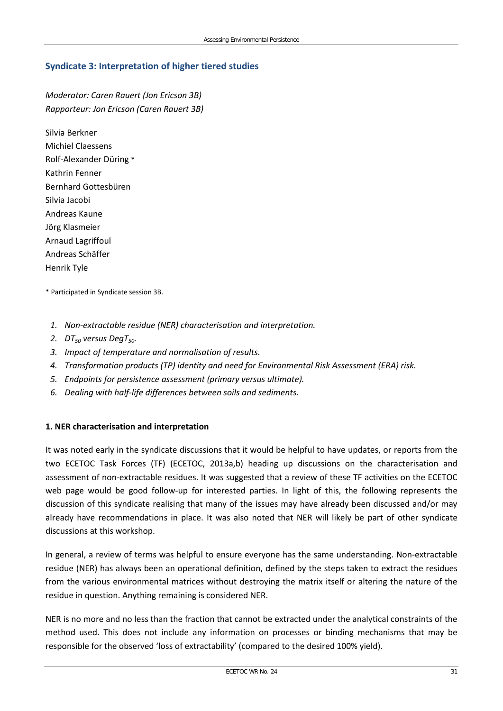### **Syndicate 3: Interpretation of higher tiered studies**

*Moderator: Caren Rauert (Jon Ericson 3B) Rapporteur: Jon Ericson (Caren Rauert 3B)*

Silvia Berkner Michiel Claessens Rolf-Alexander Düring \* Kathrin Fenner Bernhard Gottesbüren Silvia Jacobi Andreas Kaune Jörg Klasmeier Arnaud Lagriffoul Andreas Schäffer Henrik Tyle

\* Participated in Syndicate session 3B.

- *1. Non-extractable residue (NER) characterisation and interpretation.*
- 2.  $DT_{50}$  *versus DegT<sub>50</sub>.*
- *3. Impact of temperature and normalisation of results.*
- *4. Transformation products (TP) identity and need for Environmental Risk Assessment (ERA) risk.*
- *5. Endpoints for persistence assessment (primary versus ultimate).*
- *6. Dealing with half-life differences between soils and sediments.*

#### **1. NER characterisation and interpretation**

It was noted early in the syndicate discussions that it would be helpful to have updates, or reports from the two ECETOC Task Forces (TF) (ECETOC, 2013a,b) heading up discussions on the characterisation and assessment of non-extractable residues. It was suggested that a review of these TF activities on the ECETOC web page would be good follow-up for interested parties. In light of this, the following represents the discussion of this syndicate realising that many of the issues may have already been discussed and/or may already have recommendations in place. It was also noted that NER will likely be part of other syndicate discussions at this workshop.

In general, a review of terms was helpful to ensure everyone has the same understanding. Non-extractable residue (NER) has always been an operational definition, defined by the steps taken to extract the residues from the various environmental matrices without destroying the matrix itself or altering the nature of the residue in question. Anything remaining is considered NER.

NER is no more and no less than the fraction that cannot be extracted under the analytical constraints of the method used. This does not include any information on processes or binding mechanisms that may be responsible for the observed 'loss of extractability' (compared to the desired 100% yield).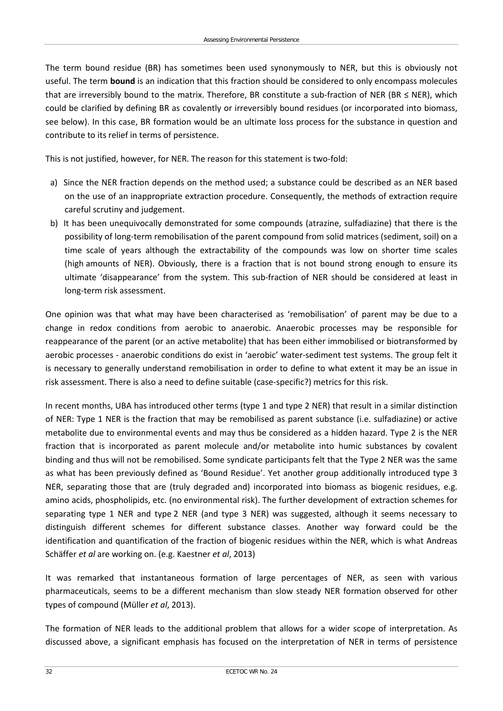The term bound residue (BR) has sometimes been used synonymously to NER, but this is obviously not useful. The term **bound** is an indication that this fraction should be considered to only encompass molecules that are irreversibly bound to the matrix. Therefore, BR constitute a sub-fraction of NER (BR ≤ NER), which could be clarified by defining BR as covalently or irreversibly bound residues (or incorporated into biomass, see below). In this case, BR formation would be an ultimate loss process for the substance in question and contribute to its relief in terms of persistence.

This is not justified, however, for NER. The reason for this statement is two-fold:

- a) Since the NER fraction depends on the method used; a substance could be described as an NER based on the use of an inappropriate extraction procedure. Consequently, the methods of extraction require careful scrutiny and judgement.
- b) It has been unequivocally demonstrated for some compounds (atrazine, sulfadiazine) that there is the possibility of long-term remobilisation of the parent compound from solid matrices (sediment, soil) on a time scale of years although the extractability of the compounds was low on shorter time scales (high amounts of NER). Obviously, there is a fraction that is not bound strong enough to ensure its ultimate 'disappearance' from the system. This sub-fraction of NER should be considered at least in long-term risk assessment.

One opinion was that what may have been characterised as 'remobilisation' of parent may be due to a change in redox conditions from aerobic to anaerobic. Anaerobic processes may be responsible for reappearance of the parent (or an active metabolite) that has been either immobilised or biotransformed by aerobic processes - anaerobic conditions do exist in 'aerobic' water-sediment test systems. The group felt it is necessary to generally understand remobilisation in order to define to what extent it may be an issue in risk assessment. There is also a need to define suitable (case-specific?) metrics for this risk.

In recent months, UBA has introduced other terms (type 1 and type 2 NER) that result in a similar distinction of NER: Type 1 NER is the fraction that may be remobilised as parent substance (i.e. sulfadiazine) or active metabolite due to environmental events and may thus be considered as a hidden hazard. Type 2 is the NER fraction that is incorporated as parent molecule and/or metabolite into humic substances by covalent binding and thus will not be remobilised. Some syndicate participants felt that the Type 2 NER was the same as what has been previously defined as 'Bound Residue'. Yet another group additionally introduced type 3 NER, separating those that are (truly degraded and) incorporated into biomass as biogenic residues, e.g. amino acids, phospholipids, etc. (no environmental risk). The further development of extraction schemes for separating type 1 NER and type 2 NER (and type 3 NER) was suggested, although it seems necessary to distinguish different schemes for different substance classes. Another way forward could be the identification and quantification of the fraction of biogenic residues within the NER, which is what Andreas Schäffer *et al* are working on. (e.g. Kaestner *et al*, 2013)

It was remarked that instantaneous formation of large percentages of NER, as seen with various pharmaceuticals, seems to be a different mechanism than slow steady NER formation observed for other types of compound (Müller *et al*, 2013).

The formation of NER leads to the additional problem that allows for a wider scope of interpretation. As discussed above, a significant emphasis has focused on the interpretation of NER in terms of persistence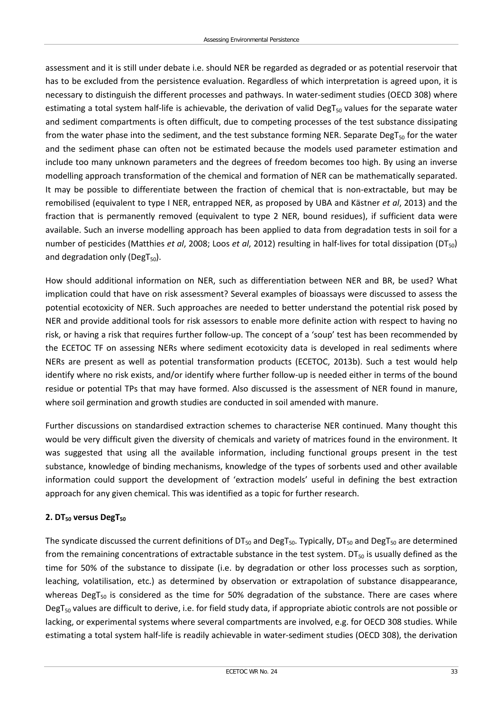assessment and it is still under debate i.e. should NER be regarded as degraded or as potential reservoir that has to be excluded from the persistence evaluation. Regardless of which interpretation is agreed upon, it is necessary to distinguish the different processes and pathways. In water-sediment studies (OECD 308) where estimating a total system half-life is achievable, the derivation of valid DegT $_{50}$  values for the separate water and sediment compartments is often difficult, due to competing processes of the test substance dissipating from the water phase into the sediment, and the test substance forming NER. Separate DegT $_{50}$  for the water and the sediment phase can often not be estimated because the models used parameter estimation and include too many unknown parameters and the degrees of freedom becomes too high. By using an inverse modelling approach transformation of the chemical and formation of NER can be mathematically separated. It may be possible to differentiate between the fraction of chemical that is non-extractable, but may be remobilised (equivalent to type I NER, entrapped NER, as proposed by UBA and Kästner *et al*, 2013) and the fraction that is permanently removed (equivalent to type 2 NER, bound residues), if sufficient data were available. Such an inverse modelling approach has been applied to data from degradation tests in soil for a number of pesticides (Matthies *et al*, 2008; Loos *et al*, 2012) resulting in half-lives for total dissipation (DT50) and degradation only (DegT $_{50}$ ).

How should additional information on NER, such as differentiation between NER and BR, be used? What implication could that have on risk assessment? Several examples of bioassays were discussed to assess the potential ecotoxicity of NER. Such approaches are needed to better understand the potential risk posed by NER and provide additional tools for risk assessors to enable more definite action with respect to having no risk, or having a risk that requires further follow-up. The concept of a 'soup' test has been recommended by the ECETOC TF on assessing NERs where sediment ecotoxicity data is developed in real sediments where NERs are present as well as potential transformation products (ECETOC, 2013b). Such a test would help identify where no risk exists, and/or identify where further follow-up is needed either in terms of the bound residue or potential TPs that may have formed. Also discussed is the assessment of NER found in manure, where soil germination and growth studies are conducted in soil amended with manure.

Further discussions on standardised extraction schemes to characterise NER continued. Many thought this would be very difficult given the diversity of chemicals and variety of matrices found in the environment. It was suggested that using all the available information, including functional groups present in the test substance, knowledge of binding mechanisms, knowledge of the types of sorbents used and other available information could support the development of 'extraction models' useful in defining the best extraction approach for any given chemical. This was identified as a topic for further research.

### 2. DT<sub>50</sub> versus DegT<sub>50</sub>

The syndicate discussed the current definitions of  $DT_{50}$  and DegT<sub>50</sub>. Typically, DT<sub>50</sub> and DegT<sub>50</sub> are determined from the remaining concentrations of extractable substance in the test system. DT $_{50}$  is usually defined as the time for 50% of the substance to dissipate (i.e. by degradation or other loss processes such as sorption, leaching, volatilisation, etc.) as determined by observation or extrapolation of substance disappearance, whereas DegT<sub>50</sub> is considered as the time for 50% degradation of the substance. There are cases where DegT<sub>50</sub> values are difficult to derive, i.e. for field study data, if appropriate abiotic controls are not possible or lacking, or experimental systems where several compartments are involved, e.g. for OECD 308 studies. While estimating a total system half-life is readily achievable in water-sediment studies (OECD 308), the derivation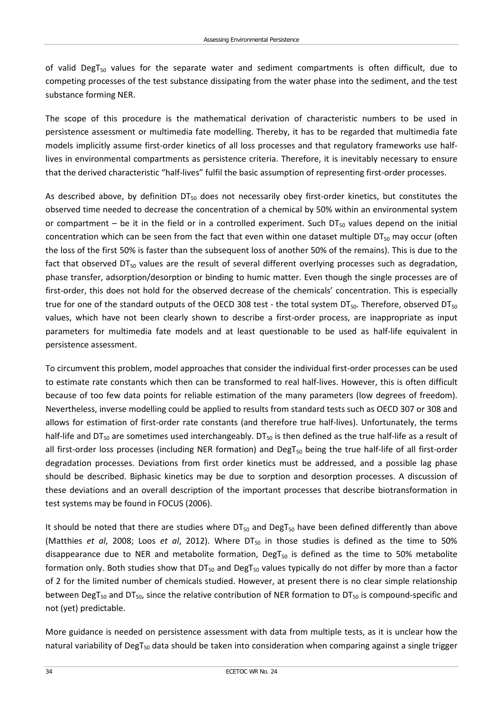of valid DegT<sub>50</sub> values for the separate water and sediment compartments is often difficult, due to competing processes of the test substance dissipating from the water phase into the sediment, and the test substance forming NER.

The scope of this procedure is the mathematical derivation of characteristic numbers to be used in persistence assessment or multimedia fate modelling. Thereby, it has to be regarded that multimedia fate models implicitly assume first-order kinetics of all loss processes and that regulatory frameworks use halflives in environmental compartments as persistence criteria. Therefore, it is inevitably necessary to ensure that the derived characteristic "half-lives" fulfil the basic assumption of representing first-order processes.

As described above, by definition  $DT_{50}$  does not necessarily obey first-order kinetics, but constitutes the observed time needed to decrease the concentration of a chemical by 50% within an environmental system or compartment – be it in the field or in a controlled experiment. Such  $DT_{50}$  values depend on the initial concentration which can be seen from the fact that even within one dataset multiple  $DT_{50}$  may occur (often the loss of the first 50% is faster than the subsequent loss of another 50% of the remains). This is due to the fact that observed  $DT_{50}$  values are the result of several different overlying processes such as degradation, phase transfer, adsorption/desorption or binding to humic matter. Even though the single processes are of first-order, this does not hold for the observed decrease of the chemicals' concentration. This is especially true for one of the standard outputs of the OECD 308 test - the total system  $DT_{50}$ . Therefore, observed  $DT_{50}$ values, which have not been clearly shown to describe a first-order process, are inappropriate as input parameters for multimedia fate models and at least questionable to be used as half-life equivalent in persistence assessment.

To circumvent this problem, model approaches that consider the individual first-order processes can be used to estimate rate constants which then can be transformed to real half-lives. However, this is often difficult because of too few data points for reliable estimation of the many parameters (low degrees of freedom). Nevertheless, inverse modelling could be applied to results from standard tests such as OECD 307 or 308 and allows for estimation of first-order rate constants (and therefore true half-lives). Unfortunately, the terms half-life and DT<sub>50</sub> are sometimes used interchangeably. DT<sub>50</sub> is then defined as the true half-life as a result of all first-order loss processes (including NER formation) and DegT<sub>50</sub> being the true half-life of all first-order degradation processes. Deviations from first order kinetics must be addressed, and a possible lag phase should be described. Biphasic kinetics may be due to sorption and desorption processes. A discussion of these deviations and an overall description of the important processes that describe biotransformation in test systems may be found in FOCUS (2006).

It should be noted that there are studies where  $DT_{50}$  and DegT<sub>50</sub> have been defined differently than above (Matthies *et al*, 2008; Loos *et al*, 2012). Where DT<sub>50</sub> in those studies is defined as the time to 50% disappearance due to NER and metabolite formation,  $DegT_{50}$  is defined as the time to 50% metabolite formation only. Both studies show that  $DT_{50}$  and DegT<sub>50</sub> values typically do not differ by more than a factor of 2 for the limited number of chemicals studied. However, at present there is no clear simple relationship between DegT<sub>50</sub> and DT<sub>50</sub>, since the relative contribution of NER formation to DT<sub>50</sub> is compound-specific and not (yet) predictable.

More guidance is needed on persistence assessment with data from multiple tests, as it is unclear how the natural variability of DegT<sub>50</sub> data should be taken into consideration when comparing against a single trigger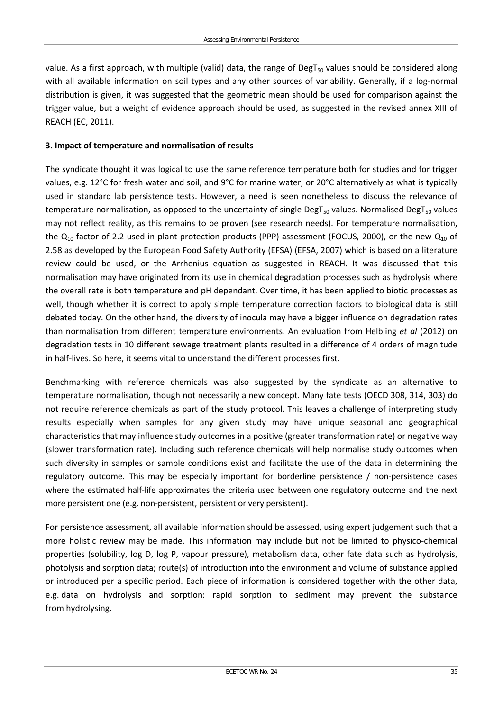value. As a first approach, with multiple (valid) data, the range of  $DegT_{50}$  values should be considered along with all available information on soil types and any other sources of variability. Generally, if a log-normal distribution is given, it was suggested that the geometric mean should be used for comparison against the trigger value, but a weight of evidence approach should be used, as suggested in the revised annex XIII of REACH (EC, 2011).

### **3. Impact of temperature and normalisation of results**

The syndicate thought it was logical to use the same reference temperature both for studies and for trigger values, e.g. 12°C for fresh water and soil, and 9°C for marine water, or 20°C alternatively as what is typically used in standard lab persistence tests. However, a need is seen nonetheless to discuss the relevance of temperature normalisation, as opposed to the uncertainty of single DegT<sub>50</sub> values. Normalised DegT<sub>50</sub> values may not reflect reality, as this remains to be proven (see research needs). For temperature normalisation, the  $Q_{10}$  factor of 2.2 used in plant protection products (PPP) assessment (FOCUS, 2000), or the new  $Q_{10}$  of 2.58 as developed by the European Food Safety Authority (EFSA) (EFSA, 2007) which is based on a literature review could be used, or the Arrhenius equation as suggested in REACH. It was discussed that this normalisation may have originated from its use in chemical degradation processes such as hydrolysis where the overall rate is both temperature and pH dependant. Over time, it has been applied to biotic processes as well, though whether it is correct to apply simple temperature correction factors to biological data is still debated today. On the other hand, the diversity of inocula may have a bigger influence on degradation rates than normalisation from different temperature environments. An evaluation from Helbling *et al* (2012) on degradation tests in 10 different sewage treatment plants resulted in a difference of 4 orders of magnitude in half-lives. So here, it seems vital to understand the different processes first.

Benchmarking with reference chemicals was also suggested by the syndicate as an alternative to temperature normalisation, though not necessarily a new concept. Many fate tests (OECD 308, 314, 303) do not require reference chemicals as part of the study protocol. This leaves a challenge of interpreting study results especially when samples for any given study may have unique seasonal and geographical characteristics that may influence study outcomes in a positive (greater transformation rate) or negative way (slower transformation rate). Including such reference chemicals will help normalise study outcomes when such diversity in samples or sample conditions exist and facilitate the use of the data in determining the regulatory outcome. This may be especially important for borderline persistence / non-persistence cases where the estimated half-life approximates the criteria used between one regulatory outcome and the next more persistent one (e.g. non-persistent, persistent or very persistent).

For persistence assessment, all available information should be assessed, using expert judgement such that a more holistic review may be made. This information may include but not be limited to physico-chemical properties (solubility, log D, log P, vapour pressure), metabolism data, other fate data such as hydrolysis, photolysis and sorption data; route(s) of introduction into the environment and volume of substance applied or introduced per a specific period. Each piece of information is considered together with the other data, e.g. data on hydrolysis and sorption: rapid sorption to sediment may prevent the substance from hydrolysing.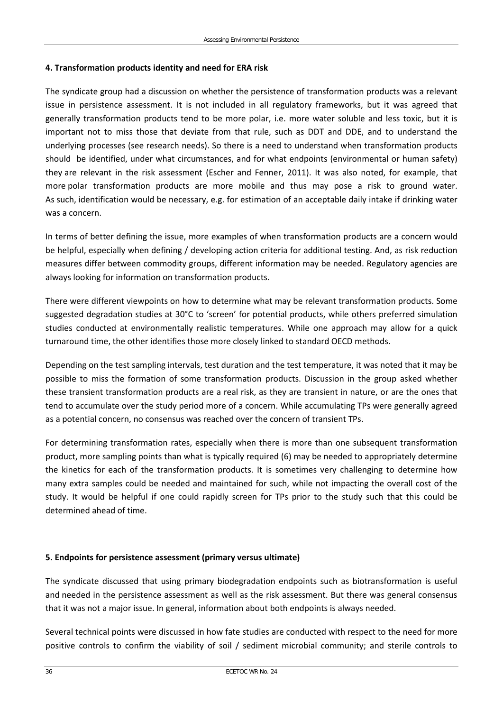### **4. Transformation products identity and need for ERA risk**

The syndicate group had a discussion on whether the persistence of transformation products was a relevant issue in persistence assessment. It is not included in all regulatory frameworks, but it was agreed that generally transformation products tend to be more polar, i.e. more water soluble and less toxic, but it is important not to miss those that deviate from that rule, such as DDT and DDE, and to understand the underlying processes (see research needs). So there is a need to understand when transformation products should be identified, under what circumstances, and for what endpoints (environmental or human safety) they are relevant in the risk assessment (Escher and Fenner, 2011). It was also noted, for example, that more polar transformation products are more mobile and thus may pose a risk to ground water. As such, identification would be necessary, e.g. for estimation of an acceptable daily intake if drinking water was a concern.

In terms of better defining the issue, more examples of when transformation products are a concern would be helpful, especially when defining / developing action criteria for additional testing. And, as risk reduction measures differ between commodity groups, different information may be needed. Regulatory agencies are always looking for information on transformation products.

There were different viewpoints on how to determine what may be relevant transformation products. Some suggested degradation studies at 30°C to 'screen' for potential products, while others preferred simulation studies conducted at environmentally realistic temperatures. While one approach may allow for a quick turnaround time, the other identifies those more closely linked to standard OECD methods.

Depending on the test sampling intervals, test duration and the test temperature, it was noted that it may be possible to miss the formation of some transformation products. Discussion in the group asked whether these transient transformation products are a real risk, as they are transient in nature, or are the ones that tend to accumulate over the study period more of a concern. While accumulating TPs were generally agreed as a potential concern, no consensus was reached over the concern of transient TPs.

For determining transformation rates, especially when there is more than one subsequent transformation product, more sampling points than what is typically required (6) may be needed to appropriately determine the kinetics for each of the transformation products. It is sometimes very challenging to determine how many extra samples could be needed and maintained for such, while not impacting the overall cost of the study. It would be helpful if one could rapidly screen for TPs prior to the study such that this could be determined ahead of time.

### **5. Endpoints for persistence assessment (primary versus ultimate)**

The syndicate discussed that using primary biodegradation endpoints such as biotransformation is useful and needed in the persistence assessment as well as the risk assessment. But there was general consensus that it was not a major issue. In general, information about both endpoints is always needed.

Several technical points were discussed in how fate studies are conducted with respect to the need for more positive controls to confirm the viability of soil / sediment microbial community; and sterile controls to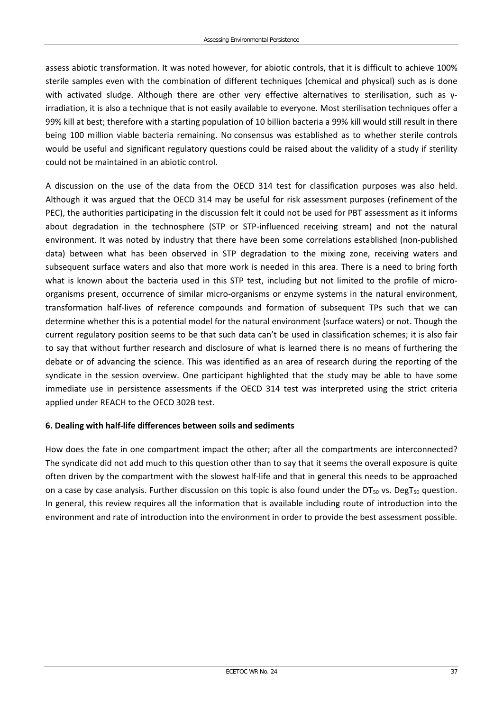assess abiotic transformation. It was noted however, for abiotic controls, that it is difficult to achieve 100% sterile samples even with the combination of different techniques (chemical and physical) such as is done with activated sludge. Although there are other very effective alternatives to sterilisation, such as γirradiation, it is also a technique that is not easily available to everyone. Most sterilisation techniques offer a 99% kill at best; therefore with a starting population of 10 billion bacteria a 99% kill would still result in there being 100 million viable bacteria remaining. No consensus was established as to whether sterile controls would be useful and significant regulatory questions could be raised about the validity of a study if sterility could not be maintained in an abiotic control.

A discussion on the use of the data from the OECD 314 test for classification purposes was also held. Although it was argued that the OECD 314 may be useful for risk assessment purposes (refinement of the PEC), the authorities participating in the discussion felt it could not be used for PBT assessment as it informs about degradation in the technosphere (STP or STP-influenced receiving stream) and not the natural environment. It was noted by industry that there have been some correlations established (non-published data) between what has been observed in STP degradation to the mixing zone, receiving waters and subsequent surface waters and also that more work is needed in this area. There is a need to bring forth what is known about the bacteria used in this STP test, including but not limited to the profile of microorganisms present, occurrence of similar micro-organisms or enzyme systems in the natural environment, transformation half-lives of reference compounds and formation of subsequent TPs such that we can determine whether this is a potential model for the natural environment (surface waters) or not. Though the current regulatory position seems to be that such data can't be used in classification schemes; it is also fair to say that without further research and disclosure of what is learned there is no means of furthering the debate or of advancing the science. This was identified as an area of research during the reporting of the syndicate in the session overview. One participant highlighted that the study may be able to have some immediate use in persistence assessments if the OECD 314 test was interpreted using the strict criteria applied under REACH to the OECD 302B test.

### **6. Dealing with half-life differences between soils and sediments**

How does the fate in one compartment impact the other; after all the compartments are interconnected? The syndicate did not add much to this question other than to say that it seems the overall exposure is quite often driven by the compartment with the slowest half-life and that in general this needs to be approached on a case by case analysis. Further discussion on this topic is also found under the  $DT_{50}$  vs. DegT<sub>50</sub> question. In general, this review requires all the information that is available including route of introduction into the environment and rate of introduction into the environment in order to provide the best assessment possible.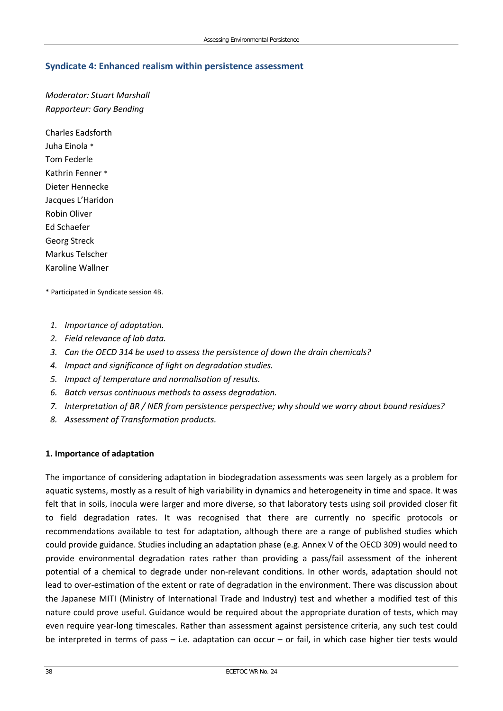### **Syndicate 4: Enhanced realism within persistence assessment**

*Moderator: Stuart Marshall Rapporteur: Gary Bending*

Charles Eadsforth Juha Einola \* Tom Federle Kathrin Fenner \* Dieter Hennecke Jacques L'Haridon Robin Oliver Ed Schaefer Georg Streck Markus Telscher Karoline Wallner

\* Participated in Syndicate session 4B.

- *1. Importance of adaptation.*
- *2. Field relevance of lab data.*
- *3. Can the OECD 314 be used to assess the persistence of down the drain chemicals?*
- *4. Impact and significance of light on degradation studies.*
- *5. Impact of temperature and normalisation of results.*
- *6. Batch versus continuous methods to assess degradation.*
- *7. Interpretation of BR / NER from persistence perspective; why should we worry about bound residues?*
- *8. Assessment of Transformation products.*

#### **1. Importance of adaptation**

The importance of considering adaptation in biodegradation assessments was seen largely as a problem for aquatic systems, mostly as a result of high variability in dynamics and heterogeneity in time and space. It was felt that in soils, inocula were larger and more diverse, so that laboratory tests using soil provided closer fit to field degradation rates. It was recognised that there are currently no specific protocols or recommendations available to test for adaptation, although there are a range of published studies which could provide guidance. Studies including an adaptation phase (e.g. Annex V of the OECD 309) would need to provide environmental degradation rates rather than providing a pass/fail assessment of the inherent potential of a chemical to degrade under non-relevant conditions. In other words, adaptation should not lead to over-estimation of the extent or rate of degradation in the environment. There was discussion about the Japanese MITI (Ministry of International Trade and Industry) test and whether a modified test of this nature could prove useful. Guidance would be required about the appropriate duration of tests, which may even require year-long timescales. Rather than assessment against persistence criteria, any such test could be interpreted in terms of pass – i.e. adaptation can occur – or fail, in which case higher tier tests would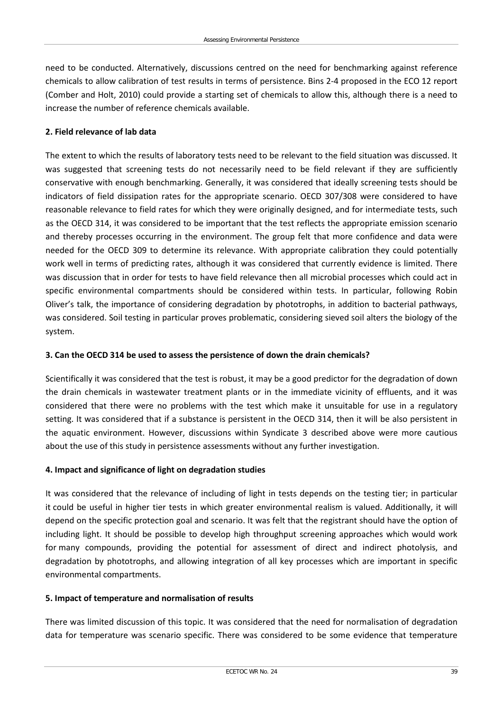need to be conducted. Alternatively, discussions centred on the need for benchmarking against reference chemicals to allow calibration of test results in terms of persistence. Bins 2-4 proposed in the ECO 12 report (Comber and Holt, 2010) could provide a starting set of chemicals to allow this, although there is a need to increase the number of reference chemicals available.

### **2. Field relevance of lab data**

The extent to which the results of laboratory tests need to be relevant to the field situation was discussed. It was suggested that screening tests do not necessarily need to be field relevant if they are sufficiently conservative with enough benchmarking. Generally, it was considered that ideally screening tests should be indicators of field dissipation rates for the appropriate scenario. OECD 307/308 were considered to have reasonable relevance to field rates for which they were originally designed, and for intermediate tests, such as the OECD 314, it was considered to be important that the test reflects the appropriate emission scenario and thereby processes occurring in the environment. The group felt that more confidence and data were needed for the OECD 309 to determine its relevance. With appropriate calibration they could potentially work well in terms of predicting rates, although it was considered that currently evidence is limited. There was discussion that in order for tests to have field relevance then all microbial processes which could act in specific environmental compartments should be considered within tests. In particular, following Robin Oliver's talk, the importance of considering degradation by phototrophs, in addition to bacterial pathways, was considered. Soil testing in particular proves problematic, considering sieved soil alters the biology of the system.

### **3. Can the OECD 314 be used to assess the persistence of down the drain chemicals?**

Scientifically it was considered that the test is robust, it may be a good predictor for the degradation of down the drain chemicals in wastewater treatment plants or in the immediate vicinity of effluents, and it was considered that there were no problems with the test which make it unsuitable for use in a regulatory setting. It was considered that if a substance is persistent in the OECD 314, then it will be also persistent in the aquatic environment. However, discussions within Syndicate 3 described above were more cautious about the use of this study in persistence assessments without any further investigation.

### **4. Impact and significance of light on degradation studies**

It was considered that the relevance of including of light in tests depends on the testing tier; in particular it could be useful in higher tier tests in which greater environmental realism is valued. Additionally, it will depend on the specific protection goal and scenario. It was felt that the registrant should have the option of including light. It should be possible to develop high throughput screening approaches which would work for many compounds, providing the potential for assessment of direct and indirect photolysis, and degradation by phototrophs, and allowing integration of all key processes which are important in specific environmental compartments.

### **5. Impact of temperature and normalisation of results**

There was limited discussion of this topic. It was considered that the need for normalisation of degradation data for temperature was scenario specific. There was considered to be some evidence that temperature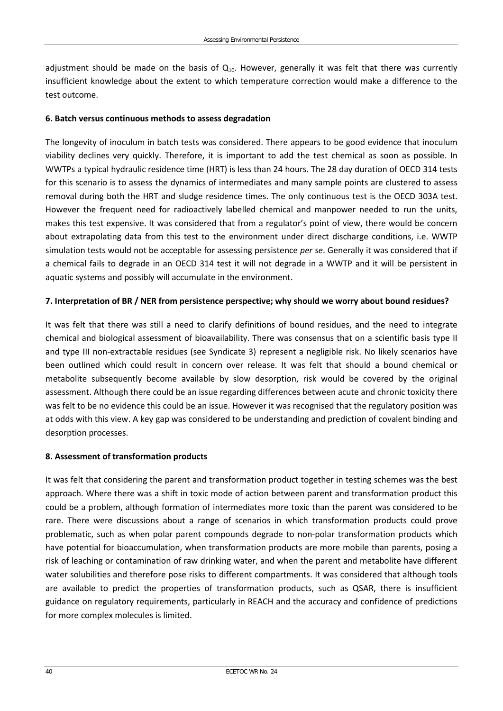adjustment should be made on the basis of  $Q_{10}$ . However, generally it was felt that there was currently insufficient knowledge about the extent to which temperature correction would make a difference to the test outcome.

#### **6. Batch versus continuous methods to assess degradation**

The longevity of inoculum in batch tests was considered. There appears to be good evidence that inoculum viability declines very quickly. Therefore, it is important to add the test chemical as soon as possible. In WWTPs a typical hydraulic residence time (HRT) is less than 24 hours. The 28 day duration of OECD 314 tests for this scenario is to assess the dynamics of intermediates and many sample points are clustered to assess removal during both the HRT and sludge residence times. The only continuous test is the OECD 303A test. However the frequent need for radioactively labelled chemical and manpower needed to run the units, makes this test expensive. It was considered that from a regulator's point of view, there would be concern about extrapolating data from this test to the environment under direct discharge conditions, i.e. WWTP simulation tests would not be acceptable for assessing persistence *per se*. Generally it was considered that if a chemical fails to degrade in an OECD 314 test it will not degrade in a WWTP and it will be persistent in aquatic systems and possibly will accumulate in the environment.

### **7. Interpretation of BR / NER from persistence perspective; why should we worry about bound residues?**

It was felt that there was still a need to clarify definitions of bound residues, and the need to integrate chemical and biological assessment of bioavailability. There was consensus that on a scientific basis type II and type III non-extractable residues (see Syndicate 3) represent a negligible risk. No likely scenarios have been outlined which could result in concern over release. It was felt that should a bound chemical or metabolite subsequently become available by slow desorption, risk would be covered by the original assessment. Although there could be an issue regarding differences between acute and chronic toxicity there was felt to be no evidence this could be an issue. However it was recognised that the regulatory position was at odds with this view. A key gap was considered to be understanding and prediction of covalent binding and desorption processes.

### **8. Assessment of transformation products**

It was felt that considering the parent and transformation product together in testing schemes was the best approach. Where there was a shift in toxic mode of action between parent and transformation product this could be a problem, although formation of intermediates more toxic than the parent was considered to be rare. There were discussions about a range of scenarios in which transformation products could prove problematic, such as when polar parent compounds degrade to non-polar transformation products which have potential for bioaccumulation, when transformation products are more mobile than parents, posing a risk of leaching or contamination of raw drinking water, and when the parent and metabolite have different water solubilities and therefore pose risks to different compartments. It was considered that although tools are available to predict the properties of transformation products, such as QSAR, there is insufficient guidance on regulatory requirements, particularly in REACH and the accuracy and confidence of predictions for more complex molecules is limited.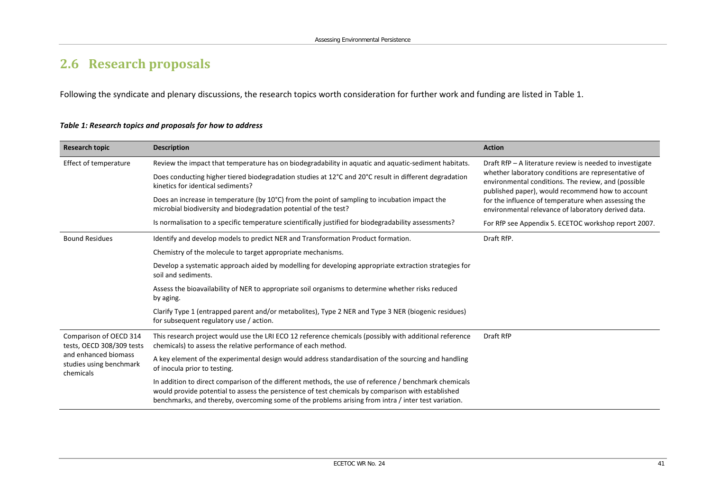## **2.6 Research proposals**

Following the syndicate and plenary discussions, the research topics worth consideration for further work and funding are listed in Table 1.

| <b>Research topic</b>                                                                                               | <b>Description</b>                                                                                                                                                                                                                                                                                                 | <b>Action</b>                                                                                                                                                  |
|---------------------------------------------------------------------------------------------------------------------|--------------------------------------------------------------------------------------------------------------------------------------------------------------------------------------------------------------------------------------------------------------------------------------------------------------------|----------------------------------------------------------------------------------------------------------------------------------------------------------------|
| Effect of temperature                                                                                               | Review the impact that temperature has on biodegradability in aquatic and aquatic-sediment habitats.                                                                                                                                                                                                               | Draft RfP - A literature review is needed to investigate                                                                                                       |
|                                                                                                                     | Does conducting higher tiered biodegradation studies at 12°C and 20°C result in different degradation<br>kinetics for identical sediments?                                                                                                                                                                         | whether laboratory conditions are representative of<br>environmental conditions. The review, and (possible<br>published paper), would recommend how to account |
|                                                                                                                     | Does an increase in temperature (by $10^{\circ}$ C) from the point of sampling to incubation impact the<br>microbial biodiversity and biodegradation potential of the test?                                                                                                                                        | for the influence of temperature when assessing the<br>environmental relevance of laboratory derived data.                                                     |
|                                                                                                                     | Is normalisation to a specific temperature scientifically justified for biodegradability assessments?                                                                                                                                                                                                              | For RfP see Appendix 5. ECETOC workshop report 2007.                                                                                                           |
| <b>Bound Residues</b>                                                                                               | Identify and develop models to predict NER and Transformation Product formation.                                                                                                                                                                                                                                   | Draft RfP.                                                                                                                                                     |
|                                                                                                                     | Chemistry of the molecule to target appropriate mechanisms.                                                                                                                                                                                                                                                        |                                                                                                                                                                |
|                                                                                                                     | Develop a systematic approach aided by modelling for developing appropriate extraction strategies for<br>soil and sediments.                                                                                                                                                                                       |                                                                                                                                                                |
|                                                                                                                     | Assess the bioavailability of NER to appropriate soil organisms to determine whether risks reduced<br>by aging.                                                                                                                                                                                                    |                                                                                                                                                                |
|                                                                                                                     | Clarify Type 1 (entrapped parent and/or metabolites), Type 2 NER and Type 3 NER (biogenic residues)<br>for subsequent regulatory use / action.                                                                                                                                                                     |                                                                                                                                                                |
| Comparison of OECD 314<br>tests, OECD 308/309 tests<br>and enhanced biomass<br>studies using benchmark<br>chemicals | This research project would use the LRI ECO 12 reference chemicals (possibly with additional reference<br>chemicals) to assess the relative performance of each method.                                                                                                                                            | Draft RfP                                                                                                                                                      |
|                                                                                                                     | A key element of the experimental design would address standardisation of the sourcing and handling<br>of inocula prior to testing.                                                                                                                                                                                |                                                                                                                                                                |
|                                                                                                                     | In addition to direct comparison of the different methods, the use of reference / benchmark chemicals<br>would provide potential to assess the persistence of test chemicals by comparison with established<br>benchmarks, and thereby, overcoming some of the problems arising from intra / inter test variation. |                                                                                                                                                                |

#### *Table 1: Research topics and proposals for how to address*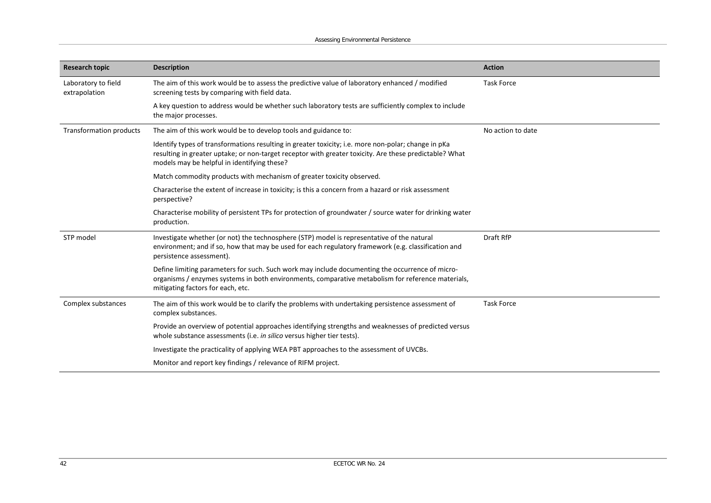| <b>Research topic</b>                | <b>Description</b>                                                                                                                                                                                                                                           | <b>Action</b>     |
|--------------------------------------|--------------------------------------------------------------------------------------------------------------------------------------------------------------------------------------------------------------------------------------------------------------|-------------------|
| Laboratory to field<br>extrapolation | The aim of this work would be to assess the predictive value of laboratory enhanced / modified<br>screening tests by comparing with field data.                                                                                                              | <b>Task Force</b> |
|                                      | A key question to address would be whether such laboratory tests are sufficiently complex to include<br>the major processes.                                                                                                                                 |                   |
| <b>Transformation products</b>       | The aim of this work would be to develop tools and guidance to:                                                                                                                                                                                              | No action to date |
|                                      | Identify types of transformations resulting in greater toxicity; i.e. more non-polar; change in pKa<br>resulting in greater uptake; or non-target receptor with greater toxicity. Are these predictable? What<br>models may be helpful in identifying these? |                   |
|                                      | Match commodity products with mechanism of greater toxicity observed.                                                                                                                                                                                        |                   |
|                                      | Characterise the extent of increase in toxicity; is this a concern from a hazard or risk assessment<br>perspective?                                                                                                                                          |                   |
|                                      | Characterise mobility of persistent TPs for protection of groundwater / source water for drinking water<br>production.                                                                                                                                       |                   |
| STP model                            | Investigate whether (or not) the technosphere (STP) model is representative of the natural<br>environment; and if so, how that may be used for each regulatory framework (e.g. classification and<br>persistence assessment).                                | Draft RfP         |
|                                      | Define limiting parameters for such. Such work may include documenting the occurrence of micro-<br>organisms / enzymes systems in both environments, comparative metabolism for reference materials,<br>mitigating factors for each, etc.                    |                   |
| Complex substances                   | The aim of this work would be to clarify the problems with undertaking persistence assessment of<br>complex substances.                                                                                                                                      | <b>Task Force</b> |
|                                      | Provide an overview of potential approaches identifying strengths and weaknesses of predicted versus<br>whole substance assessments (i.e. in silico versus higher tier tests).                                                                               |                   |
|                                      | Investigate the practicality of applying WEA PBT approaches to the assessment of UVCBs.                                                                                                                                                                      |                   |
|                                      | Monitor and report key findings / relevance of RIFM project.                                                                                                                                                                                                 |                   |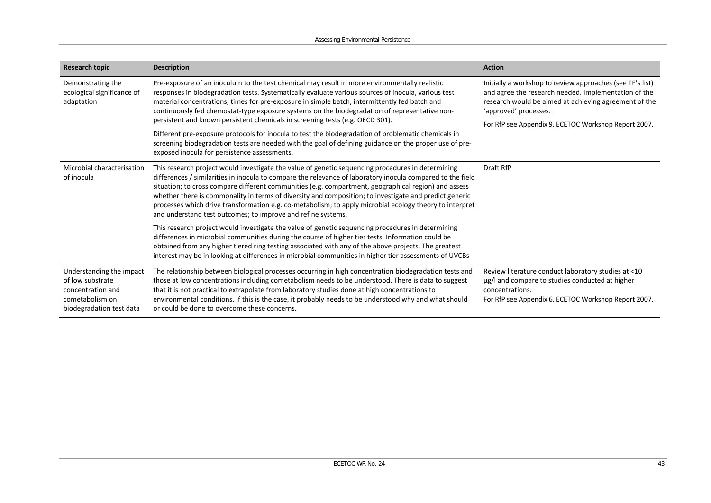| <b>Research topic</b>                                                                                            | <b>Description</b>                                                                                                                                                                                                                                                                                                                                                                                                                                                                                                                                                                                           | <b>Action</b>                                                                                                                                                                                       |
|------------------------------------------------------------------------------------------------------------------|--------------------------------------------------------------------------------------------------------------------------------------------------------------------------------------------------------------------------------------------------------------------------------------------------------------------------------------------------------------------------------------------------------------------------------------------------------------------------------------------------------------------------------------------------------------------------------------------------------------|-----------------------------------------------------------------------------------------------------------------------------------------------------------------------------------------------------|
| Demonstrating the<br>ecological significance of<br>adaptation                                                    | Pre-exposure of an inoculum to the test chemical may result in more environmentally realistic<br>responses in biodegradation tests. Systematically evaluate various sources of inocula, various test<br>material concentrations, times for pre-exposure in simple batch, intermittently fed batch and<br>continuously fed chemostat-type exposure systems on the biodegradation of representative non-                                                                                                                                                                                                       | Initially a workshop to review approaches (see TF's list)<br>and agree the research needed. Implementation of the<br>research would be aimed at achieving agreement of the<br>'approved' processes. |
|                                                                                                                  | persistent and known persistent chemicals in screening tests (e.g. OECD 301).<br>Different pre-exposure protocols for inocula to test the biodegradation of problematic chemicals in<br>screening biodegradation tests are needed with the goal of defining guidance on the proper use of pre-<br>exposed inocula for persistence assessments.                                                                                                                                                                                                                                                               | For RfP see Appendix 9. ECETOC Workshop Report 2007.                                                                                                                                                |
| Microbial characterisation<br>of inocula                                                                         | This research project would investigate the value of genetic sequencing procedures in determining<br>differences / similarities in inocula to compare the relevance of laboratory inocula compared to the field<br>situation; to cross compare different communities (e.g. compartment, geographical region) and assess<br>whether there is commonality in terms of diversity and composition; to investigate and predict generic<br>processes which drive transformation e.g. co-metabolism; to apply microbial ecology theory to interpret<br>and understand test outcomes; to improve and refine systems. | Draft RfP                                                                                                                                                                                           |
|                                                                                                                  | This research project would investigate the value of genetic sequencing procedures in determining<br>differences in microbial communities during the course of higher tier tests. Information could be<br>obtained from any higher tiered ring testing associated with any of the above projects. The greatest<br>interest may be in looking at differences in microbial communities in higher tier assessments of UVCBs                                                                                                                                                                                     |                                                                                                                                                                                                     |
| Understanding the impact<br>of low substrate<br>concentration and<br>cometabolism on<br>biodegradation test data | The relationship between biological processes occurring in high concentration biodegradation tests and<br>those at low concentrations including cometabolism needs to be understood. There is data to suggest<br>that it is not practical to extrapolate from laboratory studies done at high concentrations to<br>environmental conditions. If this is the case, it probably needs to be understood why and what should<br>or could be done to overcome these concerns.                                                                                                                                     | Review literature conduct laboratory studies at <10<br>µg/I and compare to studies conducted at higher<br>concentrations.<br>For RfP see Appendix 6. ECETOC Workshop Report 2007.                   |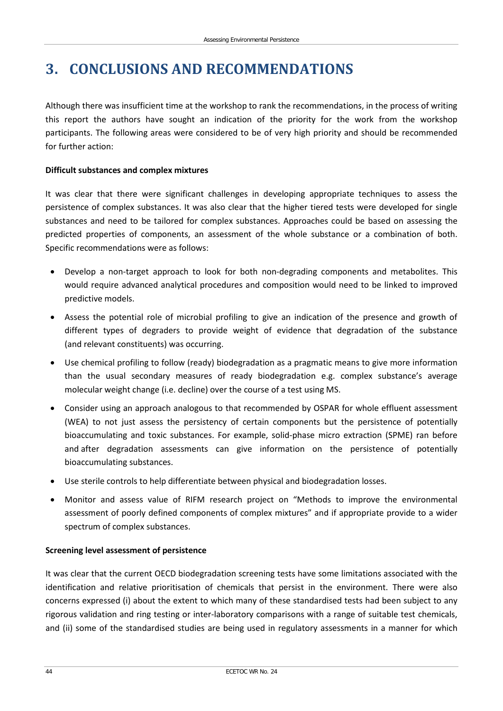# **3. CONCLUSIONS AND RECOMMENDATIONS**

Although there was insufficient time at the workshop to rank the recommendations, in the process of writing this report the authors have sought an indication of the priority for the work from the workshop participants. The following areas were considered to be of very high priority and should be recommended for further action:

### **Difficult substances and complex mixtures**

It was clear that there were significant challenges in developing appropriate techniques to assess the persistence of complex substances. It was also clear that the higher tiered tests were developed for single substances and need to be tailored for complex substances. Approaches could be based on assessing the predicted properties of components, an assessment of the whole substance or a combination of both. Specific recommendations were as follows:

- Develop a non-target approach to look for both non-degrading components and metabolites. This would require advanced analytical procedures and composition would need to be linked to improved predictive models.
- Assess the potential role of microbial profiling to give an indication of the presence and growth of different types of degraders to provide weight of evidence that degradation of the substance (and relevant constituents) was occurring.
- Use chemical profiling to follow (ready) biodegradation as a pragmatic means to give more information than the usual secondary measures of ready biodegradation e.g. complex substance's average molecular weight change (i.e. decline) over the course of a test using MS.
- Consider using an approach analogous to that recommended by OSPAR for whole effluent assessment (WEA) to not just assess the persistency of certain components but the persistence of potentially bioaccumulating and toxic substances. For example, solid-phase micro extraction (SPME) ran before and after degradation assessments can give information on the persistence of potentially bioaccumulating substances.
- Use sterile controls to help differentiate between physical and biodegradation losses.
- Monitor and assess value of RIFM research project on "Methods to improve the environmental assessment of poorly defined components of complex mixtures" and if appropriate provide to a wider spectrum of complex substances.

### **Screening level assessment of persistence**

It was clear that the current OECD biodegradation screening tests have some limitations associated with the identification and relative prioritisation of chemicals that persist in the environment. There were also concerns expressed (i) about the extent to which many of these standardised tests had been subject to any rigorous validation and ring testing or inter-laboratory comparisons with a range of suitable test chemicals, and (ii) some of the standardised studies are being used in regulatory assessments in a manner for which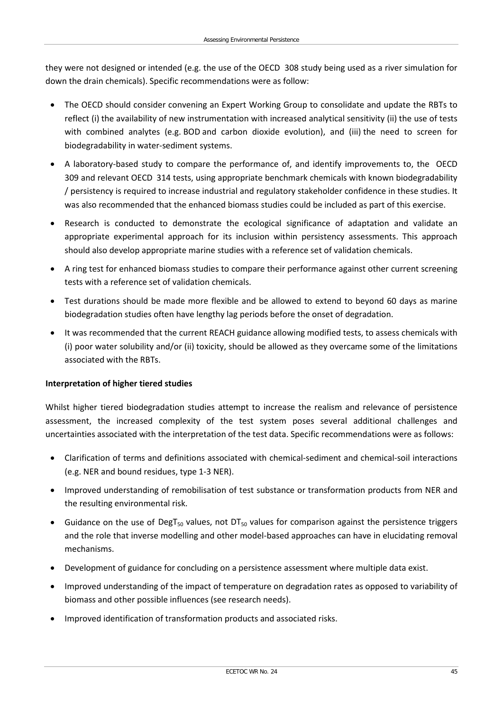they were not designed or intended (e.g. the use of the OECD 308 study being used as a river simulation for down the drain chemicals). Specific recommendations were as follow:

- The OECD should consider convening an Expert Working Group to consolidate and update the RBTs to reflect (i) the availability of new instrumentation with increased analytical sensitivity (ii) the use of tests with combined analytes (e.g. BOD and carbon dioxide evolution), and (iii) the need to screen for biodegradability in water-sediment systems.
- A laboratory-based study to compare the performance of, and identify improvements to, the OECD 309 and relevant OECD 314 tests, using appropriate benchmark chemicals with known biodegradability / persistency is required to increase industrial and regulatory stakeholder confidence in these studies. It was also recommended that the enhanced biomass studies could be included as part of this exercise.
- Research is conducted to demonstrate the ecological significance of adaptation and validate an appropriate experimental approach for its inclusion within persistency assessments. This approach should also develop appropriate marine studies with a reference set of validation chemicals.
- A ring test for enhanced biomass studies to compare their performance against other current screening tests with a reference set of validation chemicals.
- Test durations should be made more flexible and be allowed to extend to beyond 60 days as marine biodegradation studies often have lengthy lag periods before the onset of degradation.
- It was recommended that the current REACH guidance allowing modified tests, to assess chemicals with (i) poor water solubility and/or (ii) toxicity, should be allowed as they overcame some of the limitations associated with the RBTs.

### **Interpretation of higher tiered studies**

Whilst higher tiered biodegradation studies attempt to increase the realism and relevance of persistence assessment, the increased complexity of the test system poses several additional challenges and uncertainties associated with the interpretation of the test data. Specific recommendations were as follows:

- Clarification of terms and definitions associated with chemical-sediment and chemical-soil interactions (e.g. NER and bound residues, type 1-3 NER).
- Improved understanding of remobilisation of test substance or transformation products from NER and the resulting environmental risk.
- Guidance on the use of DegT<sub>50</sub> values, not DT<sub>50</sub> values for comparison against the persistence triggers and the role that inverse modelling and other model-based approaches can have in elucidating removal mechanisms.
- Development of guidance for concluding on a persistence assessment where multiple data exist.
- Improved understanding of the impact of temperature on degradation rates as opposed to variability of biomass and other possible influences (see research needs).
- Improved identification of transformation products and associated risks.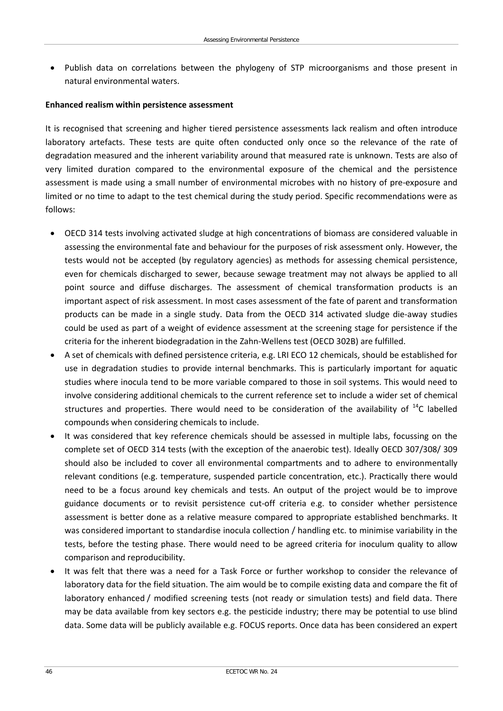• Publish data on correlations between the phylogeny of STP microorganisms and those present in natural environmental waters.

#### **Enhanced realism within persistence assessment**

It is recognised that screening and higher tiered persistence assessments lack realism and often introduce laboratory artefacts. These tests are quite often conducted only once so the relevance of the rate of degradation measured and the inherent variability around that measured rate is unknown. Tests are also of very limited duration compared to the environmental exposure of the chemical and the persistence assessment is made using a small number of environmental microbes with no history of pre-exposure and limited or no time to adapt to the test chemical during the study period. Specific recommendations were as follows:

- OECD 314 tests involving activated sludge at high concentrations of biomass are considered valuable in assessing the environmental fate and behaviour for the purposes of risk assessment only. However, the tests would not be accepted (by regulatory agencies) as methods for assessing chemical persistence, even for chemicals discharged to sewer, because sewage treatment may not always be applied to all point source and diffuse discharges. The assessment of chemical transformation products is an important aspect of risk assessment. In most cases assessment of the fate of parent and transformation products can be made in a single study. Data from the OECD 314 activated sludge die-away studies could be used as part of a weight of evidence assessment at the screening stage for persistence if the criteria for the inherent biodegradation in the Zahn-Wellens test (OECD 302B) are fulfilled.
- A set of chemicals with defined persistence criteria, e.g. LRI ECO 12 chemicals, should be established for use in degradation studies to provide internal benchmarks. This is particularly important for aquatic studies where inocula tend to be more variable compared to those in soil systems. This would need to involve considering additional chemicals to the current reference set to include a wider set of chemical structures and properties. There would need to be consideration of the availability of  $^{14}C$  labelled compounds when considering chemicals to include.
- It was considered that key reference chemicals should be assessed in multiple labs, focussing on the complete set of OECD 314 tests (with the exception of the anaerobic test). Ideally OECD 307/308/ 309 should also be included to cover all environmental compartments and to adhere to environmentally relevant conditions (e.g. temperature, suspended particle concentration, etc.). Practically there would need to be a focus around key chemicals and tests. An output of the project would be to improve guidance documents or to revisit persistence cut-off criteria e.g. to consider whether persistence assessment is better done as a relative measure compared to appropriate established benchmarks. It was considered important to standardise inocula collection / handling etc. to minimise variability in the tests, before the testing phase. There would need to be agreed criteria for inoculum quality to allow comparison and reproducibility.
- It was felt that there was a need for a Task Force or further workshop to consider the relevance of laboratory data for the field situation. The aim would be to compile existing data and compare the fit of laboratory enhanced / modified screening tests (not ready or simulation tests) and field data. There may be data available from key sectors e.g. the pesticide industry; there may be potential to use blind data. Some data will be publicly available e.g. FOCUS reports. Once data has been considered an expert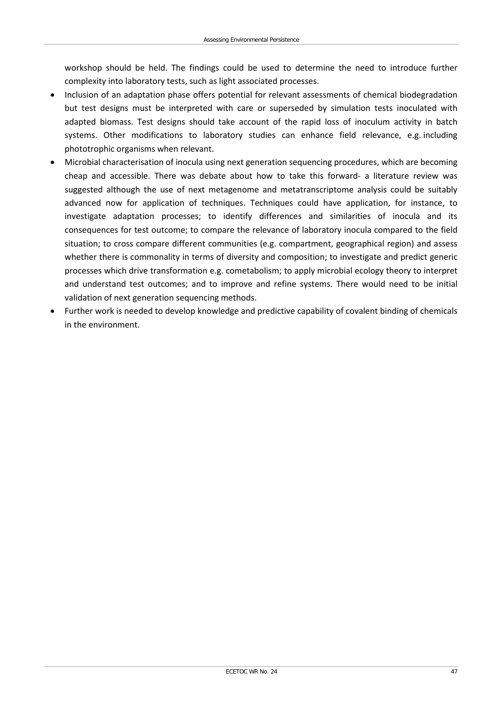workshop should be held. The findings could be used to determine the need to introduce further complexity into laboratory tests, such as light associated processes.

- Inclusion of an adaptation phase offers potential for relevant assessments of chemical biodegradation but test designs must be interpreted with care or superseded by simulation tests inoculated with adapted biomass. Test designs should take account of the rapid loss of inoculum activity in batch systems. Other modifications to laboratory studies can enhance field relevance, e.g. including phototrophic organisms when relevant.
- Microbial characterisation of inocula using next generation sequencing procedures, which are becoming cheap and accessible. There was debate about how to take this forward- a literature review was suggested although the use of next metagenome and metatranscriptome analysis could be suitably advanced now for application of techniques. Techniques could have application, for instance, to investigate adaptation processes; to identify differences and similarities of inocula and its consequences for test outcome; to compare the relevance of laboratory inocula compared to the field situation; to cross compare different communities (e.g. compartment, geographical region) and assess whether there is commonality in terms of diversity and composition; to investigate and predict generic processes which drive transformation e.g. cometabolism; to apply microbial ecology theory to interpret and understand test outcomes; and to improve and refine systems. There would need to be initial validation of next generation sequencing methods.
- Further work is needed to develop knowledge and predictive capability of covalent binding of chemicals in the environment.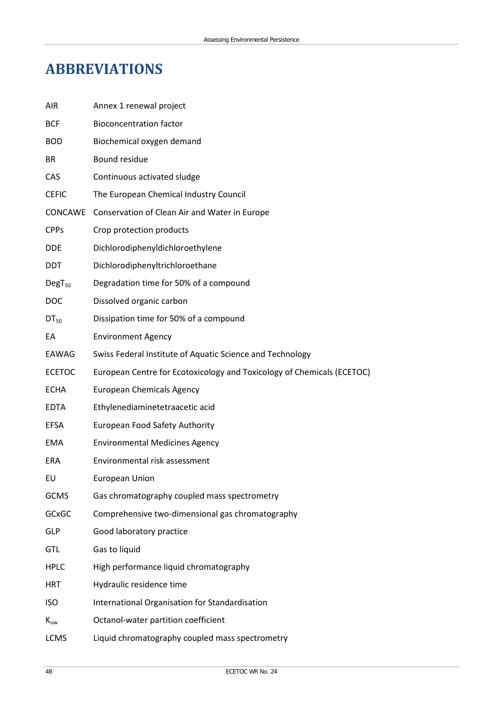# **ABBREVIATIONS**

| <b>AIR</b>    | Annex 1 renewal project                                                |
|---------------|------------------------------------------------------------------------|
| <b>BCF</b>    | <b>Bioconcentration factor</b>                                         |
| <b>BOD</b>    | Biochemical oxygen demand                                              |
| BR.           | <b>Bound residue</b>                                                   |
| CAS           | Continuous activated sludge                                            |
| <b>CEFIC</b>  | The European Chemical Industry Council                                 |
|               | CONCAWE Conservation of Clean Air and Water in Europe                  |
| <b>CPPs</b>   | Crop protection products                                               |
| <b>DDE</b>    | Dichlorodiphenyldichloroethylene                                       |
| DDT           | Dichlorodiphenyltrichloroethane                                        |
| $DegT_{50}$   | Degradation time for 50% of a compound                                 |
| <b>DOC</b>    | Dissolved organic carbon                                               |
| $DT_{50}$     | Dissipation time for 50% of a compound                                 |
| EA            | <b>Environment Agency</b>                                              |
| EAWAG         | Swiss Federal Institute of Aquatic Science and Technology              |
| <b>ECETOC</b> | European Centre for Ecotoxicology and Toxicology of Chemicals (ECETOC) |
| <b>ECHA</b>   | <b>European Chemicals Agency</b>                                       |
| <b>EDTA</b>   | Ethylenediaminetetraacetic acid                                        |
| <b>EFSA</b>   | <b>European Food Safety Authority</b>                                  |
| <b>EMA</b>    | <b>Environmental Medicines Agency</b>                                  |
| ERA           | Environmental risk assessment                                          |
| EU            | <b>European Union</b>                                                  |
| <b>GCMS</b>   | Gas chromatography coupled mass spectrometry                           |
| <b>GCxGC</b>  | Comprehensive two-dimensional gas chromatography                       |
| <b>GLP</b>    | Good laboratory practice                                               |
| GTL           | Gas to liquid                                                          |
| <b>HPLC</b>   | High performance liquid chromatography                                 |
| <b>HRT</b>    | Hydraulic residence time                                               |
| <b>ISO</b>    | International Organisation for Standardisation                         |
| $K_{ow}$      | Octanol-water partition coefficient                                    |
| LCMS          | Liquid chromatography coupled mass spectrometry                        |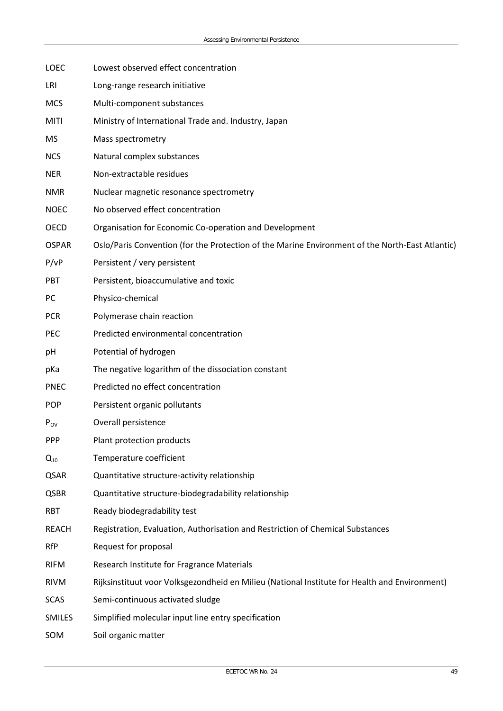| <b>LOEC</b>       | Lowest observed effect concentration                                                            |
|-------------------|-------------------------------------------------------------------------------------------------|
| LRI               | Long-range research initiative                                                                  |
| <b>MCS</b>        | Multi-component substances                                                                      |
| <b>MITI</b>       | Ministry of International Trade and. Industry, Japan                                            |
| MS                | Mass spectrometry                                                                               |
| <b>NCS</b>        | Natural complex substances                                                                      |
| <b>NER</b>        | Non-extractable residues                                                                        |
| <b>NMR</b>        | Nuclear magnetic resonance spectrometry                                                         |
| <b>NOEC</b>       | No observed effect concentration                                                                |
| <b>OECD</b>       | Organisation for Economic Co-operation and Development                                          |
| <b>OSPAR</b>      | Oslo/Paris Convention (for the Protection of the Marine Environment of the North-East Atlantic) |
| P/VP              | Persistent / very persistent                                                                    |
| PBT               | Persistent, bioaccumulative and toxic                                                           |
| PC                | Physico-chemical                                                                                |
| <b>PCR</b>        | Polymerase chain reaction                                                                       |
| PEC               | Predicted environmental concentration                                                           |
| pH                | Potential of hydrogen                                                                           |
| pKa               | The negative logarithm of the dissociation constant                                             |
| <b>PNEC</b>       | Predicted no effect concentration                                                               |
| <b>POP</b>        | Persistent organic pollutants                                                                   |
| $P_{OV}$          | Overall persistence                                                                             |
| <b>PPP</b>        | Plant protection products                                                                       |
| $\mathsf{Q}_{10}$ | Temperature coefficient                                                                         |
| QSAR              | Quantitative structure-activity relationship                                                    |
| QSBR              | Quantitative structure-biodegradability relationship                                            |
| <b>RBT</b>        | Ready biodegradability test                                                                     |
| <b>REACH</b>      | Registration, Evaluation, Authorisation and Restriction of Chemical Substances                  |
| <b>RfP</b>        | Request for proposal                                                                            |
| <b>RIFM</b>       | Research Institute for Fragrance Materials                                                      |
| <b>RIVM</b>       | Rijksinstituut voor Volksgezondheid en Milieu (National Institute for Health and Environment)   |
| <b>SCAS</b>       | Semi-continuous activated sludge                                                                |
| <b>SMILES</b>     | Simplified molecular input line entry specification                                             |
| SOM               | Soil organic matter                                                                             |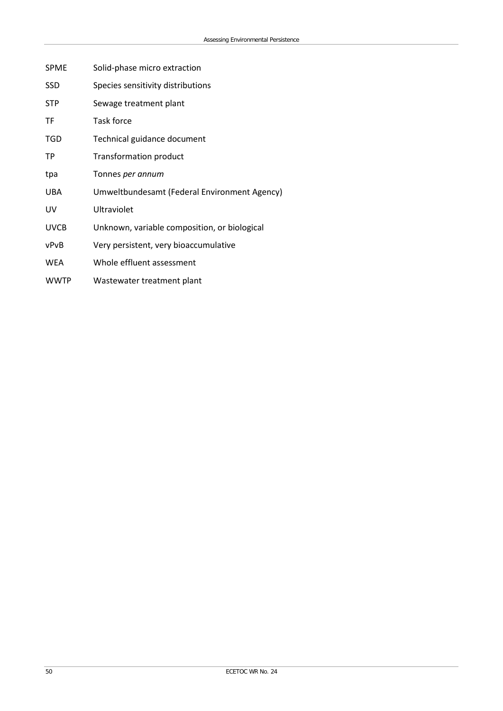| <b>SPME</b> | Solid-phase micro extraction                 |
|-------------|----------------------------------------------|
| <b>SSD</b>  | Species sensitivity distributions            |
| <b>STP</b>  | Sewage treatment plant                       |
| TF          | Task force                                   |
| TGD         | Technical guidance document                  |
| TP          | <b>Transformation product</b>                |
| tpa         | Tonnes per annum                             |
| UBA         | Umweltbundesamt (Federal Environment Agency) |
| UV          | Ultraviolet                                  |
| <b>UVCB</b> | Unknown, variable composition, or biological |
| vPvB        | Very persistent, very bioaccumulative        |
| WEA         | Whole effluent assessment                    |
| <b>WWTP</b> | Wastewater treatment plant                   |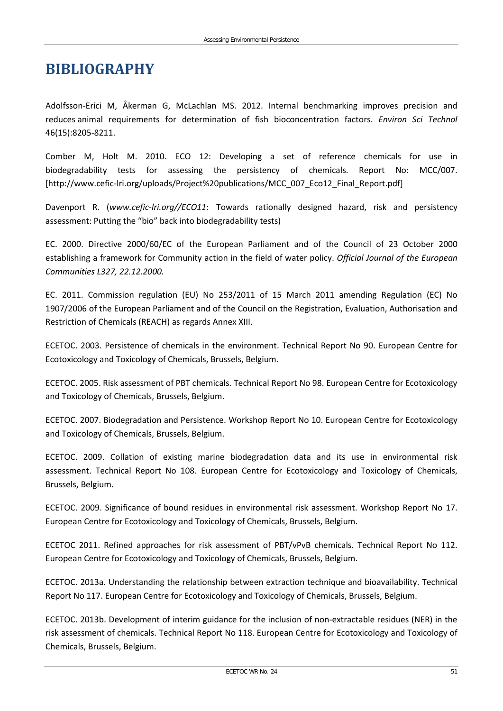## **BIBLIOGRAPHY**

Adolfsson-Erici M, Åkerman G, McLachlan MS. 2012. Internal benchmarking improves precision and reduces animal requirements for determination of fish bioconcentration factors. *Environ Sci Technol* 46(15):8205-8211.

Comber M, Holt M. 2010. ECO 12: Developing a set of reference chemicals for use in biodegradability tests for assessing the persistency of chemicals. Report No: MCC/007. [http://www.cefic-lri.org/uploads/Project%20publications/MCC\_007\_Eco12\_Final\_Report.pdf]

Davenport R. (*www.cefic-lri.org//ECO11*: Towards rationally designed hazard, risk and persistency assessment: Putting the "bio" back into biodegradability tests)

EC. 2000. Directive 2000/60/EC of the European Parliament and of the Council of 23 October 2000 establishing a framework for Community action in the field of water policy. *Official Journal of the European Communities L327, 22.12.2000.*

EC. 2011. Commission regulation (EU) No 253/2011 of 15 March 2011 amending Regulation (EC) No 1907/2006 of the European Parliament and of the Council on the Registration, Evaluation, Authorisation and Restriction of Chemicals (REACH) as regards Annex XIII.

ECETOC. 2003. Persistence of chemicals in the environment. Technical Report No 90. European Centre for Ecotoxicology and Toxicology of Chemicals, Brussels, Belgium.

ECETOC. 2005. Risk assessment of PBT chemicals. Technical Report No 98. European Centre for Ecotoxicology and Toxicology of Chemicals, Brussels, Belgium.

ECETOC. 2007. Biodegradation and Persistence. Workshop Report No 10. European Centre for Ecotoxicology and Toxicology of Chemicals, Brussels, Belgium.

ECETOC. 2009. Collation of existing marine biodegradation data and its use in environmental risk assessment. Technical Report No 108. European Centre for Ecotoxicology and Toxicology of Chemicals, Brussels, Belgium.

ECETOC. 2009. Significance of bound residues in environmental risk assessment. Workshop Report No 17. European Centre for Ecotoxicology and Toxicology of Chemicals, Brussels, Belgium.

ECETOC 2011. Refined approaches for risk assessment of PBT/vPvB chemicals. Technical Report No 112. European Centre for Ecotoxicology and Toxicology of Chemicals, Brussels, Belgium.

ECETOC. 2013a. Understanding the relationship between extraction technique and bioavailability. Technical Report No 117. European Centre for Ecotoxicology and Toxicology of Chemicals, Brussels, Belgium.

ECETOC. 2013b. Development of interim guidance for the inclusion of non-extractable residues (NER) in the risk assessment of chemicals. Technical Report No 118. European Centre for Ecotoxicology and Toxicology of Chemicals, Brussels, Belgium.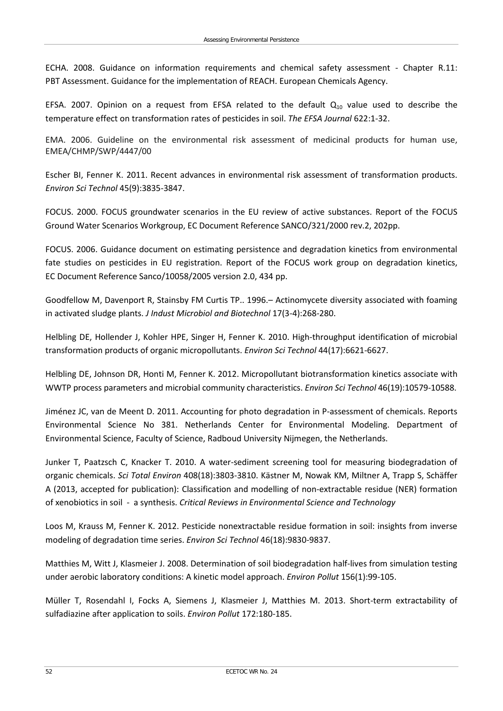ECHA. 2008. Guidance on information requirements and chemical safety assessment - Chapter R.11: PBT Assessment. Guidance for the implementation of REACH. European Chemicals Agency.

EFSA. 2007. Opinion on a request from EFSA related to the default  $Q_{10}$  value used to describe the temperature effect on transformation rates of pesticides in soil. *The EFSA Journal* 622:1-32.

EMA. 2006. Guideline on the environmental risk assessment of medicinal products for human use, EMEA/CHMP/SWP/4447/00

Escher BI, Fenner K. 2011. Recent advances in environmental risk assessment of transformation products. *Environ Sci Technol* 45(9):3835-3847.

FOCUS. 2000. FOCUS groundwater scenarios in the EU review of active substances. Report of the FOCUS Ground Water Scenarios Workgroup, EC Document Reference SANCO/321/2000 rev.2, 202pp.

FOCUS. 2006. Guidance document on estimating persistence and degradation kinetics from environmental fate studies on pesticides in EU registration. Report of the FOCUS work group on degradation kinetics, EC Document Reference Sanco/10058/2005 version 2.0, 434 pp.

Goodfellow M, Davenport R, Stainsby FM Curtis TP.. 1996.– Actinomycete diversity associated with foaming in activated sludge plants. *J Indust Microbiol and Biotechnol* 17(3-4):268-280.

Helbling DE, Hollender J, Kohler HPE, Singer H, Fenner K. 2010. High-throughput identification of microbial transformation products of organic micropollutants. *Environ Sci Technol* 44(17):6621-6627.

Helbling DE, Johnson DR, Honti M, Fenner K. 2012. Micropollutant biotransformation kinetics associate with WWTP process parameters and microbial community characteristics. *Environ Sci Technol* 46(19):10579-10588.

Jiménez JC, van de Meent D. 2011. Accounting for photo degradation in P-assessment of chemicals. Reports Environmental Science No 381. Netherlands Center for Environmental Modeling. Department of Environmental Science, Faculty of Science, Radboud University Nijmegen, the Netherlands.

Junker T, Paatzsch C, Knacker T. 2010. A water-sediment screening tool for measuring biodegradation of organic chemicals. *Sci Total Environ* 408(18):3803-3810. Kästner M, Nowak KM, Miltner A, Trapp S, Schäffer A (2013, accepted for publication): Classification and modelling of non-extractable residue (NER) formation of xenobiotics in soil - a synthesis. *Critical Reviews in Environmental Science and Technology*

Loos M, Krauss M, Fenner K. 2012. Pesticide nonextractable residue formation in soil: insights from inverse modeling of degradation time series. *Environ Sci Technol* 46(18):9830-9837.

Matthies M, Witt J, Klasmeier J. 2008. Determination of soil biodegradation half-lives from simulation testing under aerobic laboratory conditions: A kinetic model approach. *Environ Pollut* 156(1):99-105.

Müller T, Rosendahl I, Focks A, Siemens J, Klasmeier J, Matthies M. 2013. Short-term extractability of sulfadiazine after application to soils. *Environ Pollut* 172:180-185.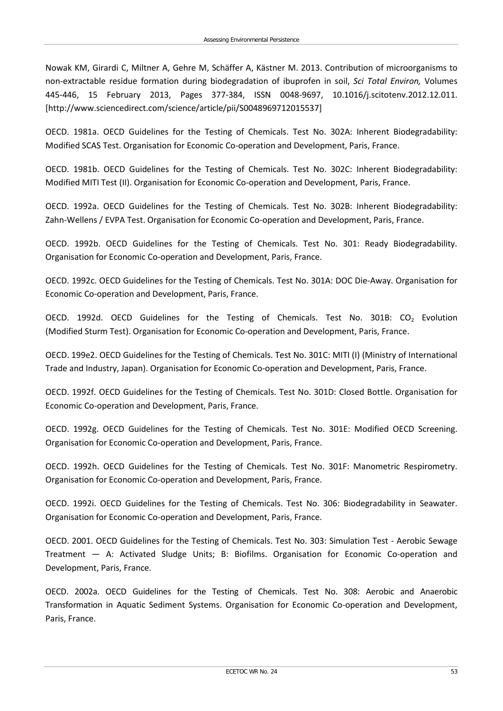Nowak KM, Girardi C, Miltner A, Gehre M, Schäffer A, Kästner M. 2013. Contribution of microorganisms to non-extractable residue formation during biodegradation of ibuprofen in soil, *Sci Total Environ,* Volumes 445-446, 15 February 2013, Pages 377-384, ISSN 0048-9697, 10.1016/j.scitotenv.2012.12.011. [\[http://www.sciencedirect.com/science/article/pii/S0048969712015537\]](http://www.sciencedirect.com/science/article/pii/S0048969712015537)

OECD. 1981a. OECD Guidelines for the Testing of Chemicals. Test No. 302A: Inherent Biodegradability: Modified SCAS Test. Organisation for Economic Co-operation and Development, Paris, France.

OECD. 1981b. OECD Guidelines for the Testing of Chemicals. Test No. 302C: Inherent Biodegradability: Modified MITI Test (II). Organisation for Economic Co-operation and Development, Paris, France.

OECD. 1992a. OECD Guidelines for the Testing of Chemicals. Test No. 302B: Inherent Biodegradability: Zahn-Wellens / EVPA Test. Organisation for Economic Co-operation and Development, Paris, France.

OECD. 1992b. OECD Guidelines for the Testing of Chemicals. Test No. 301: Ready Biodegradability. Organisation for Economic Co-operation and Development, Paris, France.

OECD. 1992c. OECD Guidelines for the Testing of Chemicals. Test No. 301A: DOC Die-Away. Organisation for Economic Co-operation and Development, Paris, France.

OECD. 1992d. OECD Guidelines for the Testing of Chemicals. Test No. 301B: CO<sub>2</sub> Evolution (Modified Sturm Test). Organisation for Economic Co-operation and Development, Paris, France.

OECD. 199e2. OECD Guidelines for the Testing of Chemicals. Test No. 301C: MITI (I) (Ministry of International Trade and Industry, Japan). Organisation for Economic Co-operation and Development, Paris, France.

OECD. 1992f. OECD Guidelines for the Testing of Chemicals. Test No. 301D: Closed Bottle. Organisation for Economic Co-operation and Development, Paris, France.

OECD. 1992g. OECD Guidelines for the Testing of Chemicals. Test No. 301E: Modified OECD Screening. Organisation for Economic Co-operation and Development, Paris, France.

OECD. 1992h. OECD Guidelines for the Testing of Chemicals. Test No. 301F: Manometric Respirometry. Organisation for Economic Co-operation and Development, Paris, France.

OECD. 1992i. OECD Guidelines for the Testing of Chemicals. Test No. 306: Biodegradability in Seawater. Organisation for Economic Co-operation and Development, Paris, France.

OECD. 2001. OECD Guidelines for the Testing of Chemicals. Test No. 303: Simulation Test - Aerobic Sewage Treatment — A: Activated Sludge Units; B: Biofilms. Organisation for Economic Co-operation and Development, Paris, France.

OECD. 2002a. OECD Guidelines for the Testing of Chemicals. Test No. 308: Aerobic and Anaerobic Transformation in Aquatic Sediment Systems. Organisation for Economic Co-operation and Development, Paris, France.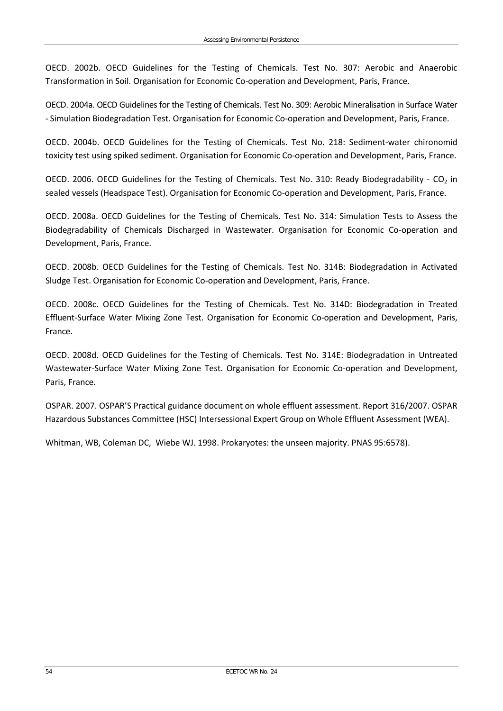OECD. 2002b. OECD Guidelines for the Testing of Chemicals. Test No. 307: Aerobic and Anaerobic Transformation in Soil. Organisation for Economic Co-operation and Development, Paris, France.

OECD. 2004a. OECD Guidelines for the Testing of Chemicals. Test No. 309: Aerobic Mineralisation in Surface Water - Simulation Biodegradation Test. Organisation for Economic Co-operation and Development, Paris, France.

OECD. 2004b. OECD Guidelines for the Testing of Chemicals. Test No. 218: Sediment-water chironomid toxicity test using spiked sediment. Organisation for Economic Co-operation and Development, Paris, France.

OECD. 2006. OECD Guidelines for the Testing of Chemicals. Test No. 310: Ready Biodegradability - CO<sub>2</sub> in sealed vessels (Headspace Test). Organisation for Economic Co-operation and Development, Paris, France.

OECD. 2008a. OECD Guidelines for the Testing of Chemicals. Test No. 314: Simulation Tests to Assess the Biodegradability of Chemicals Discharged in Wastewater. Organisation for Economic Co-operation and Development, Paris, France.

OECD. 2008b. OECD Guidelines for the Testing of Chemicals. Test No. 314B: Biodegradation in Activated Sludge Test. Organisation for Economic Co-operation and Development, Paris, France.

OECD. 2008c. OECD Guidelines for the Testing of Chemicals. Test No. 314D: Biodegradation in Treated Effluent-Surface Water Mixing Zone Test. Organisation for Economic Co-operation and Development, Paris, France.

OECD. 2008d. OECD Guidelines for the Testing of Chemicals. Test No. 314E: Biodegradation in Untreated Wastewater-Surface Water Mixing Zone Test. Organisation for Economic Co-operation and Development, Paris, France.

OSPAR. 2007. OSPAR'S Practical guidance document on whole effluent assessment. Report 316/2007. OSPAR Hazardous Substances Committee (HSC) Intersessional Expert Group on Whole Effluent Assessment (WEA).

Whitman, WB, Coleman DC, Wiebe WJ. 1998. Prokaryotes: the unseen majority. PNAS 95:6578).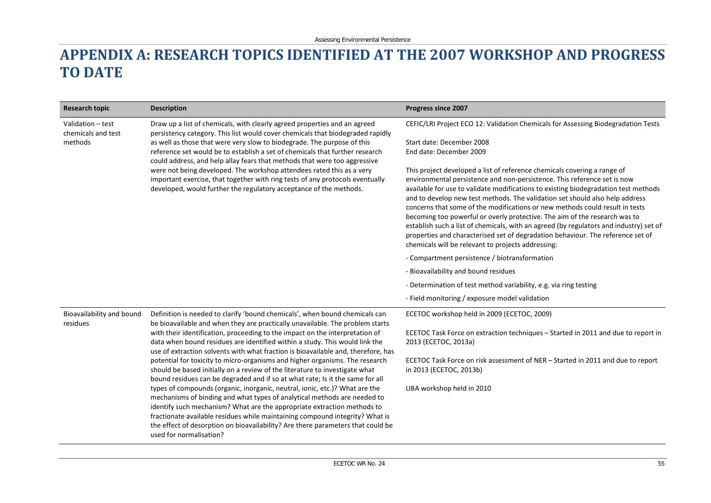# **APPENDIX A: RESEARCH TOPICS IDENTIFIED AT THE 2007 WORKSHOP AND PROGRESS TO DATE**

| <b>Research topic</b>                   | <b>Description</b>                                                                                                                                                                                                                                                                                                                                                                                                                                                                                                                                                                                                                                          | <b>Progress since 2007</b>                                                                                                                                                                                                                      |
|-----------------------------------------|-------------------------------------------------------------------------------------------------------------------------------------------------------------------------------------------------------------------------------------------------------------------------------------------------------------------------------------------------------------------------------------------------------------------------------------------------------------------------------------------------------------------------------------------------------------------------------------------------------------------------------------------------------------|-------------------------------------------------------------------------------------------------------------------------------------------------------------------------------------------------------------------------------------------------|
| Validation - test<br>chemicals and test | Draw up a list of chemicals, with clearly agreed properties and an agreed<br>persistency category. This list would cover chemicals that biodegraded rapidly                                                                                                                                                                                                                                                                                                                                                                                                                                                                                                 | CEFIC/LRI Project ECO 12: Validation Chemicals for Assessing Biodegradation Tests                                                                                                                                                               |
| methods                                 | as well as those that were very slow to biodegrade. The purpose of this                                                                                                                                                                                                                                                                                                                                                                                                                                                                                                                                                                                     | Start date: December 2008                                                                                                                                                                                                                       |
|                                         | reference set would be to establish a set of chemicals that further research<br>could address, and help allay fears that methods that were too aggressive                                                                                                                                                                                                                                                                                                                                                                                                                                                                                                   | End date: December 2009                                                                                                                                                                                                                         |
|                                         | were not being developed. The workshop attendees rated this as a very                                                                                                                                                                                                                                                                                                                                                                                                                                                                                                                                                                                       | This project developed a list of reference chemicals covering a range of                                                                                                                                                                        |
|                                         | important exercise, that together with ring tests of any protocols eventually<br>developed, would further the regulatory acceptance of the methods.                                                                                                                                                                                                                                                                                                                                                                                                                                                                                                         | environmental persistence and non-persistence. This reference set is now<br>available for use to validate modifications to existing biodegradation test methods<br>and to develop new test methods. The validation set should also help address |
|                                         |                                                                                                                                                                                                                                                                                                                                                                                                                                                                                                                                                                                                                                                             | concerns that some of the modifications or new methods could result in tests<br>becoming too powerful or overly protective. The aim of the research was to                                                                                      |
|                                         |                                                                                                                                                                                                                                                                                                                                                                                                                                                                                                                                                                                                                                                             | establish such a list of chemicals, with an agreed (by regulators and industry) set of<br>properties and characterised set of degradation behaviour. The reference set of<br>chemicals will be relevant to projects addressing:                 |
|                                         |                                                                                                                                                                                                                                                                                                                                                                                                                                                                                                                                                                                                                                                             | - Compartment persistence / biotransformation                                                                                                                                                                                                   |
|                                         |                                                                                                                                                                                                                                                                                                                                                                                                                                                                                                                                                                                                                                                             | - Bioavailability and bound residues                                                                                                                                                                                                            |
|                                         |                                                                                                                                                                                                                                                                                                                                                                                                                                                                                                                                                                                                                                                             | - Determination of test method variability, e.g. via ring testing                                                                                                                                                                               |
|                                         |                                                                                                                                                                                                                                                                                                                                                                                                                                                                                                                                                                                                                                                             | - Field monitoring / exposure model validation                                                                                                                                                                                                  |
| Bioavailability and bound<br>residues   | Definition is needed to clarify 'bound chemicals', when bound chemicals can<br>be bioavailable and when they are practically unavailable. The problem starts                                                                                                                                                                                                                                                                                                                                                                                                                                                                                                | ECETOC workshop held in 2009 (ECETOC, 2009)                                                                                                                                                                                                     |
|                                         | with their identification, proceeding to the impact on the interpretation of<br>data when bound residues are identified within a study. This would link the<br>use of extraction solvents with what fraction is bioavailable and, therefore, has<br>potential for toxicity to micro-organisms and higher organisms. The research<br>should be based initially on a review of the literature to investigate what<br>bound residues can be degraded and if so at what rate; Is it the same for all<br>types of compounds (organic, inorganic, neutral, ionic, etc.)? What are the<br>mechanisms of binding and what types of analytical methods are needed to | ECETOC Task Force on extraction techniques - Started in 2011 and due to report in<br>2013 (ECETOC, 2013a)                                                                                                                                       |
|                                         |                                                                                                                                                                                                                                                                                                                                                                                                                                                                                                                                                                                                                                                             | ECETOC Task Force on risk assessment of NER - Started in 2011 and due to report                                                                                                                                                                 |
|                                         |                                                                                                                                                                                                                                                                                                                                                                                                                                                                                                                                                                                                                                                             | in 2013 (ECETOC, 2013b)                                                                                                                                                                                                                         |
|                                         |                                                                                                                                                                                                                                                                                                                                                                                                                                                                                                                                                                                                                                                             | UBA workshop held in 2010                                                                                                                                                                                                                       |
|                                         | identify such mechanism? What are the appropriate extraction methods to                                                                                                                                                                                                                                                                                                                                                                                                                                                                                                                                                                                     |                                                                                                                                                                                                                                                 |
|                                         | fractionate available residues while maintaining compound integrity? What is<br>the effect of desorption on bioavailability? Are there parameters that could be                                                                                                                                                                                                                                                                                                                                                                                                                                                                                             |                                                                                                                                                                                                                                                 |
|                                         | used for normalisation?                                                                                                                                                                                                                                                                                                                                                                                                                                                                                                                                                                                                                                     |                                                                                                                                                                                                                                                 |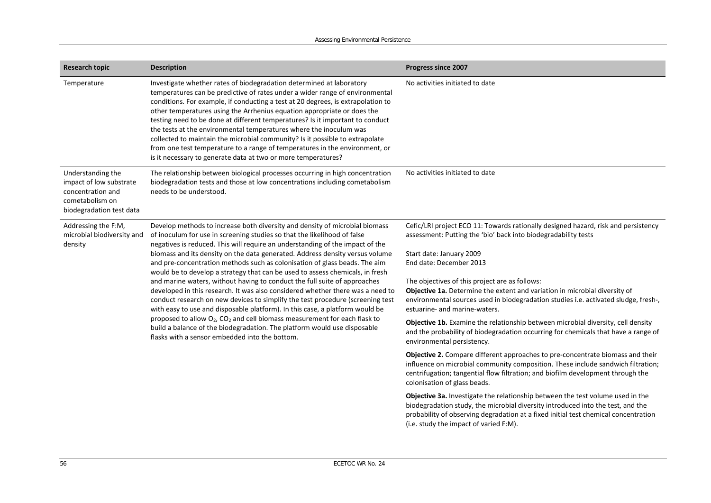| <b>Research topic</b>                                                                                            | <b>Description</b>                                                                                                                                                                                                                                                                                                                                                                                                                                                                                                                                                                                                                                                                                                                                                                                                                                                                                                                                                                                                                                 | <b>Progress since 2007</b>                                                                                                                                                                                                                                                                                                                                                                                                                                                                                                                                                                                                                                                                                                                                                                                                                                                                                                                                                                                                                                                                                                                                                                                                       |
|------------------------------------------------------------------------------------------------------------------|----------------------------------------------------------------------------------------------------------------------------------------------------------------------------------------------------------------------------------------------------------------------------------------------------------------------------------------------------------------------------------------------------------------------------------------------------------------------------------------------------------------------------------------------------------------------------------------------------------------------------------------------------------------------------------------------------------------------------------------------------------------------------------------------------------------------------------------------------------------------------------------------------------------------------------------------------------------------------------------------------------------------------------------------------|----------------------------------------------------------------------------------------------------------------------------------------------------------------------------------------------------------------------------------------------------------------------------------------------------------------------------------------------------------------------------------------------------------------------------------------------------------------------------------------------------------------------------------------------------------------------------------------------------------------------------------------------------------------------------------------------------------------------------------------------------------------------------------------------------------------------------------------------------------------------------------------------------------------------------------------------------------------------------------------------------------------------------------------------------------------------------------------------------------------------------------------------------------------------------------------------------------------------------------|
| Temperature                                                                                                      | Investigate whether rates of biodegradation determined at laboratory<br>temperatures can be predictive of rates under a wider range of environmental<br>conditions. For example, if conducting a test at 20 degrees, is extrapolation to<br>other temperatures using the Arrhenius equation appropriate or does the<br>testing need to be done at different temperatures? Is it important to conduct<br>the tests at the environmental temperatures where the inoculum was<br>collected to maintain the microbial community? Is it possible to extrapolate<br>from one test temperature to a range of temperatures in the environment, or<br>is it necessary to generate data at two or more temperatures?                                                                                                                                                                                                                                                                                                                                         | No activities initiated to date                                                                                                                                                                                                                                                                                                                                                                                                                                                                                                                                                                                                                                                                                                                                                                                                                                                                                                                                                                                                                                                                                                                                                                                                  |
| Understanding the<br>impact of low substrate<br>concentration and<br>cometabolism on<br>biodegradation test data | The relationship between biological processes occurring in high concentration<br>biodegradation tests and those at low concentrations including cometabolism<br>needs to be understood.                                                                                                                                                                                                                                                                                                                                                                                                                                                                                                                                                                                                                                                                                                                                                                                                                                                            | No activities initiated to date                                                                                                                                                                                                                                                                                                                                                                                                                                                                                                                                                                                                                                                                                                                                                                                                                                                                                                                                                                                                                                                                                                                                                                                                  |
| Addressing the F:M,<br>microbial biodiversity and<br>density                                                     | Develop methods to increase both diversity and density of microbial biomass<br>of inoculum for use in screening studies so that the likelihood of false<br>negatives is reduced. This will require an understanding of the impact of the<br>biomass and its density on the data generated. Address density versus volume<br>and pre-concentration methods such as colonisation of glass beads. The aim<br>would be to develop a strategy that can be used to assess chemicals, in fresh<br>and marine waters, without having to conduct the full suite of approaches<br>developed in this research. It was also considered whether there was a need to<br>conduct research on new devices to simplify the test procedure (screening test<br>with easy to use and disposable platform). In this case, a platform would be<br>proposed to allow $O_2$ , CO <sub>2</sub> and cell biomass measurement for each flask to<br>build a balance of the biodegradation. The platform would use disposable<br>flasks with a sensor embedded into the bottom. | Cefic/LRI project ECO 11: Towards rationally designed hazard, risk and persistency<br>assessment: Putting the 'bio' back into biodegradability tests<br>Start date: January 2009<br>End date: December 2013<br>The objectives of this project are as follows:<br>Objective 1a. Determine the extent and variation in microbial diversity of<br>environmental sources used in biodegradation studies i.e. activated sludge, fresh-,<br>estuarine- and marine-waters.<br>Objective 1b. Examine the relationship between microbial diversity, cell density<br>and the probability of biodegradation occurring for chemicals that have a range of<br>environmental persistency.<br>Objective 2. Compare different approaches to pre-concentrate biomass and their<br>influence on microbial community composition. These include sandwich filtration;<br>centrifugation; tangential flow filtration; and biofilm development through the<br>colonisation of glass beads.<br>Objective 3a. Investigate the relationship between the test volume used in the<br>biodegradation study, the microbial diversity introduced into the test, and the<br>probability of observing degradation at a fixed initial test chemical concentration |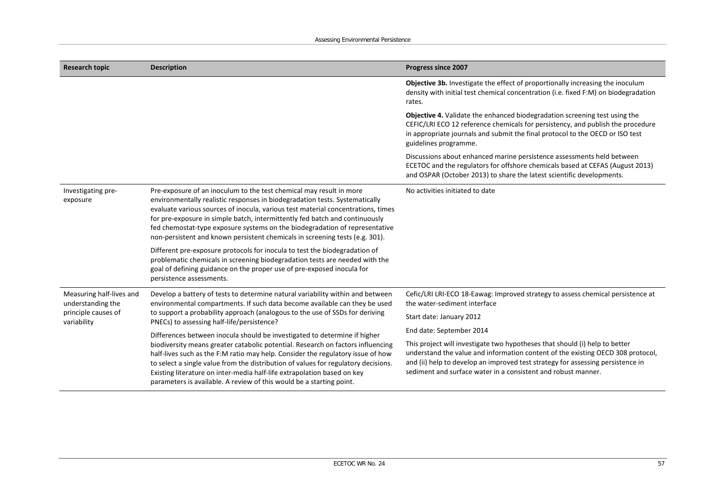| <b>Research topic</b>                                                               | <b>Description</b>                                                                                                                                                                                                                                                                                                                                                                                                                                                                                                                                                                                                                                                                                                                                                                     | <b>Progress since 2007</b>                                                                                                                                                                                                                                                                                         |
|-------------------------------------------------------------------------------------|----------------------------------------------------------------------------------------------------------------------------------------------------------------------------------------------------------------------------------------------------------------------------------------------------------------------------------------------------------------------------------------------------------------------------------------------------------------------------------------------------------------------------------------------------------------------------------------------------------------------------------------------------------------------------------------------------------------------------------------------------------------------------------------|--------------------------------------------------------------------------------------------------------------------------------------------------------------------------------------------------------------------------------------------------------------------------------------------------------------------|
|                                                                                     |                                                                                                                                                                                                                                                                                                                                                                                                                                                                                                                                                                                                                                                                                                                                                                                        | Objective 3b. Investigate the effect of proportionally increasing the inoculum<br>density with initial test chemical concentration (i.e. fixed F:M) on biodegradation<br>rates.                                                                                                                                    |
|                                                                                     |                                                                                                                                                                                                                                                                                                                                                                                                                                                                                                                                                                                                                                                                                                                                                                                        | Objective 4. Validate the enhanced biodegradation screening test using the<br>CEFIC/LRI ECO 12 reference chemicals for persistency, and publish the procedure<br>in appropriate journals and submit the final protocol to the OECD or ISO test<br>guidelines programme.                                            |
|                                                                                     |                                                                                                                                                                                                                                                                                                                                                                                                                                                                                                                                                                                                                                                                                                                                                                                        | Discussions about enhanced marine persistence assessments held between<br>ECETOC and the regulators for offshore chemicals based at CEFAS (August 2013)<br>and OSPAR (October 2013) to share the latest scientific developments.                                                                                   |
| Investigating pre-<br>exposure                                                      | Pre-exposure of an inoculum to the test chemical may result in more<br>environmentally realistic responses in biodegradation tests. Systematically<br>evaluate various sources of inocula, various test material concentrations, times<br>for pre-exposure in simple batch, intermittently fed batch and continuously<br>fed chemostat-type exposure systems on the biodegradation of representative<br>non-persistent and known persistent chemicals in screening tests (e.g. 301).                                                                                                                                                                                                                                                                                                   | No activities initiated to date                                                                                                                                                                                                                                                                                    |
|                                                                                     | Different pre-exposure protocols for inocula to test the biodegradation of<br>problematic chemicals in screening biodegradation tests are needed with the<br>goal of defining guidance on the proper use of pre-exposed inocula for<br>persistence assessments.                                                                                                                                                                                                                                                                                                                                                                                                                                                                                                                        |                                                                                                                                                                                                                                                                                                                    |
| Measuring half-lives and<br>understanding the<br>principle causes of<br>variability | Develop a battery of tests to determine natural variability within and between<br>environmental compartments. If such data become available can they be used<br>to support a probability approach (analogous to the use of SSDs for deriving<br>PNECs) to assessing half-life/persistence?<br>Differences between inocula should be investigated to determine if higher<br>biodiversity means greater catabolic potential. Research on factors influencing<br>half-lives such as the F:M ratio may help. Consider the regulatory issue of how<br>to select a single value from the distribution of values for regulatory decisions.<br>Existing literature on inter-media half-life extrapolation based on key<br>parameters is available. A review of this would be a starting point. | Cefic/LRI LRI-ECO 18-Eawag: Improved strategy to assess chemical persistence at<br>the water-sediment interface                                                                                                                                                                                                    |
|                                                                                     |                                                                                                                                                                                                                                                                                                                                                                                                                                                                                                                                                                                                                                                                                                                                                                                        | Start date: January 2012                                                                                                                                                                                                                                                                                           |
|                                                                                     |                                                                                                                                                                                                                                                                                                                                                                                                                                                                                                                                                                                                                                                                                                                                                                                        | End date: September 2014                                                                                                                                                                                                                                                                                           |
|                                                                                     |                                                                                                                                                                                                                                                                                                                                                                                                                                                                                                                                                                                                                                                                                                                                                                                        | This project will investigate two hypotheses that should (i) help to better<br>understand the value and information content of the existing OECD 308 protocol,<br>and (ii) help to develop an improved test strategy for assessing persistence in<br>sediment and surface water in a consistent and robust manner. |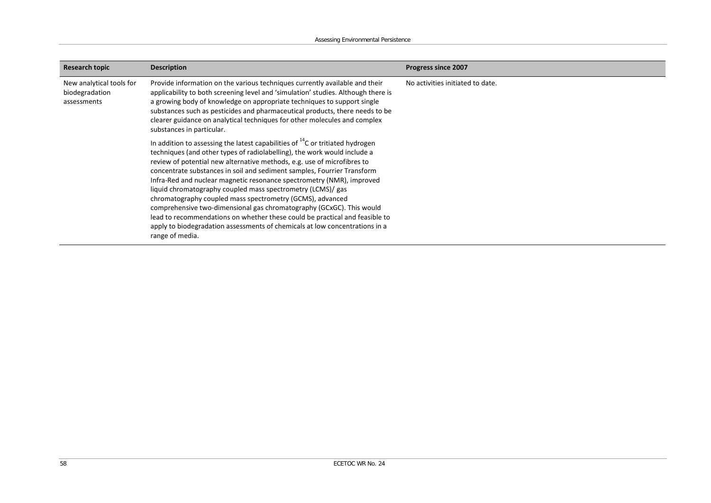| <b>Research topic</b>                                     | <b>Description</b>                                                                                                                                                                                                                                                                                                                                                                                                                                                                                                                                                                                                                                                                                                                                                                  | <b>Progress since 2007</b>       |
|-----------------------------------------------------------|-------------------------------------------------------------------------------------------------------------------------------------------------------------------------------------------------------------------------------------------------------------------------------------------------------------------------------------------------------------------------------------------------------------------------------------------------------------------------------------------------------------------------------------------------------------------------------------------------------------------------------------------------------------------------------------------------------------------------------------------------------------------------------------|----------------------------------|
| New analytical tools for<br>biodegradation<br>assessments | Provide information on the various techniques currently available and their<br>applicability to both screening level and 'simulation' studies. Although there is<br>a growing body of knowledge on appropriate techniques to support single<br>substances such as pesticides and pharmaceutical products, there needs to be<br>clearer guidance on analytical techniques for other molecules and complex<br>substances in particular.                                                                                                                                                                                                                                                                                                                                               | No activities initiated to date. |
|                                                           | In addition to assessing the latest capabilities of $^{14}$ C or tritiated hydrogen<br>techniques (and other types of radiolabelling), the work would include a<br>review of potential new alternative methods, e.g. use of microfibres to<br>concentrate substances in soil and sediment samples, Fourrier Transform<br>Infra-Red and nuclear magnetic resonance spectrometry (NMR), improved<br>liquid chromatography coupled mass spectrometry (LCMS)/ gas<br>chromatography coupled mass spectrometry (GCMS), advanced<br>comprehensive two-dimensional gas chromatography (GCxGC). This would<br>lead to recommendations on whether these could be practical and feasible to<br>apply to biodegradation assessments of chemicals at low concentrations in a<br>range of media. |                                  |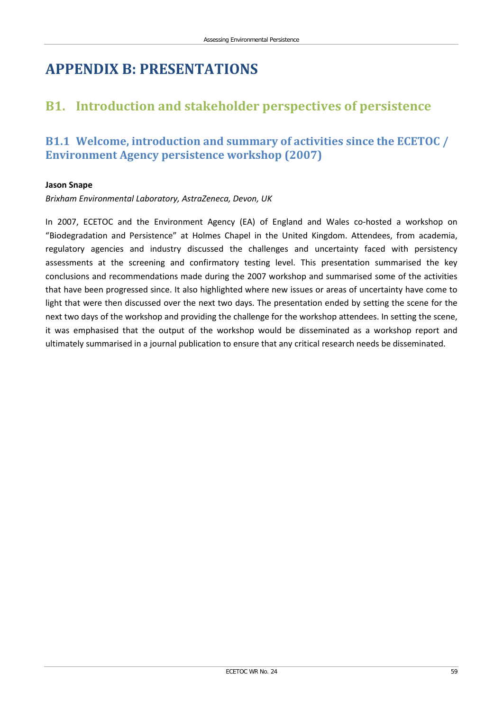# **APPENDIX B: PRESENTATIONS**

## **B1. Introduction and stakeholder perspectives of persistence**

### **B1.1 Welcome, introduction and summary of activities since the ECETOC / Environment Agency persistence workshop (2007)**

### **Jason Snape**

*Brixham Environmental Laboratory, AstraZeneca, Devon, UK*

In 2007, ECETOC and the Environment Agency (EA) of England and Wales co-hosted a workshop on "Biodegradation and Persistence" at Holmes Chapel in the United Kingdom. Attendees, from academia, regulatory agencies and industry discussed the challenges and uncertainty faced with persistency assessments at the screening and confirmatory testing level. This presentation summarised the key conclusions and recommendations made during the 2007 workshop and summarised some of the activities that have been progressed since. It also highlighted where new issues or areas of uncertainty have come to light that were then discussed over the next two days. The presentation ended by setting the scene for the next two days of the workshop and providing the challenge for the workshop attendees. In setting the scene, it was emphasised that the output of the workshop would be disseminated as a workshop report and ultimately summarised in a journal publication to ensure that any critical research needs be disseminated.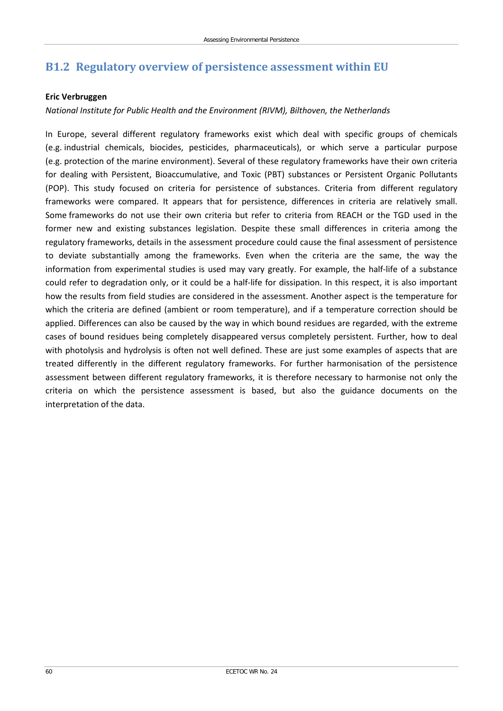### **B1.2 Regulatory overview of persistence assessment within EU**

### **Eric Verbruggen**

### *National Institute for Public Health and the Environment (RIVM), Bilthoven, the Netherlands*

In Europe, several different regulatory frameworks exist which deal with specific groups of chemicals (e.g. industrial chemicals, biocides, pesticides, pharmaceuticals), or which serve a particular purpose (e.g. protection of the marine environment). Several of these regulatory frameworks have their own criteria for dealing with Persistent, Bioaccumulative, and Toxic (PBT) substances or Persistent Organic Pollutants (POP). This study focused on criteria for persistence of substances. Criteria from different regulatory frameworks were compared. It appears that for persistence, differences in criteria are relatively small. Some frameworks do not use their own criteria but refer to criteria from REACH or the TGD used in the former new and existing substances legislation. Despite these small differences in criteria among the regulatory frameworks, details in the assessment procedure could cause the final assessment of persistence to deviate substantially among the frameworks. Even when the criteria are the same, the way the information from experimental studies is used may vary greatly. For example, the half-life of a substance could refer to degradation only, or it could be a half-life for dissipation. In this respect, it is also important how the results from field studies are considered in the assessment. Another aspect is the temperature for which the criteria are defined (ambient or room temperature), and if a temperature correction should be applied. Differences can also be caused by the way in which bound residues are regarded, with the extreme cases of bound residues being completely disappeared versus completely persistent. Further, how to deal with photolysis and hydrolysis is often not well defined. These are just some examples of aspects that are treated differently in the different regulatory frameworks. For further harmonisation of the persistence assessment between different regulatory frameworks, it is therefore necessary to harmonise not only the criteria on which the persistence assessment is based, but also the guidance documents on the interpretation of the data.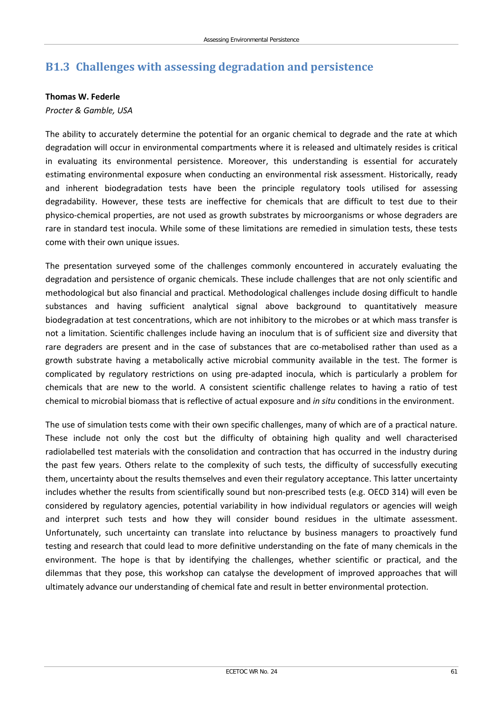## **B1.3 Challenges with assessing degradation and persistence**

### **Thomas W. Federle**

### *Procter & Gamble, USA*

The ability to accurately determine the potential for an organic chemical to degrade and the rate at which degradation will occur in environmental compartments where it is released and ultimately resides is critical in evaluating its environmental persistence. Moreover, this understanding is essential for accurately estimating environmental exposure when conducting an environmental risk assessment. Historically, ready and inherent biodegradation tests have been the principle regulatory tools utilised for assessing degradability. However, these tests are ineffective for chemicals that are difficult to test due to their physico-chemical properties, are not used as growth substrates by microorganisms or whose degraders are rare in standard test inocula. While some of these limitations are remedied in simulation tests, these tests come with their own unique issues.

The presentation surveyed some of the challenges commonly encountered in accurately evaluating the degradation and persistence of organic chemicals. These include challenges that are not only scientific and methodological but also financial and practical. Methodological challenges include dosing difficult to handle substances and having sufficient analytical signal above background to quantitatively measure biodegradation at test concentrations, which are not inhibitory to the microbes or at which mass transfer is not a limitation. Scientific challenges include having an inoculum that is of sufficient size and diversity that rare degraders are present and in the case of substances that are co-metabolised rather than used as a growth substrate having a metabolically active microbial community available in the test. The former is complicated by regulatory restrictions on using pre-adapted inocula, which is particularly a problem for chemicals that are new to the world. A consistent scientific challenge relates to having a ratio of test chemical to microbial biomass that is reflective of actual exposure and *in situ* conditions in the environment.

The use of simulation tests come with their own specific challenges, many of which are of a practical nature. These include not only the cost but the difficulty of obtaining high quality and well characterised radiolabelled test materials with the consolidation and contraction that has occurred in the industry during the past few years. Others relate to the complexity of such tests, the difficulty of successfully executing them, uncertainty about the results themselves and even their regulatory acceptance. This latter uncertainty includes whether the results from scientifically sound but non-prescribed tests (e.g. OECD 314) will even be considered by regulatory agencies, potential variability in how individual regulators or agencies will weigh and interpret such tests and how they will consider bound residues in the ultimate assessment. Unfortunately, such uncertainty can translate into reluctance by business managers to proactively fund testing and research that could lead to more definitive understanding on the fate of many chemicals in the environment. The hope is that by identifying the challenges, whether scientific or practical, and the dilemmas that they pose, this workshop can catalyse the development of improved approaches that will ultimately advance our understanding of chemical fate and result in better environmental protection.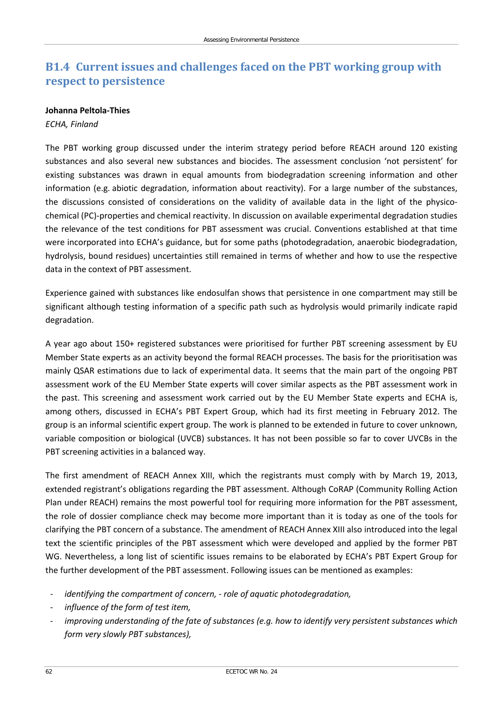### **B1.4 Current issues and challenges faced on the PBT working group with respect to persistence**

### **Johanna Peltola-Thies**

*ECHA, Finland*

The PBT working group discussed under the interim strategy period before REACH around 120 existing substances and also several new substances and biocides. The assessment conclusion 'not persistent' for existing substances was drawn in equal amounts from biodegradation screening information and other information (e.g. abiotic degradation, information about reactivity). For a large number of the substances, the discussions consisted of considerations on the validity of available data in the light of the physicochemical (PC)-properties and chemical reactivity. In discussion on available experimental degradation studies the relevance of the test conditions for PBT assessment was crucial. Conventions established at that time were incorporated into ECHA's guidance, but for some paths (photodegradation, anaerobic biodegradation, hydrolysis, bound residues) uncertainties still remained in terms of whether and how to use the respective data in the context of PBT assessment.

Experience gained with substances like endosulfan shows that persistence in one compartment may still be significant although testing information of a specific path such as hydrolysis would primarily indicate rapid degradation.

A year ago about 150+ registered substances were prioritised for further PBT screening assessment by EU Member State experts as an activity beyond the formal REACH processes. The basis for the prioritisation was mainly QSAR estimations due to lack of experimental data. It seems that the main part of the ongoing PBT assessment work of the EU Member State experts will cover similar aspects as the PBT assessment work in the past. This screening and assessment work carried out by the EU Member State experts and ECHA is, among others, discussed in ECHA's PBT Expert Group, which had its first meeting in February 2012. The group is an informal scientific expert group. The work is planned to be extended in future to cover unknown, variable composition or biological (UVCB) substances. It has not been possible so far to cover UVCBs in the PBT screening activities in a balanced way.

The first amendment of REACH Annex XIII, which the registrants must comply with by March 19, 2013, extended registrant's obligations regarding the PBT assessment. Although CoRAP (Community Rolling Action Plan under REACH) remains the most powerful tool for requiring more information for the PBT assessment, the role of dossier compliance check may become more important than it is today as one of the tools for clarifying the PBT concern of a substance. The amendment of REACH Annex XIII also introduced into the legal text the scientific principles of the PBT assessment which were developed and applied by the former PBT WG. Nevertheless, a long list of scientific issues remains to be elaborated by ECHA's PBT Expert Group for the further development of the PBT assessment. Following issues can be mentioned as examples:

- *identifying the compartment of concern, role of aquatic photodegradation,*
- *influence of the form of test item,*
- *improving understanding of the fate of substances (e.g. how to identify very persistent substances which form very slowly PBT substances),*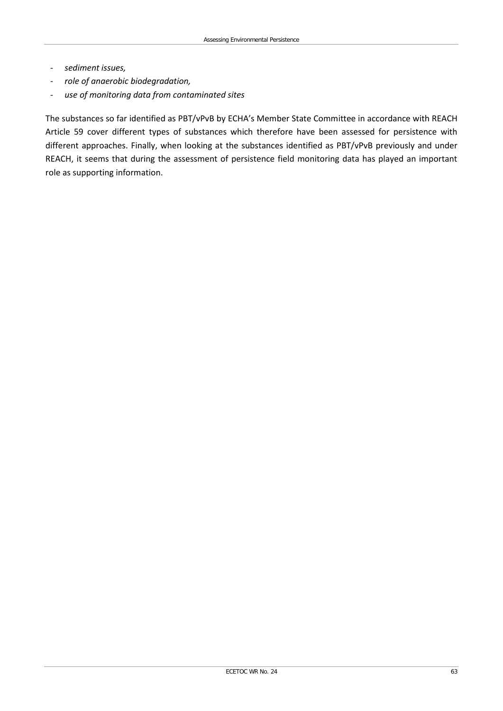- *sediment issues,*
- *role of anaerobic biodegradation,*
- *use of monitoring data from contaminated sites*

The substances so far identified as PBT/vPvB by ECHA's Member State Committee in accordance with REACH Article 59 cover different types of substances which therefore have been assessed for persistence with different approaches. Finally, when looking at the substances identified as PBT/vPvB previously and under REACH, it seems that during the assessment of persistence field monitoring data has played an important role as supporting information.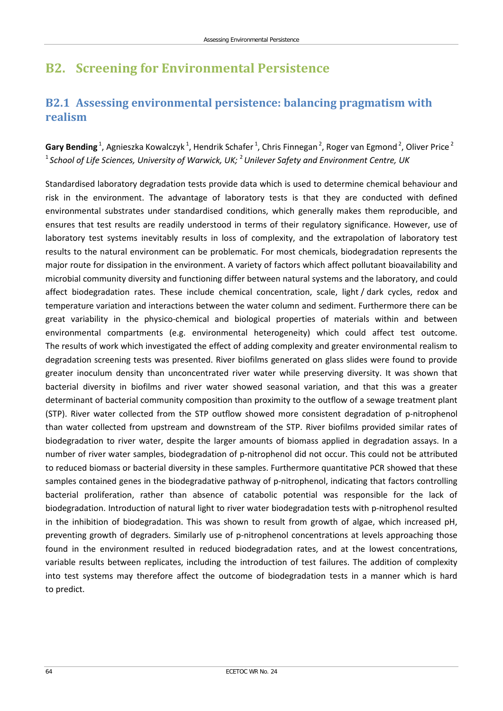## **B2. Screening for Environmental Persistence**

### **B2.1 Assessing environmental persistence: balancing pragmatism with realism**

Gary Bending<sup>1</sup>, Agnieszka Kowalczyk<sup>1</sup>, Hendrik Schafer<sup>1</sup>, Chris Finnegan<sup>2</sup>, Roger van Egmond<sup>2</sup>, Oliver Price<sup>2</sup> <sup>1</sup>*School of Life Sciences, University of Warwick, UK;* <sup>2</sup>*Unilever Safety and Environment Centre, UK*

Standardised laboratory degradation tests provide data which is used to determine chemical behaviour and risk in the environment. The advantage of laboratory tests is that they are conducted with defined environmental substrates under standardised conditions, which generally makes them reproducible, and ensures that test results are readily understood in terms of their regulatory significance. However, use of laboratory test systems inevitably results in loss of complexity, and the extrapolation of laboratory test results to the natural environment can be problematic. For most chemicals, biodegradation represents the major route for dissipation in the environment. A variety of factors which affect pollutant bioavailability and microbial community diversity and functioning differ between natural systems and the laboratory, and could affect biodegradation rates. These include chemical concentration, scale, light / dark cycles, redox and temperature variation and interactions between the water column and sediment. Furthermore there can be great variability in the physico-chemical and biological properties of materials within and between environmental compartments (e.g. environmental heterogeneity) which could affect test outcome. The results of work which investigated the effect of adding complexity and greater environmental realism to degradation screening tests was presented. River biofilms generated on glass slides were found to provide greater inoculum density than unconcentrated river water while preserving diversity. It was shown that bacterial diversity in biofilms and river water showed seasonal variation, and that this was a greater determinant of bacterial community composition than proximity to the outflow of a sewage treatment plant (STP). River water collected from the STP outflow showed more consistent degradation of p-nitrophenol than water collected from upstream and downstream of the STP. River biofilms provided similar rates of biodegradation to river water, despite the larger amounts of biomass applied in degradation assays. In a number of river water samples, biodegradation of p-nitrophenol did not occur. This could not be attributed to reduced biomass or bacterial diversity in these samples. Furthermore quantitative PCR showed that these samples contained genes in the biodegradative pathway of p-nitrophenol, indicating that factors controlling bacterial proliferation, rather than absence of catabolic potential was responsible for the lack of biodegradation. Introduction of natural light to river water biodegradation tests with p-nitrophenol resulted in the inhibition of biodegradation. This was shown to result from growth of algae, which increased pH, preventing growth of degraders. Similarly use of p-nitrophenol concentrations at levels approaching those found in the environment resulted in reduced biodegradation rates, and at the lowest concentrations, variable results between replicates, including the introduction of test failures. The addition of complexity into test systems may therefore affect the outcome of biodegradation tests in a manner which is hard to predict.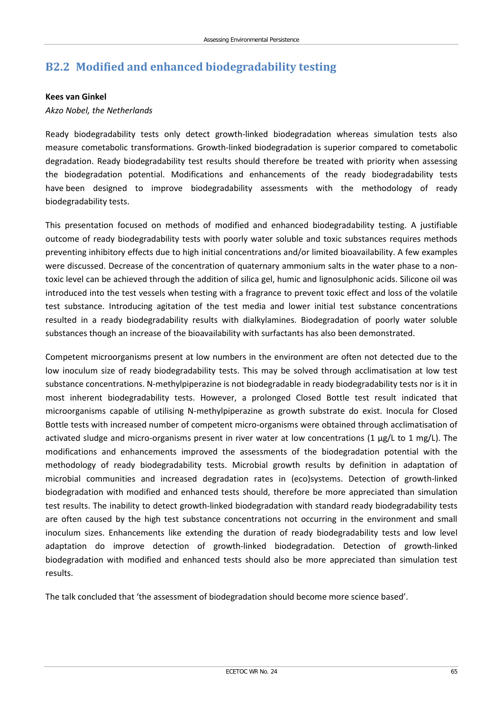## **B2.2 Modified and enhanced biodegradability testing**

### **Kees van Ginkel**

### *Akzo Nobel, the Netherlands*

Ready biodegradability tests only detect growth-linked biodegradation whereas simulation tests also measure cometabolic transformations. Growth-linked biodegradation is superior compared to cometabolic degradation. Ready biodegradability test results should therefore be treated with priority when assessing the biodegradation potential. Modifications and enhancements of the ready biodegradability tests have been designed to improve biodegradability assessments with the methodology of ready biodegradability tests.

This presentation focused on methods of modified and enhanced biodegradability testing. A justifiable outcome of ready biodegradability tests with poorly water soluble and toxic substances requires methods preventing inhibitory effects due to high initial concentrations and/or limited bioavailability. A few examples were discussed. Decrease of the concentration of quaternary ammonium salts in the water phase to a nontoxic level can be achieved through the addition of silica gel, humic and lignosulphonic acids. Silicone oil was introduced into the test vessels when testing with a fragrance to prevent toxic effect and loss of the volatile test substance. Introducing agitation of the test media and lower initial test substance concentrations resulted in a ready biodegradability results with dialkylamines. Biodegradation of poorly water soluble substances though an increase of the bioavailability with surfactants has also been demonstrated.

Competent microorganisms present at low numbers in the environment are often not detected due to the low inoculum size of ready biodegradability tests. This may be solved through acclimatisation at low test substance concentrations. N-methylpiperazine is not biodegradable in ready biodegradability tests nor is it in most inherent biodegradability tests. However, a prolonged Closed Bottle test result indicated that microorganisms capable of utilising N-methylpiperazine as growth substrate do exist. Inocula for Closed Bottle tests with increased number of competent micro-organisms were obtained through acclimatisation of activated sludge and micro-organisms present in river water at low concentrations (1 µg/L to 1 mg/L). The modifications and enhancements improved the assessments of the biodegradation potential with the methodology of ready biodegradability tests. Microbial growth results by definition in adaptation of microbial communities and increased degradation rates in (eco)systems. Detection of growth-linked biodegradation with modified and enhanced tests should, therefore be more appreciated than simulation test results. The inability to detect growth-linked biodegradation with standard ready biodegradability tests are often caused by the high test substance concentrations not occurring in the environment and small inoculum sizes. Enhancements like extending the duration of ready biodegradability tests and low level adaptation do improve detection of growth-linked biodegradation. Detection of growth-linked biodegradation with modified and enhanced tests should also be more appreciated than simulation test results.

The talk concluded that 'the assessment of biodegradation should become more science based'.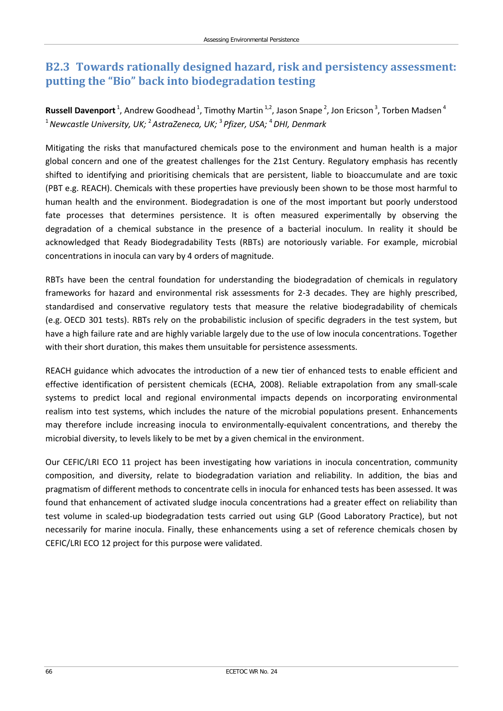### **B2.3 Towards rationally designed hazard, risk and persistency assessment: putting the "Bio" back into biodegradation testing**

**Russell Davenport**<sup>1</sup>, Andrew Goodhead<sup>1</sup>, Timothy Martin<sup>1,2</sup>, Jason Snape<sup>2</sup>, Jon Ericson<sup>3</sup>, Torben Madsen<sup>4</sup> <sup>1</sup>*Newcastle University, UK;* <sup>2</sup>*AstraZeneca, UK;* <sup>3</sup>*Pfizer, USA;* <sup>4</sup>*DHI, Denmark*

Mitigating the risks that manufactured chemicals pose to the environment and human health is a major global concern and one of the greatest challenges for the 21st Century. Regulatory emphasis has recently shifted to identifying and prioritising chemicals that are persistent, liable to bioaccumulate and are toxic (PBT e.g. REACH). Chemicals with these properties have previously been shown to be those most harmful to human health and the environment. Biodegradation is one of the most important but poorly understood fate processes that determines persistence. It is often measured experimentally by observing the degradation of a chemical substance in the presence of a bacterial inoculum. In reality it should be acknowledged that Ready Biodegradability Tests (RBTs) are notoriously variable. For example, microbial concentrations in inocula can vary by 4 orders of magnitude.

RBTs have been the central foundation for understanding the biodegradation of chemicals in regulatory frameworks for hazard and environmental risk assessments for 2-3 decades. They are highly prescribed, standardised and conservative regulatory tests that measure the relative biodegradability of chemicals (e.g. OECD 301 tests). RBTs rely on the probabilistic inclusion of specific degraders in the test system, but have a high failure rate and are highly variable largely due to the use of low inocula concentrations. Together with their short duration, this makes them unsuitable for persistence assessments.

REACH guidance which advocates the introduction of a new tier of enhanced tests to enable efficient and effective identification of persistent chemicals (ECHA, 2008). Reliable extrapolation from any small-scale systems to predict local and regional environmental impacts depends on incorporating environmental realism into test systems, which includes the nature of the microbial populations present. Enhancements may therefore include increasing inocula to environmentally-equivalent concentrations, and thereby the microbial diversity, to levels likely to be met by a given chemical in the environment.

Our CEFIC/LRI ECO 11 project has been investigating how variations in inocula concentration, community composition, and diversity, relate to biodegradation variation and reliability. In addition, the bias and pragmatism of different methods to concentrate cells in inocula for enhanced tests has been assessed. It was found that enhancement of activated sludge inocula concentrations had a greater effect on reliability than test volume in scaled-up biodegradation tests carried out using GLP (Good Laboratory Practice), but not necessarily for marine inocula. Finally, these enhancements using a set of reference chemicals chosen by CEFIC/LRI ECO 12 project for this purpose were validated.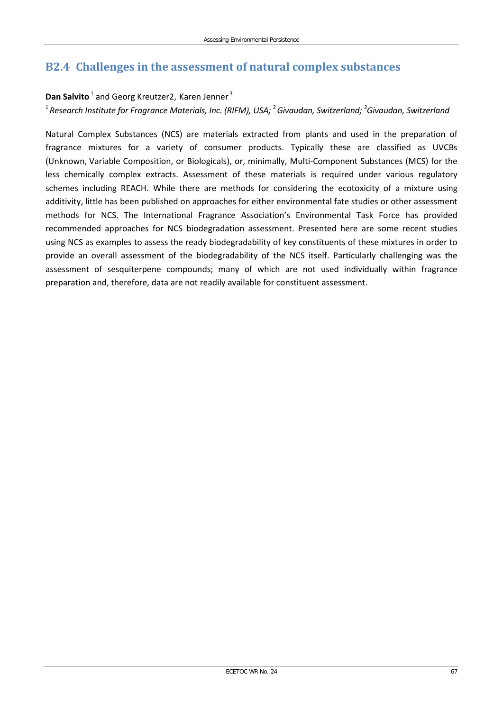### **B2.4 Challenges in the assessment of natural complex substances**

### **Dan Salvito**<sup>1</sup> and Georg Kreutzer2, Karen Jenner<sup>3</sup>

### <sup>1</sup>*Research Institute for Fragrance Materials, Inc. (RIFM), USA;* <sup>2</sup>*Givaudan, Switzerland; 3 Givaudan, Switzerland*

Natural Complex Substances (NCS) are materials extracted from plants and used in the preparation of fragrance mixtures for a variety of consumer products. Typically these are classified as UVCBs (Unknown, Variable Composition, or Biologicals), or, minimally, Multi-Component Substances (MCS) for the less chemically complex extracts. Assessment of these materials is required under various regulatory schemes including REACH. While there are methods for considering the ecotoxicity of a mixture using additivity, little has been published on approaches for either environmental fate studies or other assessment methods for NCS. The International Fragrance Association's Environmental Task Force has provided recommended approaches for NCS biodegradation assessment. Presented here are some recent studies using NCS as examples to assess the ready biodegradability of key constituents of these mixtures in order to provide an overall assessment of the biodegradability of the NCS itself. Particularly challenging was the assessment of sesquiterpene compounds; many of which are not used individually within fragrance preparation and, therefore, data are not readily available for constituent assessment.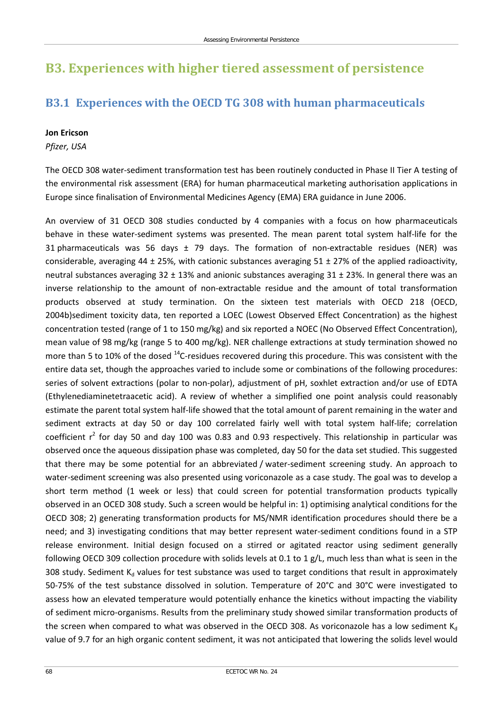# **B3. Experiences with higher tiered assessment of persistence**

### **B3.1 Experiences with the OECD TG 308 with human pharmaceuticals**

### **Jon Ericson**

*Pfizer, USA*

The OECD 308 water-sediment transformation test has been routinely conducted in Phase II Tier A testing of the environmental risk assessment (ERA) for human pharmaceutical marketing authorisation applications in Europe since finalisation of Environmental Medicines Agency (EMA) ERA guidance in June 2006.

An overview of 31 OECD 308 studies conducted by 4 companies with a focus on how pharmaceuticals behave in these water-sediment systems was presented. The mean parent total system half-life for the 31 pharmaceuticals was 56 days  $\pm$  79 days. The formation of non-extractable residues (NER) was considerable, averaging 44  $\pm$  25%, with cationic substances averaging 51  $\pm$  27% of the applied radioactivity, neutral substances averaging 32  $\pm$  13% and anionic substances averaging 31  $\pm$  23%. In general there was an inverse relationship to the amount of non-extractable residue and the amount of total transformation products observed at study termination. On the sixteen test materials with OECD 218 (OECD, 2004b)sediment toxicity data, ten reported a LOEC (Lowest Observed Effect Concentration) as the highest concentration tested (range of 1 to 150 mg/kg) and six reported a NOEC (No Observed Effect Concentration), mean value of 98 mg/kg (range 5 to 400 mg/kg). NER challenge extractions at study termination showed no more than 5 to 10% of the dosed <sup>14</sup>C-residues recovered during this procedure. This was consistent with the entire data set, though the approaches varied to include some or combinations of the following procedures: series of solvent extractions (polar to non-polar), adjustment of pH, soxhlet extraction and/or use of EDTA (Ethylenediaminetetraacetic acid). A review of whether a simplified one point analysis could reasonably estimate the parent total system half-life showed that the total amount of parent remaining in the water and sediment extracts at day 50 or day 100 correlated fairly well with total system half-life; correlation coefficient  $r^2$  for day 50 and day 100 was 0.83 and 0.93 respectively. This relationship in particular was observed once the aqueous dissipation phase was completed, day 50 for the data set studied. This suggested that there may be some potential for an abbreviated / water-sediment screening study. An approach to water-sediment screening was also presented using voriconazole as a case study. The goal was to develop a short term method (1 week or less) that could screen for potential transformation products typically observed in an OCED 308 study. Such a screen would be helpful in: 1) optimising analytical conditions for the OECD 308; 2) generating transformation products for MS/NMR identification procedures should there be a need; and 3) investigating conditions that may better represent water-sediment conditions found in a STP release environment. Initial design focused on a stirred or agitated reactor using sediment generally following OECD 309 collection procedure with solids levels at 0.1 to 1 g/L, much less than what is seen in the 308 study. Sediment  $K_d$  values for test substance was used to target conditions that result in approximately 50-75% of the test substance dissolved in solution. Temperature of 20°C and 30°C were investigated to assess how an elevated temperature would potentially enhance the kinetics without impacting the viability of sediment micro-organisms. Results from the preliminary study showed similar transformation products of the screen when compared to what was observed in the OECD 308. As voriconazole has a low sediment  $K_d$ value of 9.7 for an high organic content sediment, it was not anticipated that lowering the solids level would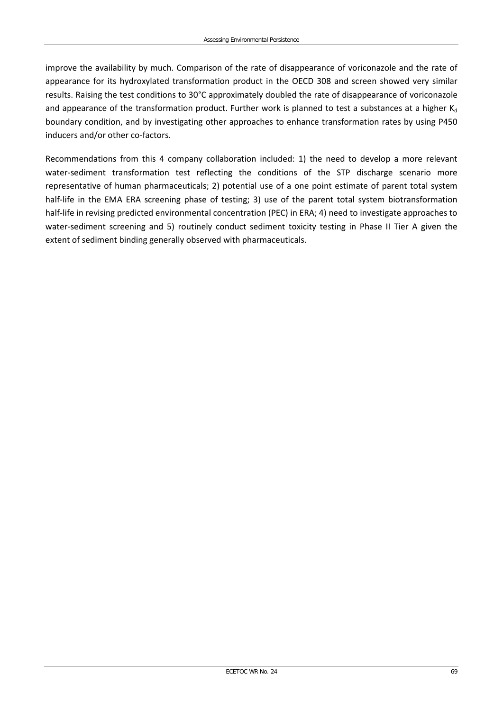improve the availability by much. Comparison of the rate of disappearance of voriconazole and the rate of appearance for its hydroxylated transformation product in the OECD 308 and screen showed very similar results. Raising the test conditions to 30°C approximately doubled the rate of disappearance of voriconazole and appearance of the transformation product. Further work is planned to test a substances at a higher  $K_d$ boundary condition, and by investigating other approaches to enhance transformation rates by using P450 inducers and/or other co-factors.

Recommendations from this 4 company collaboration included: 1) the need to develop a more relevant water-sediment transformation test reflecting the conditions of the STP discharge scenario more representative of human pharmaceuticals; 2) potential use of a one point estimate of parent total system half-life in the EMA ERA screening phase of testing; 3) use of the parent total system biotransformation half-life in revising predicted environmental concentration (PEC) in ERA; 4) need to investigate approaches to water-sediment screening and 5) routinely conduct sediment toxicity testing in Phase II Tier A given the extent of sediment binding generally observed with pharmaceuticals.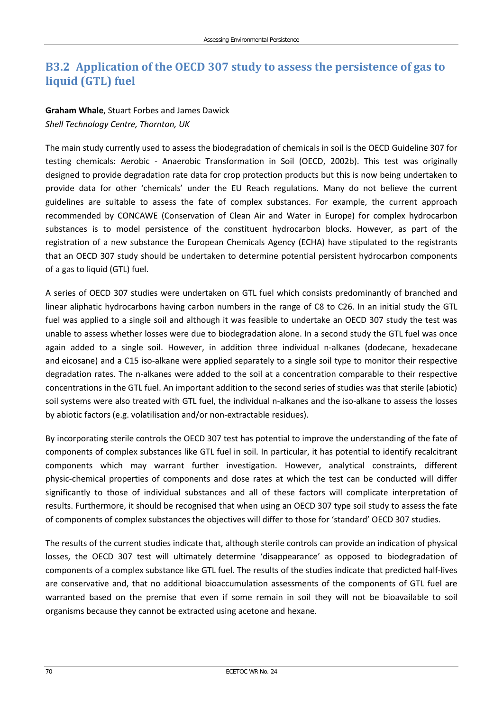### **B3.2 Application of the OECD 307 study to assess the persistence of gas to liquid (GTL) fuel**

### **Graham Whale**, Stuart Forbes and James Dawick *Shell Technology Centre, Thornton, UK*

The main study currently used to assess the biodegradation of chemicals in soil is the OECD Guideline 307 for testing chemicals: Aerobic - Anaerobic Transformation in Soil (OECD, 2002b). This test was originally designed to provide degradation rate data for crop protection products but this is now being undertaken to provide data for other 'chemicals' under the EU Reach regulations. Many do not believe the current guidelines are suitable to assess the fate of complex substances. For example, the current approach recommended by CONCAWE (Conservation of Clean Air and Water in Europe) for complex hydrocarbon substances is to model persistence of the constituent hydrocarbon blocks. However, as part of the registration of a new substance the European Chemicals Agency (ECHA) have stipulated to the registrants that an OECD 307 study should be undertaken to determine potential persistent hydrocarbon components of a gas to liquid (GTL) fuel.

A series of OECD 307 studies were undertaken on GTL fuel which consists predominantly of branched and linear aliphatic hydrocarbons having carbon numbers in the range of C8 to C26. In an initial study the GTL fuel was applied to a single soil and although it was feasible to undertake an OECD 307 study the test was unable to assess whether losses were due to biodegradation alone. In a second study the GTL fuel was once again added to a single soil. However, in addition three individual n-alkanes (dodecane, hexadecane and eicosane) and a C15 iso-alkane were applied separately to a single soil type to monitor their respective degradation rates. The n-alkanes were added to the soil at a concentration comparable to their respective concentrations in the GTL fuel. An important addition to the second series of studies was that sterile (abiotic) soil systems were also treated with GTL fuel, the individual n-alkanes and the iso-alkane to assess the losses by abiotic factors (e.g. volatilisation and/or non-extractable residues).

By incorporating sterile controls the OECD 307 test has potential to improve the understanding of the fate of components of complex substances like GTL fuel in soil. In particular, it has potential to identify recalcitrant components which may warrant further investigation. However, analytical constraints, different physic-chemical properties of components and dose rates at which the test can be conducted will differ significantly to those of individual substances and all of these factors will complicate interpretation of results. Furthermore, it should be recognised that when using an OECD 307 type soil study to assess the fate of components of complex substances the objectives will differ to those for 'standard' OECD 307 studies.

The results of the current studies indicate that, although sterile controls can provide an indication of physical losses, the OECD 307 test will ultimately determine 'disappearance' as opposed to biodegradation of components of a complex substance like GTL fuel. The results of the studies indicate that predicted half-lives are conservative and, that no additional bioaccumulation assessments of the components of GTL fuel are warranted based on the premise that even if some remain in soil they will not be bioavailable to soil organisms because they cannot be extracted using acetone and hexane.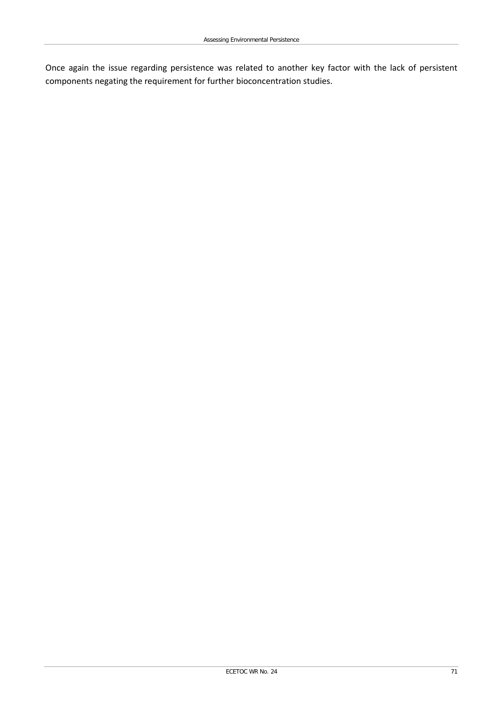Once again the issue regarding persistence was related to another key factor with the lack of persistent components negating the requirement for further bioconcentration studies.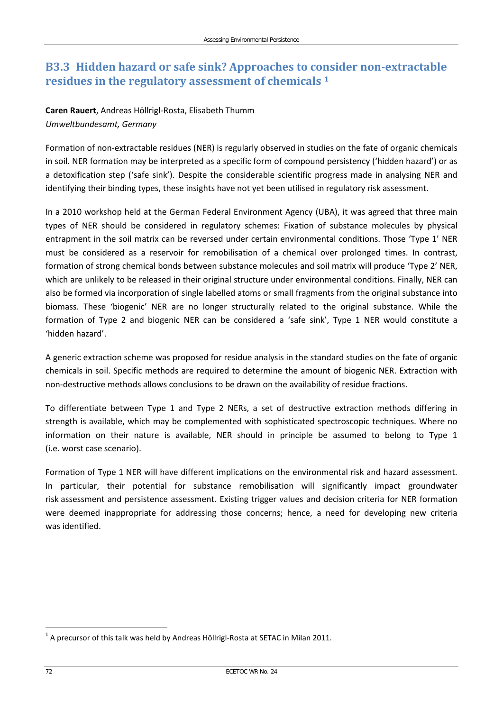### **B3.3 Hidden hazard or safe sink? Approaches to consider non-extractable residues in the regulatory assessment of chemicals [1](#page-77-0)**

# **Caren Rauert**, Andreas Höllrigl-Rosta, Elisabeth Thumm

### *Umweltbundesamt, Germany*

Formation of non-extractable residues (NER) is regularly observed in studies on the fate of organic chemicals in soil. NER formation may be interpreted as a specific form of compound persistency ('hidden hazard') or as a detoxification step ('safe sink'). Despite the considerable scientific progress made in analysing NER and identifying their binding types, these insights have not yet been utilised in regulatory risk assessment.

In a 2010 workshop held at the German Federal Environment Agency (UBA), it was agreed that three main types of NER should be considered in regulatory schemes: Fixation of substance molecules by physical entrapment in the soil matrix can be reversed under certain environmental conditions. Those 'Type 1' NER must be considered as a reservoir for remobilisation of a chemical over prolonged times. In contrast, formation of strong chemical bonds between substance molecules and soil matrix will produce 'Type 2' NER, which are unlikely to be released in their original structure under environmental conditions. Finally, NER can also be formed via incorporation of single labelled atoms or small fragments from the original substance into biomass. These 'biogenic' NER are no longer structurally related to the original substance. While the formation of Type 2 and biogenic NER can be considered a 'safe sink', Type 1 NER would constitute a 'hidden hazard'.

A generic extraction scheme was proposed for residue analysis in the standard studies on the fate of organic chemicals in soil. Specific methods are required to determine the amount of biogenic NER. Extraction with non-destructive methods allows conclusions to be drawn on the availability of residue fractions.

To differentiate between Type 1 and Type 2 NERs, a set of destructive extraction methods differing in strength is available, which may be complemented with sophisticated spectroscopic techniques. Where no information on their nature is available, NER should in principle be assumed to belong to Type 1 (i.e. worst case scenario).

Formation of Type 1 NER will have different implications on the environmental risk and hazard assessment. In particular, their potential for substance remobilisation will significantly impact groundwater risk assessment and persistence assessment. Existing trigger values and decision criteria for NER formation were deemed inappropriate for addressing those concerns; hence, a need for developing new criteria was identified.

 $\ddot{\phantom{a}}$ 

<span id="page-77-0"></span> $1$  A precursor of this talk was held by Andreas Höllrigl-Rosta at SETAC in Milan 2011.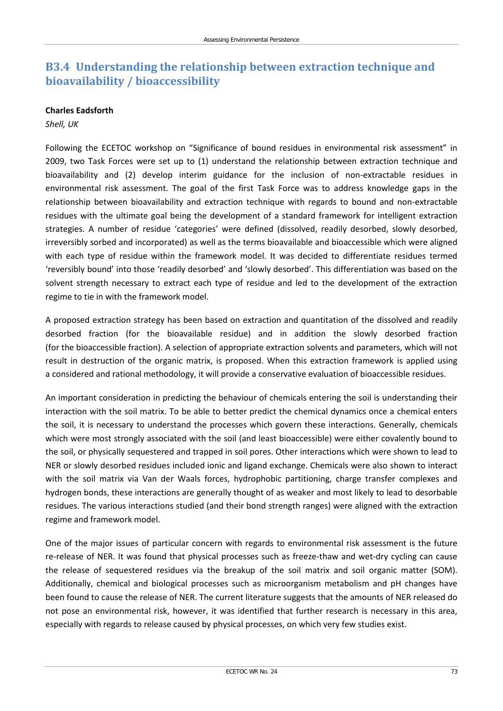### **B3.4 Understanding the relationship between extraction technique and bioavailability / bioaccessibility**

#### **Charles Eadsforth**

*Shell, UK*

Following the ECETOC workshop on "Significance of bound residues in environmental risk assessment" in 2009, two Task Forces were set up to (1) understand the relationship between extraction technique and bioavailability and (2) develop interim guidance for the inclusion of non-extractable residues in environmental risk assessment. The goal of the first Task Force was to address knowledge gaps in the relationship between bioavailability and extraction technique with regards to bound and non-extractable residues with the ultimate goal being the development of a standard framework for intelligent extraction strategies. A number of residue 'categories' were defined (dissolved, readily desorbed, slowly desorbed, irreversibly sorbed and incorporated) as well as the terms bioavailable and bioaccessible which were aligned with each type of residue within the framework model. It was decided to differentiate residues termed 'reversibly bound' into those 'readily desorbed' and 'slowly desorbed'. This differentiation was based on the solvent strength necessary to extract each type of residue and led to the development of the extraction regime to tie in with the framework model.

A proposed extraction strategy has been based on extraction and quantitation of the dissolved and readily desorbed fraction (for the bioavailable residue) and in addition the slowly desorbed fraction (for the bioaccessible fraction). A selection of appropriate extraction solvents and parameters, which will not result in destruction of the organic matrix, is proposed. When this extraction framework is applied using a considered and rational methodology, it will provide a conservative evaluation of bioaccessible residues.

An important consideration in predicting the behaviour of chemicals entering the soil is understanding their interaction with the soil matrix. To be able to better predict the chemical dynamics once a chemical enters the soil, it is necessary to understand the processes which govern these interactions. Generally, chemicals which were most strongly associated with the soil (and least bioaccessible) were either covalently bound to the soil, or physically sequestered and trapped in soil pores. Other interactions which were shown to lead to NER or slowly desorbed residues included ionic and ligand exchange. Chemicals were also shown to interact with the soil matrix via Van der Waals forces, hydrophobic partitioning, charge transfer complexes and hydrogen bonds, these interactions are generally thought of as weaker and most likely to lead to desorbable residues. The various interactions studied (and their bond strength ranges) were aligned with the extraction regime and framework model.

One of the major issues of particular concern with regards to environmental risk assessment is the future re-release of NER. It was found that physical processes such as freeze-thaw and wet-dry cycling can cause the release of sequestered residues via the breakup of the soil matrix and soil organic matter (SOM). Additionally, chemical and biological processes such as microorganism metabolism and pH changes have been found to cause the release of NER. The current literature suggests that the amounts of NER released do not pose an environmental risk, however, it was identified that further research is necessary in this area, especially with regards to release caused by physical processes, on which very few studies exist.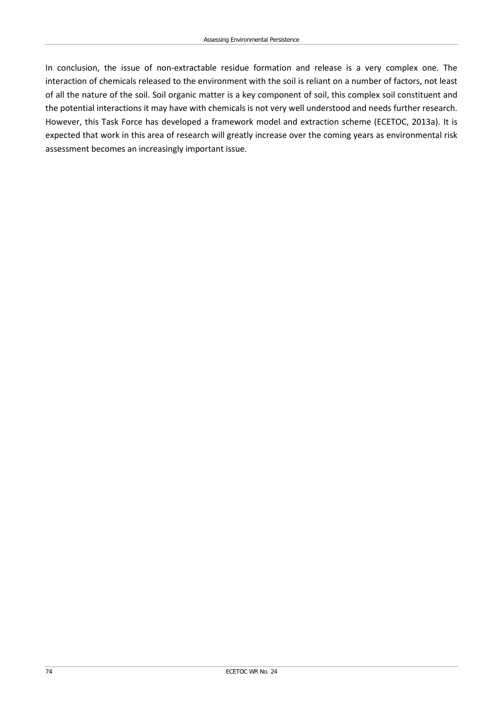In conclusion, the issue of non-extractable residue formation and release is a very complex one. The interaction of chemicals released to the environment with the soil is reliant on a number of factors, not least of all the nature of the soil. Soil organic matter is a key component of soil, this complex soil constituent and the potential interactions it may have with chemicals is not very well understood and needs further research. However, this Task Force has developed a framework model and extraction scheme (ECETOC, 2013a). It is expected that work in this area of research will greatly increase over the coming years as environmental risk assessment becomes an increasingly important issue.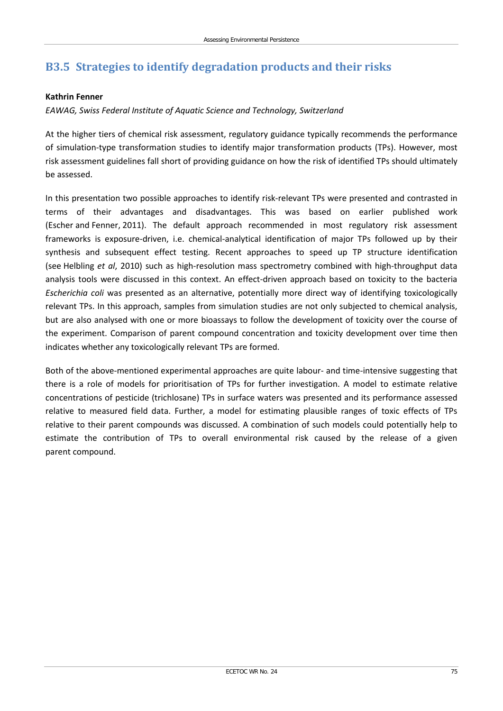## **B3.5 Strategies to identify degradation products and their risks**

### **Kathrin Fenner**

### *EAWAG, Swiss Federal Institute of Aquatic Science and Technology, Switzerland*

At the higher tiers of chemical risk assessment, regulatory guidance typically recommends the performance of simulation-type transformation studies to identify major transformation products (TPs). However, most risk assessment guidelines fall short of providing guidance on how the risk of identified TPs should ultimately be assessed.

In this presentation two possible approaches to identify risk-relevant TPs were presented and contrasted in terms of their advantages and disadvantages. This was based on earlier published work (Escher and Fenner, 2011). The default approach recommended in most regulatory risk assessment frameworks is exposure-driven, i.e. chemical-analytical identification of major TPs followed up by their synthesis and subsequent effect testing. Recent approaches to speed up TP structure identification (see Helbling *et al*, 2010) such as high-resolution mass spectrometry combined with high-throughput data analysis tools were discussed in this context. An effect-driven approach based on toxicity to the bacteria *Escherichia coli* was presented as an alternative, potentially more direct way of identifying toxicologically relevant TPs. In this approach, samples from simulation studies are not only subjected to chemical analysis, but are also analysed with one or more bioassays to follow the development of toxicity over the course of the experiment. Comparison of parent compound concentration and toxicity development over time then indicates whether any toxicologically relevant TPs are formed.

Both of the above-mentioned experimental approaches are quite labour- and time-intensive suggesting that there is a role of models for prioritisation of TPs for further investigation. A model to estimate relative concentrations of pesticide (trichlosane) TPs in surface waters was presented and its performance assessed relative to measured field data. Further, a model for estimating plausible ranges of toxic effects of TPs relative to their parent compounds was discussed. A combination of such models could potentially help to estimate the contribution of TPs to overall environmental risk caused by the release of a given parent compound.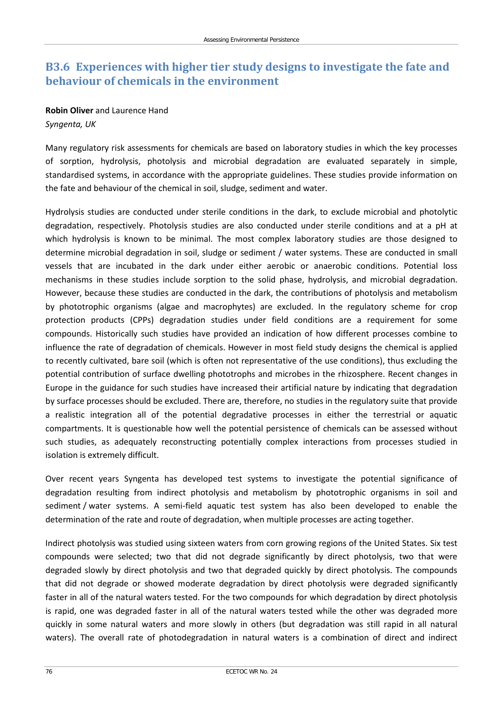### **B3.6 Experiences with higher tier study designs to investigate the fate and behaviour of chemicals in the environment**

#### **Robin Oliver** and Laurence Hand

*Syngenta, UK*

Many regulatory risk assessments for chemicals are based on laboratory studies in which the key processes of sorption, hydrolysis, photolysis and microbial degradation are evaluated separately in simple, standardised systems, in accordance with the appropriate guidelines. These studies provide information on the fate and behaviour of the chemical in soil, sludge, sediment and water.

Hydrolysis studies are conducted under sterile conditions in the dark, to exclude microbial and photolytic degradation, respectively. Photolysis studies are also conducted under sterile conditions and at a pH at which hydrolysis is known to be minimal. The most complex laboratory studies are those designed to determine microbial degradation in soil, sludge or sediment / water systems. These are conducted in small vessels that are incubated in the dark under either aerobic or anaerobic conditions. Potential loss mechanisms in these studies include sorption to the solid phase, hydrolysis, and microbial degradation. However, because these studies are conducted in the dark, the contributions of photolysis and metabolism by phototrophic organisms (algae and macrophytes) are excluded. In the regulatory scheme for crop protection products (CPPs) degradation studies under field conditions are a requirement for some compounds. Historically such studies have provided an indication of how different processes combine to influence the rate of degradation of chemicals. However in most field study designs the chemical is applied to recently cultivated, bare soil (which is often not representative of the use conditions), thus excluding the potential contribution of surface dwelling phototrophs and microbes in the rhizosphere. Recent changes in Europe in the guidance for such studies have increased their artificial nature by indicating that degradation by surface processes should be excluded. There are, therefore, no studies in the regulatory suite that provide a realistic integration all of the potential degradative processes in either the terrestrial or aquatic compartments. It is questionable how well the potential persistence of chemicals can be assessed without such studies, as adequately reconstructing potentially complex interactions from processes studied in isolation is extremely difficult.

Over recent years Syngenta has developed test systems to investigate the potential significance of degradation resulting from indirect photolysis and metabolism by phototrophic organisms in soil and sediment / water systems. A semi-field aquatic test system has also been developed to enable the determination of the rate and route of degradation, when multiple processes are acting together.

Indirect photolysis was studied using sixteen waters from corn growing regions of the United States. Six test compounds were selected; two that did not degrade significantly by direct photolysis, two that were degraded slowly by direct photolysis and two that degraded quickly by direct photolysis. The compounds that did not degrade or showed moderate degradation by direct photolysis were degraded significantly faster in all of the natural waters tested. For the two compounds for which degradation by direct photolysis is rapid, one was degraded faster in all of the natural waters tested while the other was degraded more quickly in some natural waters and more slowly in others (but degradation was still rapid in all natural waters). The overall rate of photodegradation in natural waters is a combination of direct and indirect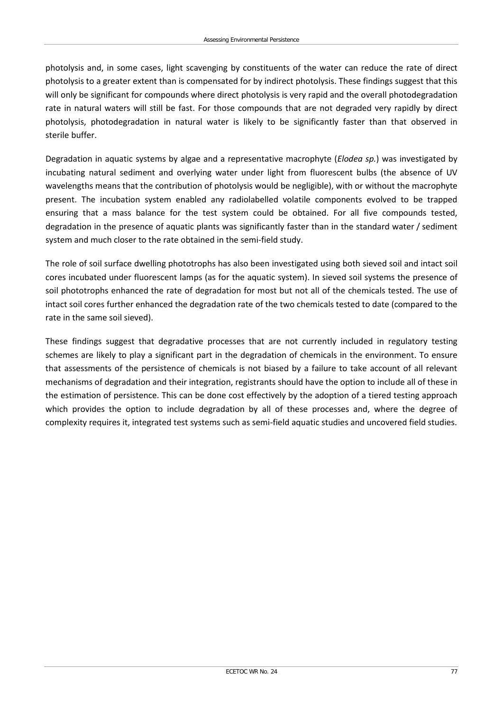photolysis and, in some cases, light scavenging by constituents of the water can reduce the rate of direct photolysis to a greater extent than is compensated for by indirect photolysis. These findings suggest that this will only be significant for compounds where direct photolysis is very rapid and the overall photodegradation rate in natural waters will still be fast. For those compounds that are not degraded very rapidly by direct photolysis, photodegradation in natural water is likely to be significantly faster than that observed in sterile buffer.

Degradation in aquatic systems by algae and a representative macrophyte (*Elodea sp.*) was investigated by incubating natural sediment and overlying water under light from fluorescent bulbs (the absence of UV wavelengths means that the contribution of photolysis would be negligible), with or without the macrophyte present. The incubation system enabled any radiolabelled volatile components evolved to be trapped ensuring that a mass balance for the test system could be obtained. For all five compounds tested, degradation in the presence of aquatic plants was significantly faster than in the standard water / sediment system and much closer to the rate obtained in the semi-field study.

The role of soil surface dwelling phototrophs has also been investigated using both sieved soil and intact soil cores incubated under fluorescent lamps (as for the aquatic system). In sieved soil systems the presence of soil phototrophs enhanced the rate of degradation for most but not all of the chemicals tested. The use of intact soil cores further enhanced the degradation rate of the two chemicals tested to date (compared to the rate in the same soil sieved).

These findings suggest that degradative processes that are not currently included in regulatory testing schemes are likely to play a significant part in the degradation of chemicals in the environment. To ensure that assessments of the persistence of chemicals is not biased by a failure to take account of all relevant mechanisms of degradation and their integration, registrants should have the option to include all of these in the estimation of persistence. This can be done cost effectively by the adoption of a tiered testing approach which provides the option to include degradation by all of these processes and, where the degree of complexity requires it, integrated test systems such as semi-field aquatic studies and uncovered field studies.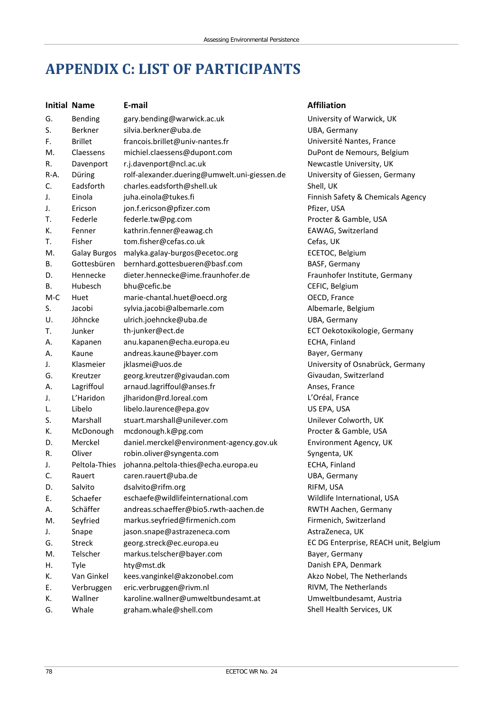# **APPENDIX C: LIST OF PARTICIPANTS**

#### **Initial Name E-mail Affiliation** G. S. F. M. R. R-A. C. J. J. T. K. T. M. B. D. B.  $M-C$ S. U. T. A. A. J. G. A. J. L. S. K. D. R. J. C. D. E. A. M. J. G. M. H. K. E. K. G. Bending Berkner Brillet Claessens Davenport Düring Eadsforth Einola Ericson Federle Fenner Fisher Galay Burgos Gottesbüren Hennecke Hubesch Huet Jacobi Jöhncke Junker Kapanen Kaune Klasmeier Kreutzer Lagriffoul L'Haridon Libelo Marshall McDonough Merckel Oliver Peltola-Thies Rauert Salvito Schaefer Schäffer Seyfried Snape Streck Telscher Tyle Van Ginkel Verbruggen Wallner Whale gary.bending@warwick.ac.uk silvia.berkner@uba.de francois.brillet@univ-nantes.fr michiel.claessens@dupont.com r.j.davenport@ncl.ac.uk rolf-alexander.duering@umwelt.uni-giessen.de charles.eadsforth@shell.uk juha.einola@tukes.fi jon.f.ericson@pfizer.com federle.tw@pg.com kathrin.fenner@eawag.ch tom.fisher@cefas.co.uk malyka.galay-burgos@ecetoc.org bernhard.gottesbueren@basf.com dieter.hennecke@ime.fraunhofer.de bhu@cefic.be marie-chantal.huet@oecd.org sylvia.jacobi@albemarle.com ulrich.joehncke@uba.de th-junker@ect.de anu.kapanen@echa.europa.eu andreas.kaune@bayer.com jklasmei@uos.de georg.kreutzer@givaudan.com arnaud.lagriffoul@anses.fr jlharidon@rd.loreal.com libelo.laurence@epa.gov stuart.marshall@unilever.com mcdonough.k@pg.com daniel.merckel@environment-agency.gov.uk robin.oliver@syngenta.com johanna.peltola-thies@echa.europa.eu caren.rauert@uba.de dsalvito@rifm.org eschaefe@wildlifeinternational.com andreas.schaeffer@bio5.rwth-aachen.de markus.seyfried@firmenich.com jason.snape@astrazeneca.com georg.streck@ec.europa.eu markus.telscher@bayer.com hty@mst.dk kees.vanginkel@akzonobel.com eric.verbruggen@rivm.nl karoline.wallner@umweltbundesamt.at graham.whale@shell.com University of Warwick, UK UBA, Germany Université Nantes, France DuPont de Nemours, Belgium Newcastle University, UK University of Giessen, Germany Shell, UK Finnish Safety & Chemicals Agency Pfizer, USA Procter & Gamble, USA EAWAG, Switzerland Cefas, UK ECETOC, Belgium BASF, Germany Fraunhofer Institute, Germany CEFIC, Belgium OECD, France Albemarle, Belgium UBA, Germany ECT Oekotoxikologie, Germany ECHA, Finland Bayer, Germany University of Osnabrück, Germany Givaudan, Switzerland Anses, France L'Oréal, France US EPA, USA Unilever Colworth, UK Procter & Gamble, USA Environment Agency, UK Syngenta, UK ECHA, Finland UBA, Germany RIFM, USA Wildlife International, USA RWTH Aachen, Germany Firmenich, Switzerland AstraZeneca, UK EC DG Enterprise, REACH unit, Belgium Bayer, Germany Danish EPA, Denmark Akzo Nobel, The Netherlands RIVM, The Netherlands Umweltbundesamt, Austria Shell Health Services, UK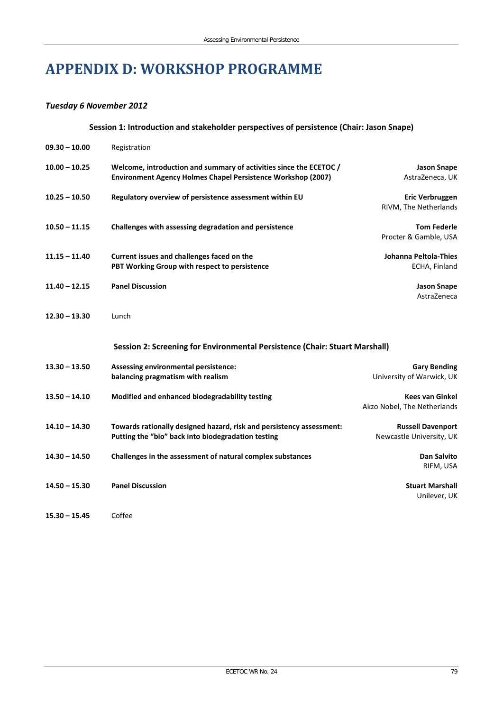# **APPENDIX D: WORKSHOP PROGRAMME**

### *Tuesday 6 November 2012*

| $09.30 - 10.00$ | Registration                                                                                                                       |                                                       |
|-----------------|------------------------------------------------------------------------------------------------------------------------------------|-------------------------------------------------------|
| $10.00 - 10.25$ | Welcome, introduction and summary of activities since the ECETOC /<br>Environment Agency Holmes Chapel Persistence Workshop (2007) | <b>Jason Snape</b><br>AstraZeneca, UK                 |
| $10.25 - 10.50$ | Regulatory overview of persistence assessment within EU                                                                            | <b>Eric Verbruggen</b><br>RIVM, The Netherlands       |
| $10.50 - 11.15$ | Challenges with assessing degradation and persistence                                                                              | <b>Tom Federle</b><br>Procter & Gamble, USA           |
| $11.15 - 11.40$ | Current issues and challenges faced on the<br>PBT Working Group with respect to persistence                                        | Johanna Peltola-Thies<br>ECHA, Finland                |
| $11.40 - 12.15$ | <b>Panel Discussion</b>                                                                                                            | <b>Jason Snape</b><br>AstraZeneca                     |
| $12.30 - 13.30$ | Lunch                                                                                                                              |                                                       |
|                 | Session 2: Screening for Environmental Persistence (Chair: Stuart Marshall)                                                        |                                                       |
| $13.30 - 13.50$ | Assessing environmental persistence:<br>balancing pragmatism with realism                                                          | <b>Gary Bending</b><br>University of Warwick, UK      |
| $13.50 - 14.10$ | Modified and enhanced biodegradability testing                                                                                     | <b>Kees van Ginkel</b><br>Akzo Nobel, The Netherlands |
| $14.10 - 14.30$ | Towards rationally designed hazard, risk and persistency assessment:<br>Putting the "bio" back into biodegradation testing         | <b>Russell Davenport</b><br>Newcastle University, UK  |
| $14.30 - 14.50$ | Challenges in the assessment of natural complex substances                                                                         | <b>Dan Salvito</b><br>RIFM, USA                       |
| $14.50 - 15.30$ | <b>Panel Discussion</b>                                                                                                            | <b>Stuart Marshall</b><br>Unilever, UK                |

**15.30 – 15.45** Coffee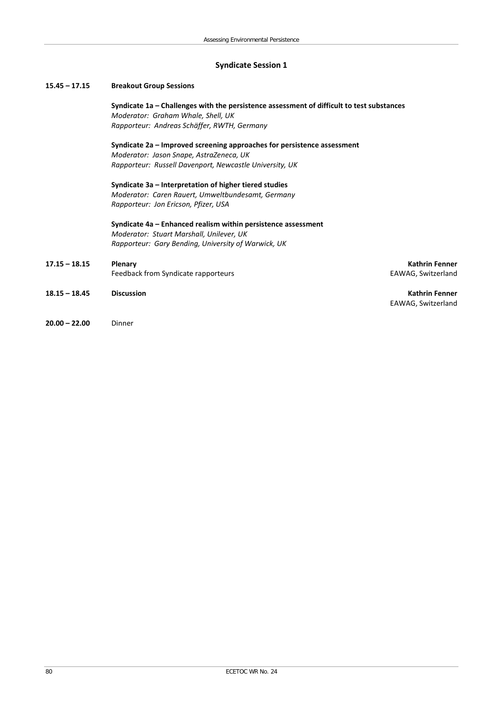#### **Syndicate Session 1**

#### **15.45 – 17.15 Breakout Group Sessions**

**Syndicate 1a – Challenges with the persistence assessment of difficult to test substances** *Moderator: Graham Whale, Shell, UK Rapporteur: Andreas Schäffer, RWTH, Germany*

**Syndicate 2a – Improved screening approaches for persistence assessment** *Moderator: Jason Snape, AstraZeneca, UK Rapporteur: Russell Davenport, Newcastle University, UK*

**Syndicate 3a – Interpretation of higher tiered studies** *Moderator: Caren Rauert, Umweltbundesamt, Germany Rapporteur: Jon Ericson, Pfizer, USA*

**Syndicate 4a – Enhanced realism within persistence assessment** *Moderator: Stuart Marshall, Unilever, UK*

*Rapporteur: Gary Bending, University of Warwick, UK*

**17.15 – 18.15 Plenary Kathrin Fenner** Feedback from Syndicate rapporteurs

**18.15 – 18.45 Discussion Kathrin Fenner**

EAWAG, Switzerland

**20.00 – 22.00** Dinner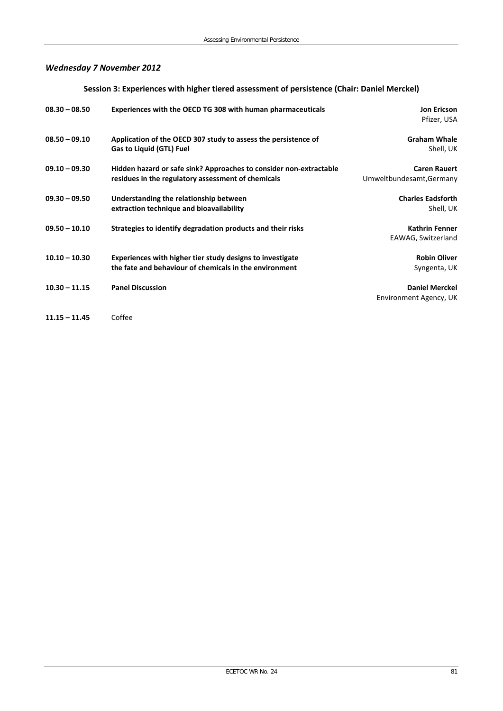### *Wednesday 7 November 2012*

### **Session 3: Experiences with higher tiered assessment of persistence (Chair: Daniel Merckel)**

| $08.30 - 08.50$ | Experiences with the OECD TG 308 with human pharmaceuticals                                                              | Jon Ericson<br>Pfizer, USA                      |
|-----------------|--------------------------------------------------------------------------------------------------------------------------|-------------------------------------------------|
| $08.50 - 09.10$ | Application of the OECD 307 study to assess the persistence of<br>Gas to Liquid (GTL) Fuel                               | <b>Graham Whale</b><br>Shell, UK                |
| $09.10 - 09.30$ | Hidden hazard or safe sink? Approaches to consider non-extractable<br>residues in the regulatory assessment of chemicals | <b>Caren Rauert</b><br>Umweltbundesamt, Germany |
| $09.30 - 09.50$ | Understanding the relationship between<br>extraction technique and bioavailability                                       | <b>Charles Eadsforth</b><br>Shell, UK           |
| $09.50 - 10.10$ | Strategies to identify degradation products and their risks                                                              | <b>Kathrin Fenner</b><br>EAWAG, Switzerland     |
| $10.10 - 10.30$ | Experiences with higher tier study designs to investigate<br>the fate and behaviour of chemicals in the environment      | <b>Robin Oliver</b><br>Syngenta, UK             |
| $10.30 - 11.15$ | <b>Panel Discussion</b>                                                                                                  | <b>Daniel Merckel</b><br>Environment Agency, UK |

**11.15 – 11.45** Coffee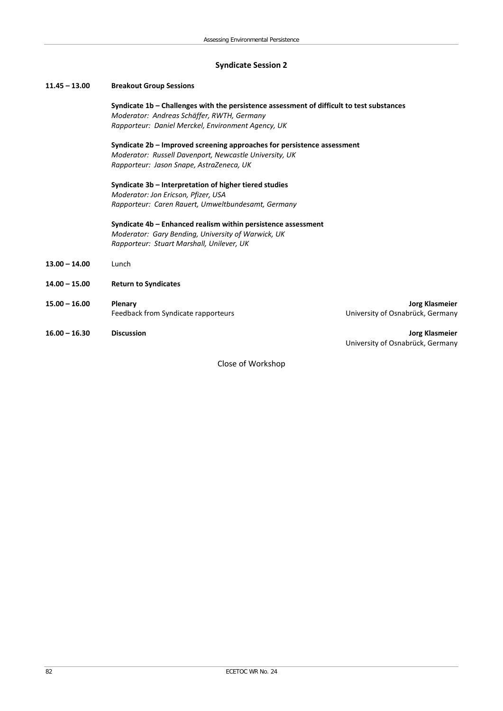#### **Syndicate Session 2**

| $11.45 - 13.00$ | <b>Breakout Group Sessions</b>                                                                                                                                                                  |                                                           |
|-----------------|-------------------------------------------------------------------------------------------------------------------------------------------------------------------------------------------------|-----------------------------------------------------------|
|                 | Syndicate $1b$ – Challenges with the persistence assessment of difficult to test substances<br>Moderator: Andreas Schäffer, RWTH, Germany<br>Rapporteur: Daniel Merckel, Environment Agency, UK |                                                           |
|                 | Syndicate 2b - Improved screening approaches for persistence assessment<br>Moderator: Russell Davenport, Newcastle University, UK<br>Rapporteur: Jason Snape, AstraZeneca, UK                   |                                                           |
|                 | Syndicate 3b – Interpretation of higher tiered studies<br>Moderator: Jon Ericson, Pfizer, USA<br>Rapporteur: Caren Rauert, Umweltbundesamt, Germany                                             |                                                           |
|                 | Syndicate 4b – Enhanced realism within persistence assessment<br>Moderator: Gary Bending, University of Warwick, UK<br>Rapporteur: Stuart Marshall, Unilever, UK                                |                                                           |
| $13.00 - 14.00$ | Lunch                                                                                                                                                                                           |                                                           |
| $14.00 - 15.00$ | <b>Return to Syndicates</b>                                                                                                                                                                     |                                                           |
| $15.00 - 16.00$ | Plenary<br>Feedback from Syndicate rapporteurs                                                                                                                                                  | <b>Jorg Klasmeier</b><br>University of Osnabrück, Germany |
| $16.00 - 16.30$ | <b>Discussion</b>                                                                                                                                                                               | Jorg Klasmeier<br>University of Osnabrück, Germany        |

Close of Workshop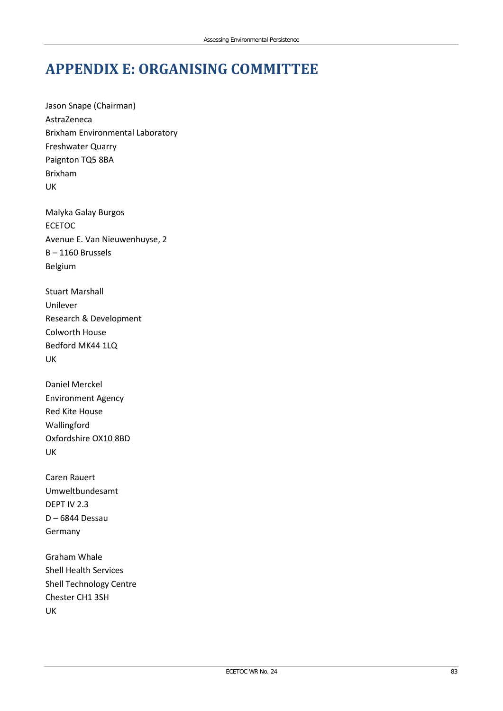# **APPENDIX E: ORGANISING COMMITTEE**

Jason Snape (Chairman) AstraZeneca Brixham Environmental Laboratory Freshwater Quarry Paignton TQ5 8BA Brixham UK

Malyka Galay Burgos ECETOC Avenue E. Van Nieuwenhuyse, 2 B – 1160 Brussels Belgium

Stuart Marshall Unilever Research & Development Colworth House Bedford MK44 1LQ UK

Daniel Merckel Environment Agency Red Kite House Wallingford Oxfordshire OX10 8BD UK

Caren Rauert Umweltbundesamt DEPT IV 2.3 D – 6844 Dessau Germany

Graham Whale Shell Health Services Shell Technology Centre Chester CH1 3SH UK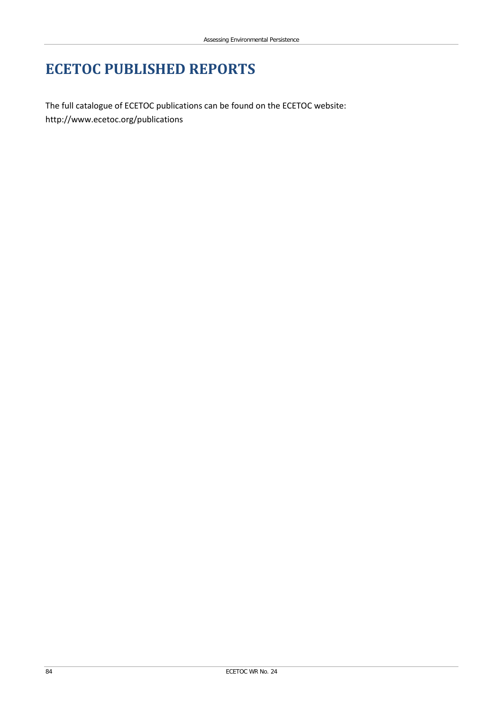# **ECETOC PUBLISHED REPORTS**

The full catalogue of ECETOC publications can be found on the ECETOC website: <http://www.ecetoc.org/publications>